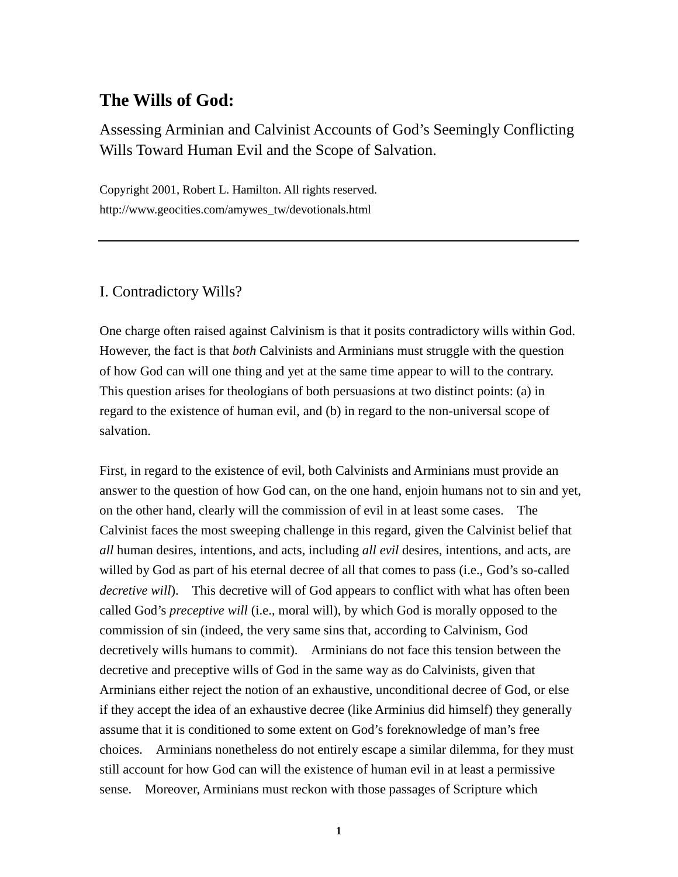# **The Wills of God:**

Assessing Arminian and Calvinist Accounts of God's Seemingly Conflicting Wills Toward Human Evil and the Scope of Salvation.

Copyright 2001, Robert L. Hamilton. All rights reserved. http://www.geocities.com/amywes\_tw/devotionals.html

## I. Contradictory Wills?

One charge often raised against Calvinism is that it posits contradictory wills within God. However, the fact is that *both* Calvinists and Arminians must struggle with the question of how God can will one thing and yet at the same time appear to will to the contrary. This question arises for theologians of both persuasions at two distinct points: (a) in regard to the existence of human evil, and (b) in regard to the non-universal scope of salvation.

First, in regard to the existence of evil, both Calvinists and Arminians must provide an answer to the question of how God can, on the one hand, enjoin humans not to sin and yet, on the other hand, clearly will the commission of evil in at least some cases. The Calvinist faces the most sweeping challenge in this regard, given the Calvinist belief that *all* human desires, intentions, and acts, including *all evil* desires, intentions, and acts, are willed by God as part of his eternal decree of all that comes to pass (i.e., God's so-called *decretive will*). This decretive will of God appears to conflict with what has often been called God's *preceptive will* (i.e., moral will), by which God is morally opposed to the commission of sin (indeed, the very same sins that, according to Calvinism, God decretively wills humans to commit). Arminians do not face this tension between the decretive and preceptive wills of God in the same way as do Calvinists, given that Arminians either reject the notion of an exhaustive, unconditional decree of God, or else if they accept the idea of an exhaustive decree (like Arminius did himself) they generally assume that it is conditioned to some extent on God's foreknowledge of man's free choices. Arminians nonetheless do not entirely escape a similar dilemma, for they must still account for how God can will the existence of human evil in at least a permissive sense. Moreover, Arminians must reckon with those passages of Scripture which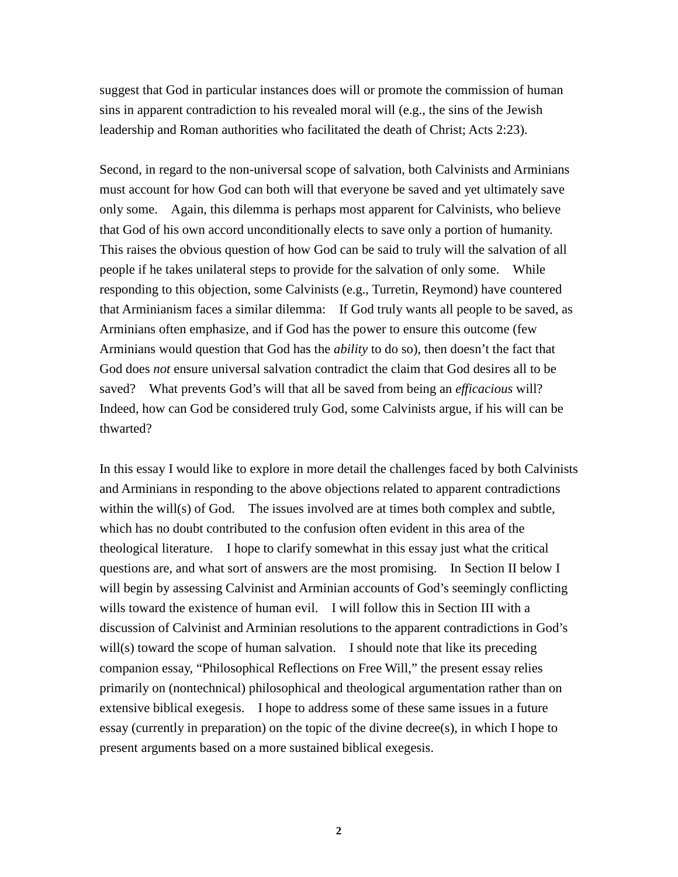suggest that God in particular instances does will or promote the commission of human sins in apparent contradiction to his revealed moral will (e.g., the sins of the Jewish leadership and Roman authorities who facilitated the death of Christ; Acts 2:23).

Second, in regard to the non-universal scope of salvation, both Calvinists and Arminians must account for how God can both will that everyone be saved and yet ultimately save only some. Again, this dilemma is perhaps most apparent for Calvinists, who believe that God of his own accord unconditionally elects to save only a portion of humanity. This raises the obvious question of how God can be said to truly will the salvation of all people if he takes unilateral steps to provide for the salvation of only some. While responding to this objection, some Calvinists (e.g., Turretin, Reymond) have countered that Arminianism faces a similar dilemma: If God truly wants all people to be saved, as Arminians often emphasize, and if God has the power to ensure this outcome (few Arminians would question that God has the *ability* to do so), then doesn't the fact that God does *not* ensure universal salvation contradict the claim that God desires all to be saved? What prevents God's will that all be saved from being an *efficacious* will? Indeed, how can God be considered truly God, some Calvinists argue, if his will can be thwarted?

In this essay I would like to explore in more detail the challenges faced by both Calvinists and Arminians in responding to the above objections related to apparent contradictions within the will(s) of God. The issues involved are at times both complex and subtle, which has no doubt contributed to the confusion often evident in this area of the theological literature. I hope to clarify somewhat in this essay just what the critical questions are, and what sort of answers are the most promising. In Section II below I will begin by assessing Calvinist and Arminian accounts of God's seemingly conflicting wills toward the existence of human evil. I will follow this in Section III with a discussion of Calvinist and Arminian resolutions to the apparent contradictions in God's will(s) toward the scope of human salvation. I should note that like its preceding companion essay, "Philosophical Reflections on Free Will," the present essay relies primarily on (nontechnical) philosophical and theological argumentation rather than on extensive biblical exegesis. I hope to address some of these same issues in a future essay (currently in preparation) on the topic of the divine decree(s), in which I hope to present arguments based on a more sustained biblical exegesis.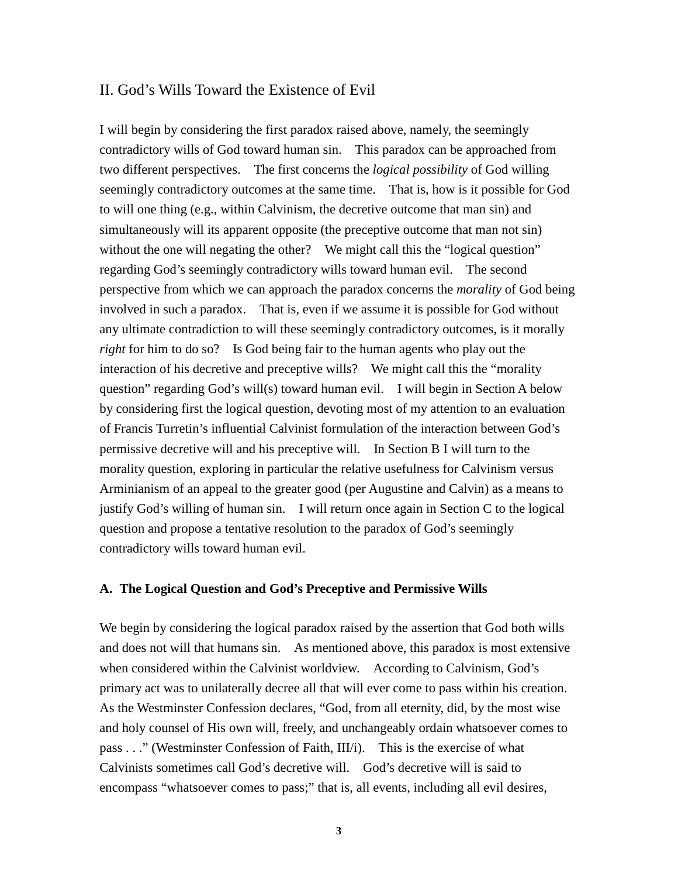## II. God's Wills Toward the Existence of Evil

I will begin by considering the first paradox raised above, namely, the seemingly contradictory wills of God toward human sin. This paradox can be approached from two different perspectives. The first concerns the *logical possibility* of God willing seemingly contradictory outcomes at the same time. That is, how is it possible for God to will one thing (e.g., within Calvinism, the decretive outcome that man sin) and simultaneously will its apparent opposite (the preceptive outcome that man not sin) without the one will negating the other? We might call this the "logical question" regarding God's seemingly contradictory wills toward human evil. The second perspective from which we can approach the paradox concerns the *morality* of God being involved in such a paradox. That is, even if we assume it is possible for God without any ultimate contradiction to will these seemingly contradictory outcomes, is it morally *right* for him to do so? Is God being fair to the human agents who play out the interaction of his decretive and preceptive wills? We might call this the "morality question" regarding God's will(s) toward human evil. I will begin in Section A below by considering first the logical question, devoting most of my attention to an evaluation of Francis Turretin's influential Calvinist formulation of the interaction between God's permissive decretive will and his preceptive will. In Section B I will turn to the morality question, exploring in particular the relative usefulness for Calvinism versus Arminianism of an appeal to the greater good (per Augustine and Calvin) as a means to justify God's willing of human sin. I will return once again in Section C to the logical question and propose a tentative resolution to the paradox of God's seemingly contradictory wills toward human evil.

### **A. The Logical Question and God's Preceptive and Permissive Wills**

We begin by considering the logical paradox raised by the assertion that God both wills and does not will that humans sin. As mentioned above, this paradox is most extensive when considered within the Calvinist worldview. According to Calvinism, God's primary act was to unilaterally decree all that will ever come to pass within his creation. As the Westminster Confession declares, "God, from all eternity, did, by the most wise and holy counsel of His own will, freely, and unchangeably ordain whatsoever comes to pass . . ." (Westminster Confession of Faith, III/i). This is the exercise of what Calvinists sometimes call God's decretive will. God's decretive will is said to encompass "whatsoever comes to pass;" that is, all events, including all evil desires,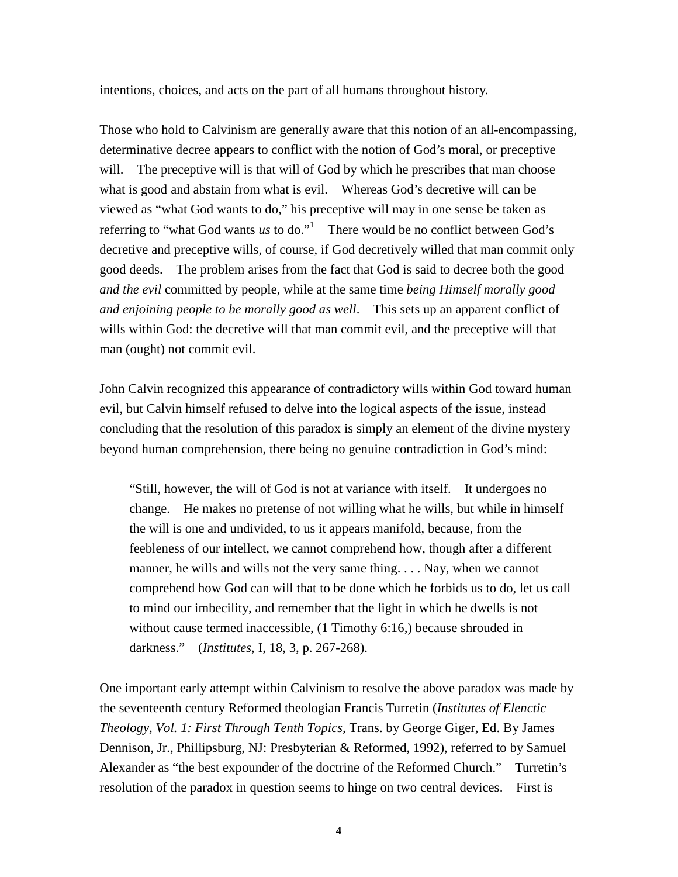intentions, choices, and acts on the part of all humans throughout history.

Those who hold to Calvinism are generally aware that this notion of an all-encompassing, determinative decree appears to conflict with the notion of God's moral, or preceptive will. The preceptive will is that will of God by which he prescribes that man choose what is good and abstain from what is evil. Whereas God's decretive will can be viewed as "what God wants to do," his preceptive will may in one sense be taken as referring to "what God wants *us* to do."<sup>1</sup> There would be no conflict between God's decretive and preceptive wills, of course, if God decretively willed that man commit only good deeds. The problem arises from the fact that God is said to decree both the good *and the evil* committed by people, while at the same time *being Himself morally good and enjoining people to be morally good as well*. This sets up an apparent conflict of wills within God: the decretive will that man commit evil, and the preceptive will that man (ought) not commit evil.

John Calvin recognized this appearance of contradictory wills within God toward human evil, but Calvin himself refused to delve into the logical aspects of the issue, instead concluding that the resolution of this paradox is simply an element of the divine mystery beyond human comprehension, there being no genuine contradiction in God's mind:

"Still, however, the will of God is not at variance with itself. It undergoes no change. He makes no pretense of not willing what he wills, but while in himself the will is one and undivided, to us it appears manifold, because, from the feebleness of our intellect, we cannot comprehend how, though after a different manner, he wills and wills not the very same thing... Nay, when we cannot comprehend how God can will that to be done which he forbids us to do, let us call to mind our imbecility, and remember that the light in which he dwells is not without cause termed inaccessible,  $(1$  Timothy 6:16,) because shrouded in darkness." (*Institutes*, I, 18, 3, p. 267-268).

One important early attempt within Calvinism to resolve the above paradox was made by the seventeenth century Reformed theologian Francis Turretin (*Institutes of Elenctic Theology, Vol. 1: First Through Tenth Topics,* Trans. by George Giger, Ed. By James Dennison, Jr., Phillipsburg, NJ: Presbyterian & Reformed, 1992), referred to by Samuel Alexander as "the best expounder of the doctrine of the Reformed Church." Turretin's resolution of the paradox in question seems to hinge on two central devices. First is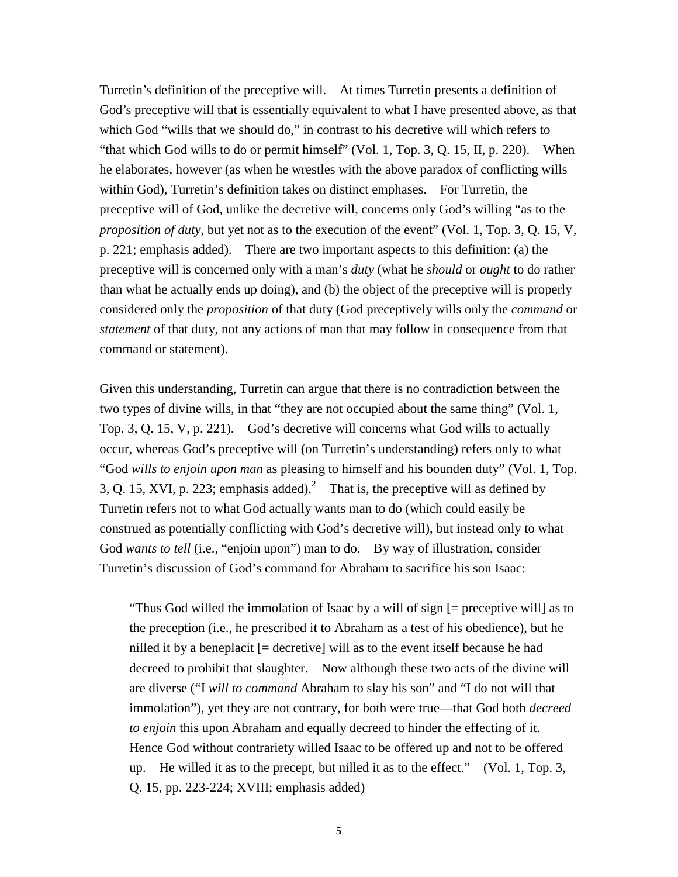Turretin's definition of the preceptive will. At times Turretin presents a definition of God's preceptive will that is essentially equivalent to what I have presented above, as that which God "wills that we should do," in contrast to his decretive will which refers to "that which God wills to do or permit himself" (Vol. 1, Top. 3, Q. 15, II, p. 220). When he elaborates, however (as when he wrestles with the above paradox of conflicting wills within God), Turretin's definition takes on distinct emphases. For Turretin, the preceptive will of God, unlike the decretive will, concerns only God's willing "as to the *proposition of duty*, but yet not as to the execution of the event" (Vol. 1, Top. 3, Q. 15, V, p. 221; emphasis added). There are two important aspects to this definition: (a) the preceptive will is concerned only with a man's *duty* (what he *should* or *ought* to do rather than what he actually ends up doing), and (b) the object of the preceptive will is properly considered only the *proposition* of that duty (God preceptively wills only the *command* or *statement* of that duty, not any actions of man that may follow in consequence from that command or statement).

Given this understanding, Turretin can argue that there is no contradiction between the two types of divine wills, in that "they are not occupied about the same thing" (Vol. 1, Top. 3, Q. 15, V, p. 221). God's decretive will concerns what God wills to actually occur, whereas God's preceptive will (on Turretin's understanding) refers only to what "God *wills to enjoin upon man* as pleasing to himself and his bounden duty" (Vol. 1, Top. 3, Q. 15, XVI, p. 223; emphasis added).<sup>2</sup> That is, the preceptive will as defined by Turretin refers not to what God actually wants man to do (which could easily be construed as potentially conflicting with God's decretive will), but instead only to what God *wants to tell* (i.e., "enjoin upon") man to do. By way of illustration, consider Turretin's discussion of God's command for Abraham to sacrifice his son Isaac:

"Thus God willed the immolation of Isaac by a will of sign [= preceptive will] as to the preception (i.e., he prescribed it to Abraham as a test of his obedience), but he nilled it by a beneplacit [= decretive] will as to the event itself because he had decreed to prohibit that slaughter. Now although these two acts of the divine will are diverse ("I *will to command* Abraham to slay his son" and "I do not will that immolation"), yet they are not contrary, for both were true—that God both *decreed to enjoin* this upon Abraham and equally decreed to hinder the effecting of it. Hence God without contrariety willed Isaac to be offered up and not to be offered up. He willed it as to the precept, but nilled it as to the effect." (Vol. 1, Top. 3, Q. 15, pp. 223-224; XVIII; emphasis added)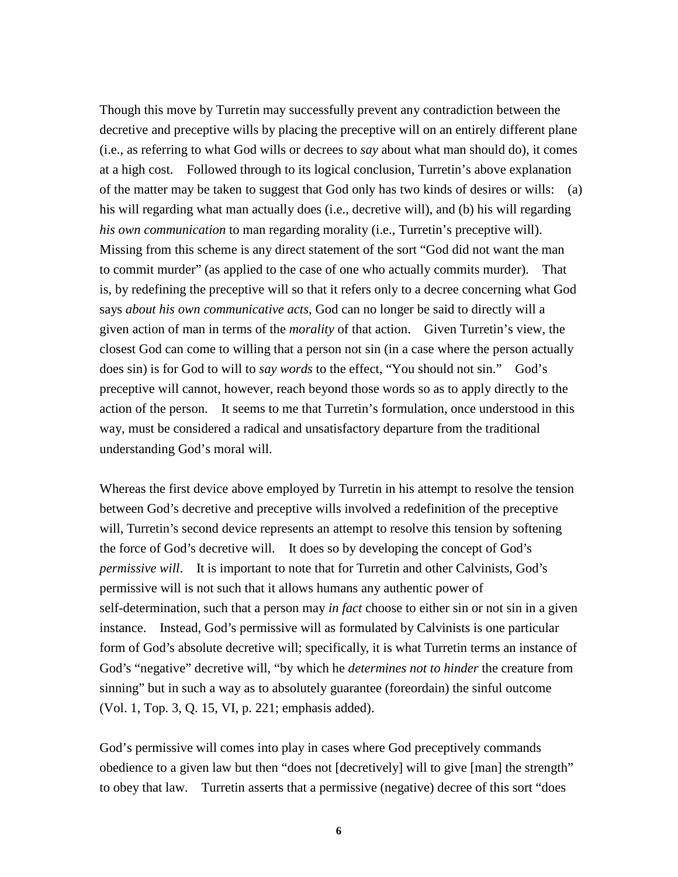Though this move by Turretin may successfully prevent any contradiction between the decretive and preceptive wills by placing the preceptive will on an entirely different plane (i.e., as referring to what God wills or decrees to *say* about what man should do), it comes at a high cost. Followed through to its logical conclusion, Turretin's above explanation of the matter may be taken to suggest that God only has two kinds of desires or wills: (a) his will regarding what man actually does (i.e., decretive will), and (b) his will regarding *his own communication* to man regarding morality (i.e., Turretin's preceptive will). Missing from this scheme is any direct statement of the sort "God did not want the man to commit murder" (as applied to the case of one who actually commits murder). That is, by redefining the preceptive will so that it refers only to a decree concerning what God says *about his own communicative acts*, God can no longer be said to directly will a given action of man in terms of the *morality* of that action. Given Turretin's view, the closest God can come to willing that a person not sin (in a case where the person actually does sin) is for God to will to *say words* to the effect, "You should not sin." God's preceptive will cannot, however, reach beyond those words so as to apply directly to the action of the person. It seems to me that Turretin's formulation, once understood in this way, must be considered a radical and unsatisfactory departure from the traditional understanding God's moral will.

Whereas the first device above employed by Turretin in his attempt to resolve the tension between God's decretive and preceptive wills involved a redefinition of the preceptive will, Turretin's second device represents an attempt to resolve this tension by softening the force of God's decretive will. It does so by developing the concept of God's *permissive will*. It is important to note that for Turretin and other Calvinists, God's permissive will is not such that it allows humans any authentic power of self-determination, such that a person may *in fact* choose to either sin or not sin in a given instance. Instead, God's permissive will as formulated by Calvinists is one particular form of God's absolute decretive will; specifically, it is what Turretin terms an instance of God's "negative" decretive will, "by which he *determines not to hinder* the creature from sinning" but in such a way as to absolutely guarantee (foreordain) the sinful outcome (Vol. 1, Top. 3, Q. 15, VI, p. 221; emphasis added).

God's permissive will comes into play in cases where God preceptively commands obedience to a given law but then "does not [decretively] will to give [man] the strength" to obey that law. Turretin asserts that a permissive (negative) decree of this sort "does

**6**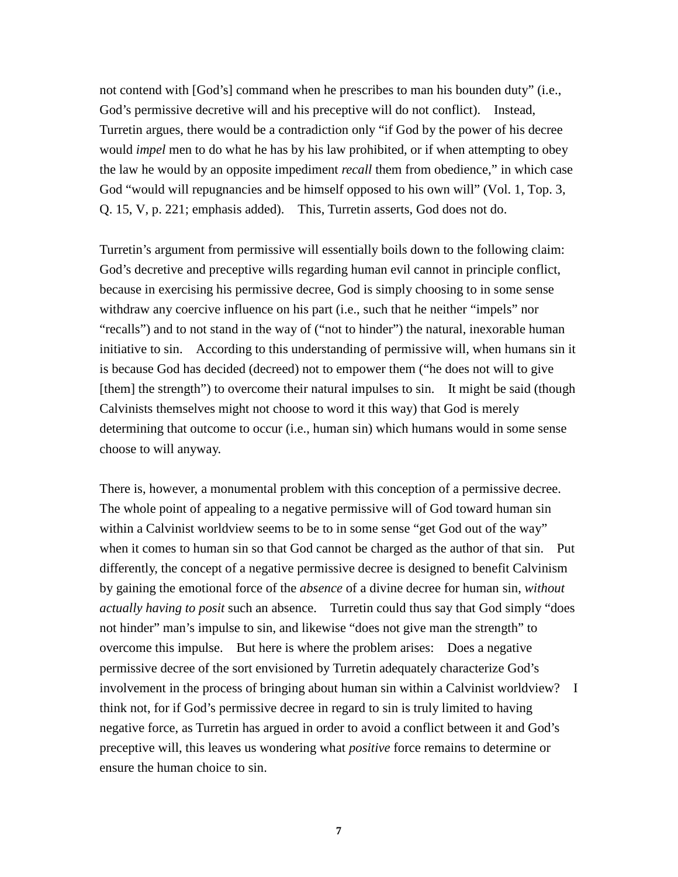not contend with [God's] command when he prescribes to man his bounden duty" (i.e., God's permissive decretive will and his preceptive will do not conflict). Instead, Turretin argues, there would be a contradiction only "if God by the power of his decree would *impel* men to do what he has by his law prohibited, or if when attempting to obey the law he would by an opposite impediment *recall* them from obedience," in which case God "would will repugnancies and be himself opposed to his own will" (Vol. 1, Top. 3, Q. 15, V, p. 221; emphasis added). This, Turretin asserts, God does not do.

Turretin's argument from permissive will essentially boils down to the following claim: God's decretive and preceptive wills regarding human evil cannot in principle conflict, because in exercising his permissive decree, God is simply choosing to in some sense withdraw any coercive influence on his part (i.e., such that he neither "impels" nor "recalls") and to not stand in the way of ("not to hinder") the natural, inexorable human initiative to sin. According to this understanding of permissive will, when humans sin it is because God has decided (decreed) not to empower them ("he does not will to give [them] the strength") to overcome their natural impulses to sin. It might be said (though Calvinists themselves might not choose to word it this way) that God is merely determining that outcome to occur (i.e., human sin) which humans would in some sense choose to will anyway.

There is, however, a monumental problem with this conception of a permissive decree. The whole point of appealing to a negative permissive will of God toward human sin within a Calvinist worldview seems to be to in some sense "get God out of the way" when it comes to human sin so that God cannot be charged as the author of that sin. Put differently, the concept of a negative permissive decree is designed to benefit Calvinism by gaining the emotional force of the *absence* of a divine decree for human sin, *without actually having to posit* such an absence. Turretin could thus say that God simply "does not hinder" man's impulse to sin, and likewise "does not give man the strength" to overcome this impulse. But here is where the problem arises: Does a negative permissive decree of the sort envisioned by Turretin adequately characterize God's involvement in the process of bringing about human sin within a Calvinist worldview? I think not, for if God's permissive decree in regard to sin is truly limited to having negative force, as Turretin has argued in order to avoid a conflict between it and God's preceptive will, this leaves us wondering what *positive* force remains to determine or ensure the human choice to sin.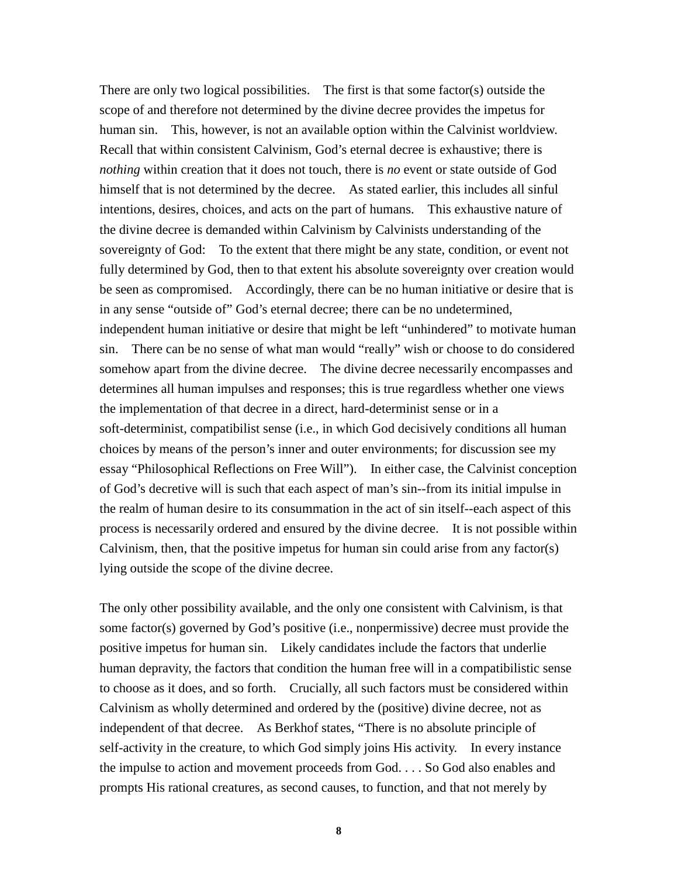There are only two logical possibilities. The first is that some factor(s) outside the scope of and therefore not determined by the divine decree provides the impetus for human sin. This, however, is not an available option within the Calvinist worldview. Recall that within consistent Calvinism, God's eternal decree is exhaustive; there is *nothing* within creation that it does not touch, there is *no* event or state outside of God himself that is not determined by the decree. As stated earlier, this includes all sinful intentions, desires, choices, and acts on the part of humans. This exhaustive nature of the divine decree is demanded within Calvinism by Calvinists understanding of the sovereignty of God: To the extent that there might be any state, condition, or event not fully determined by God, then to that extent his absolute sovereignty over creation would be seen as compromised. Accordingly, there can be no human initiative or desire that is in any sense "outside of" God's eternal decree; there can be no undetermined, independent human initiative or desire that might be left "unhindered" to motivate human sin. There can be no sense of what man would "really" wish or choose to do considered somehow apart from the divine decree. The divine decree necessarily encompasses and determines all human impulses and responses; this is true regardless whether one views the implementation of that decree in a direct, hard-determinist sense or in a soft-determinist, compatibilist sense (i.e., in which God decisively conditions all human choices by means of the person's inner and outer environments; for discussion see my essay "Philosophical Reflections on Free Will"). In either case, the Calvinist conception of God's decretive will is such that each aspect of man's sin--from its initial impulse in the realm of human desire to its consummation in the act of sin itself--each aspect of this process is necessarily ordered and ensured by the divine decree. It is not possible within Calvinism, then, that the positive impetus for human sin could arise from any factor(s) lying outside the scope of the divine decree.

The only other possibility available, and the only one consistent with Calvinism, is that some factor(s) governed by God's positive (i.e., nonpermissive) decree must provide the positive impetus for human sin. Likely candidates include the factors that underlie human depravity, the factors that condition the human free will in a compatibilistic sense to choose as it does, and so forth. Crucially, all such factors must be considered within Calvinism as wholly determined and ordered by the (positive) divine decree, not as independent of that decree. As Berkhof states, "There is no absolute principle of self-activity in the creature, to which God simply joins His activity. In every instance the impulse to action and movement proceeds from God. . . . So God also enables and prompts His rational creatures, as second causes, to function, and that not merely by

**8**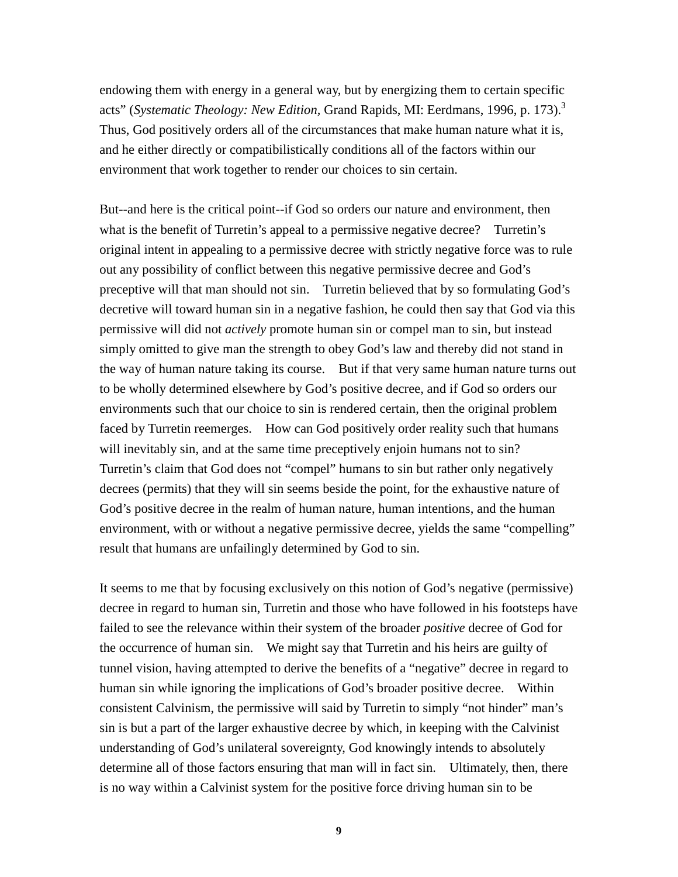endowing them with energy in a general way, but by energizing them to certain specific acts" (*Systematic Theology: New Edition*, Grand Rapids, MI: Eerdmans, 1996, p. 173).<sup>3</sup> Thus, God positively orders all of the circumstances that make human nature what it is, and he either directly or compatibilistically conditions all of the factors within our environment that work together to render our choices to sin certain.

But--and here is the critical point--if God so orders our nature and environment, then what is the benefit of Turretin's appeal to a permissive negative decree? Turretin's original intent in appealing to a permissive decree with strictly negative force was to rule out any possibility of conflict between this negative permissive decree and God's preceptive will that man should not sin. Turretin believed that by so formulating God's decretive will toward human sin in a negative fashion, he could then say that God via this permissive will did not *actively* promote human sin or compel man to sin, but instead simply omitted to give man the strength to obey God's law and thereby did not stand in the way of human nature taking its course. But if that very same human nature turns out to be wholly determined elsewhere by God's positive decree, and if God so orders our environments such that our choice to sin is rendered certain, then the original problem faced by Turretin reemerges. How can God positively order reality such that humans will inevitably sin, and at the same time preceptively enjoin humans not to sin? Turretin's claim that God does not "compel" humans to sin but rather only negatively decrees (permits) that they will sin seems beside the point, for the exhaustive nature of God's positive decree in the realm of human nature, human intentions, and the human environment, with or without a negative permissive decree, yields the same "compelling" result that humans are unfailingly determined by God to sin.

It seems to me that by focusing exclusively on this notion of God's negative (permissive) decree in regard to human sin, Turretin and those who have followed in his footsteps have failed to see the relevance within their system of the broader *positive* decree of God for the occurrence of human sin. We might say that Turretin and his heirs are guilty of tunnel vision, having attempted to derive the benefits of a "negative" decree in regard to human sin while ignoring the implications of God's broader positive decree. Within consistent Calvinism, the permissive will said by Turretin to simply "not hinder" man's sin is but a part of the larger exhaustive decree by which, in keeping with the Calvinist understanding of God's unilateral sovereignty, God knowingly intends to absolutely determine all of those factors ensuring that man will in fact sin. Ultimately, then, there is no way within a Calvinist system for the positive force driving human sin to be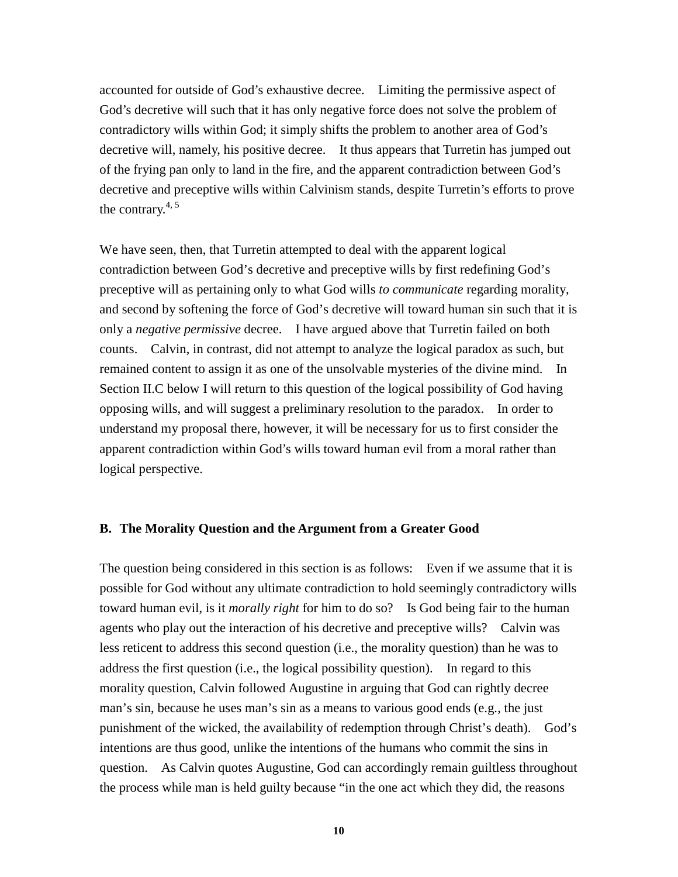accounted for outside of God's exhaustive decree. Limiting the permissive aspect of God's decretive will such that it has only negative force does not solve the problem of contradictory wills within God; it simply shifts the problem to another area of God's decretive will, namely, his positive decree. It thus appears that Turretin has jumped out of the frying pan only to land in the fire, and the apparent contradiction between God's decretive and preceptive wills within Calvinism stands, despite Turretin's efforts to prove the contrary. $4, 5$ 

We have seen, then, that Turretin attempted to deal with the apparent logical contradiction between God's decretive and preceptive wills by first redefining God's preceptive will as pertaining only to what God wills *to communicate* regarding morality, and second by softening the force of God's decretive will toward human sin such that it is only a *negative permissive* decree. I have argued above that Turretin failed on both counts. Calvin, in contrast, did not attempt to analyze the logical paradox as such, but remained content to assign it as one of the unsolvable mysteries of the divine mind. In Section II.C below I will return to this question of the logical possibility of God having opposing wills, and will suggest a preliminary resolution to the paradox. In order to understand my proposal there, however, it will be necessary for us to first consider the apparent contradiction within God's wills toward human evil from a moral rather than logical perspective.

### **B. The Morality Question and the Argument from a Greater Good**

The question being considered in this section is as follows: Even if we assume that it is possible for God without any ultimate contradiction to hold seemingly contradictory wills toward human evil, is it *morally right* for him to do so? Is God being fair to the human agents who play out the interaction of his decretive and preceptive wills? Calvin was less reticent to address this second question (i.e., the morality question) than he was to address the first question (i.e., the logical possibility question). In regard to this morality question, Calvin followed Augustine in arguing that God can rightly decree man's sin, because he uses man's sin as a means to various good ends (e.g., the just punishment of the wicked, the availability of redemption through Christ's death). God's intentions are thus good, unlike the intentions of the humans who commit the sins in question. As Calvin quotes Augustine, God can accordingly remain guiltless throughout the process while man is held guilty because "in the one act which they did, the reasons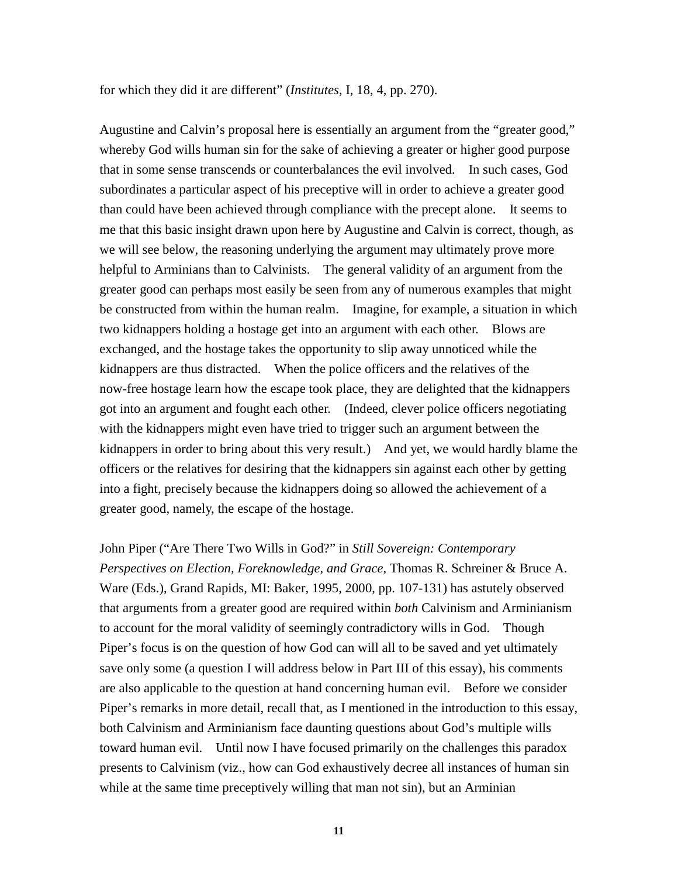for which they did it are different" (*Institutes*, I, 18, 4, pp. 270).

Augustine and Calvin's proposal here is essentially an argument from the "greater good," whereby God wills human sin for the sake of achieving a greater or higher good purpose that in some sense transcends or counterbalances the evil involved. In such cases, God subordinates a particular aspect of his preceptive will in order to achieve a greater good than could have been achieved through compliance with the precept alone. It seems to me that this basic insight drawn upon here by Augustine and Calvin is correct, though, as we will see below, the reasoning underlying the argument may ultimately prove more helpful to Arminians than to Calvinists. The general validity of an argument from the greater good can perhaps most easily be seen from any of numerous examples that might be constructed from within the human realm. Imagine, for example, a situation in which two kidnappers holding a hostage get into an argument with each other. Blows are exchanged, and the hostage takes the opportunity to slip away unnoticed while the kidnappers are thus distracted. When the police officers and the relatives of the now-free hostage learn how the escape took place, they are delighted that the kidnappers got into an argument and fought each other. (Indeed, clever police officers negotiating with the kidnappers might even have tried to trigger such an argument between the kidnappers in order to bring about this very result.) And yet, we would hardly blame the officers or the relatives for desiring that the kidnappers sin against each other by getting into a fight, precisely because the kidnappers doing so allowed the achievement of a greater good, namely, the escape of the hostage.

John Piper ("Are There Two Wills in God?" in *Still Sovereign: Contemporary Perspectives on Election, Foreknowledge, and Grace*, Thomas R. Schreiner & Bruce A. Ware (Eds.), Grand Rapids, MI: Baker, 1995, 2000, pp. 107-131) has astutely observed that arguments from a greater good are required within *both* Calvinism and Arminianism to account for the moral validity of seemingly contradictory wills in God. Though Piper's focus is on the question of how God can will all to be saved and yet ultimately save only some (a question I will address below in Part III of this essay), his comments are also applicable to the question at hand concerning human evil. Before we consider Piper's remarks in more detail, recall that, as I mentioned in the introduction to this essay, both Calvinism and Arminianism face daunting questions about God's multiple wills toward human evil. Until now I have focused primarily on the challenges this paradox presents to Calvinism (viz., how can God exhaustively decree all instances of human sin while at the same time preceptively willing that man not sin), but an Arminian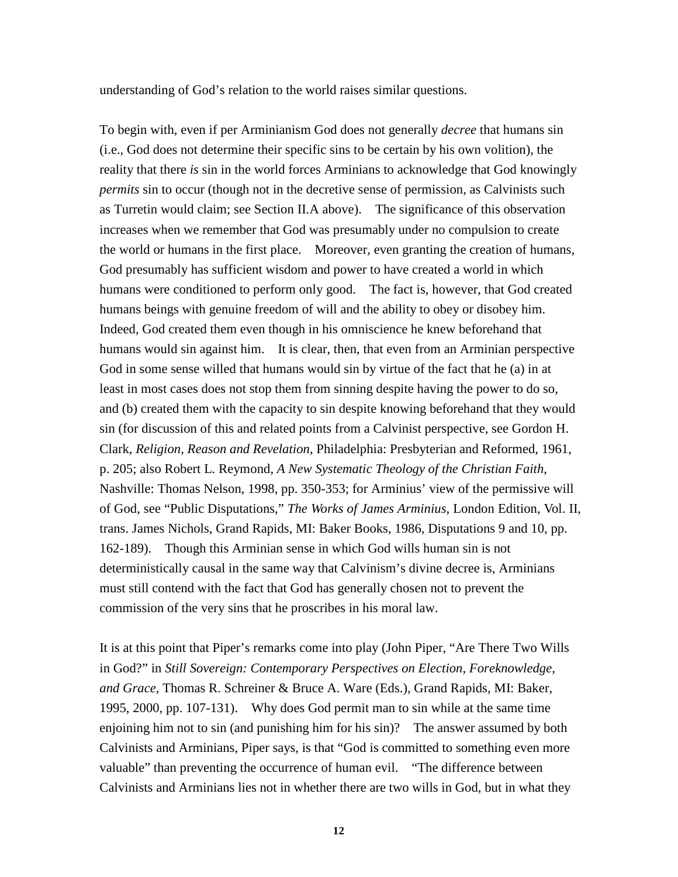understanding of God's relation to the world raises similar questions.

To begin with, even if per Arminianism God does not generally *decree* that humans sin (i.e., God does not determine their specific sins to be certain by his own volition), the reality that there *is* sin in the world forces Arminians to acknowledge that God knowingly *permits* sin to occur (though not in the decretive sense of permission, as Calvinists such as Turretin would claim; see Section II.A above). The significance of this observation increases when we remember that God was presumably under no compulsion to create the world or humans in the first place. Moreover, even granting the creation of humans, God presumably has sufficient wisdom and power to have created a world in which humans were conditioned to perform only good. The fact is, however, that God created humans beings with genuine freedom of will and the ability to obey or disobey him. Indeed, God created them even though in his omniscience he knew beforehand that humans would sin against him. It is clear, then, that even from an Arminian perspective God in some sense willed that humans would sin by virtue of the fact that he (a) in at least in most cases does not stop them from sinning despite having the power to do so, and (b) created them with the capacity to sin despite knowing beforehand that they would sin (for discussion of this and related points from a Calvinist perspective, see Gordon H. Clark, *Religion, Reason and Revelation*, Philadelphia: Presbyterian and Reformed, 1961, p. 205; also Robert L. Reymond, *A New Systematic Theology of the Christian Faith*, Nashville: Thomas Nelson, 1998, pp. 350-353; for Arminius' view of the permissive will of God, see "Public Disputations," *The Works of James Arminius*, London Edition, Vol. II, trans. James Nichols, Grand Rapids, MI: Baker Books, 1986, Disputations 9 and 10, pp. 162-189). Though this Arminian sense in which God wills human sin is not deterministically causal in the same way that Calvinism's divine decree is, Arminians must still contend with the fact that God has generally chosen not to prevent the commission of the very sins that he proscribes in his moral law.

It is at this point that Piper's remarks come into play (John Piper, "Are There Two Wills in God?" in *Still Sovereign: Contemporary Perspectives on Election, Foreknowledge, and Grace*, Thomas R. Schreiner & Bruce A. Ware (Eds.), Grand Rapids, MI: Baker, 1995, 2000, pp. 107-131). Why does God permit man to sin while at the same time enjoining him not to sin (and punishing him for his sin)? The answer assumed by both Calvinists and Arminians, Piper says, is that "God is committed to something even more valuable" than preventing the occurrence of human evil. "The difference between Calvinists and Arminians lies not in whether there are two wills in God, but in what they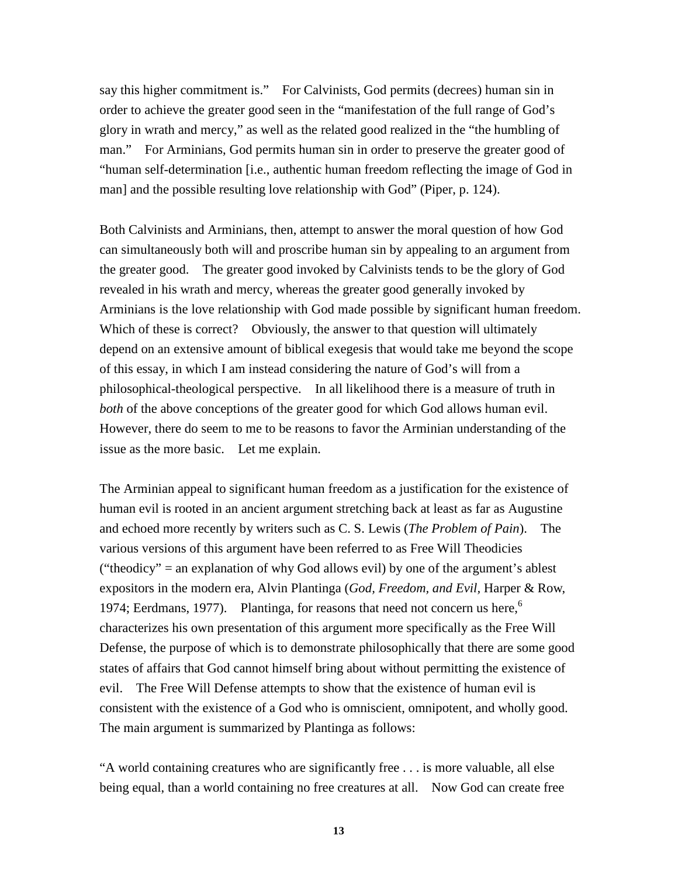say this higher commitment is." For Calvinists, God permits (decrees) human sin in order to achieve the greater good seen in the "manifestation of the full range of God's glory in wrath and mercy," as well as the related good realized in the "the humbling of man." For Arminians, God permits human sin in order to preserve the greater good of "human self-determination [i.e., authentic human freedom reflecting the image of God in man] and the possible resulting love relationship with God" (Piper, p. 124).

Both Calvinists and Arminians, then, attempt to answer the moral question of how God can simultaneously both will and proscribe human sin by appealing to an argument from the greater good. The greater good invoked by Calvinists tends to be the glory of God revealed in his wrath and mercy, whereas the greater good generally invoked by Arminians is the love relationship with God made possible by significant human freedom. Which of these is correct? Obviously, the answer to that question will ultimately depend on an extensive amount of biblical exegesis that would take me beyond the scope of this essay, in which I am instead considering the nature of God's will from a philosophical-theological perspective. In all likelihood there is a measure of truth in *both* of the above conceptions of the greater good for which God allows human evil. However, there do seem to me to be reasons to favor the Arminian understanding of the issue as the more basic. Let me explain.

The Arminian appeal to significant human freedom as a justification for the existence of human evil is rooted in an ancient argument stretching back at least as far as Augustine and echoed more recently by writers such as C. S. Lewis (*The Problem of Pain*). The various versions of this argument have been referred to as Free Will Theodicies ("theodicy" = an explanation of why God allows evil) by one of the argument's ablest expositors in the modern era, Alvin Plantinga (*God, Freedom, and Evil,* Harper & Row, 1974; Eerdmans, 1977). Plantinga, for reasons that need not concern us here,<sup>6</sup> characterizes his own presentation of this argument more specifically as the Free Will Defense, the purpose of which is to demonstrate philosophically that there are some good states of affairs that God cannot himself bring about without permitting the existence of evil. The Free Will Defense attempts to show that the existence of human evil is consistent with the existence of a God who is omniscient, omnipotent, and wholly good. The main argument is summarized by Plantinga as follows:

"A world containing creatures who are significantly free . . . is more valuable, all else being equal, than a world containing no free creatures at all. Now God can create free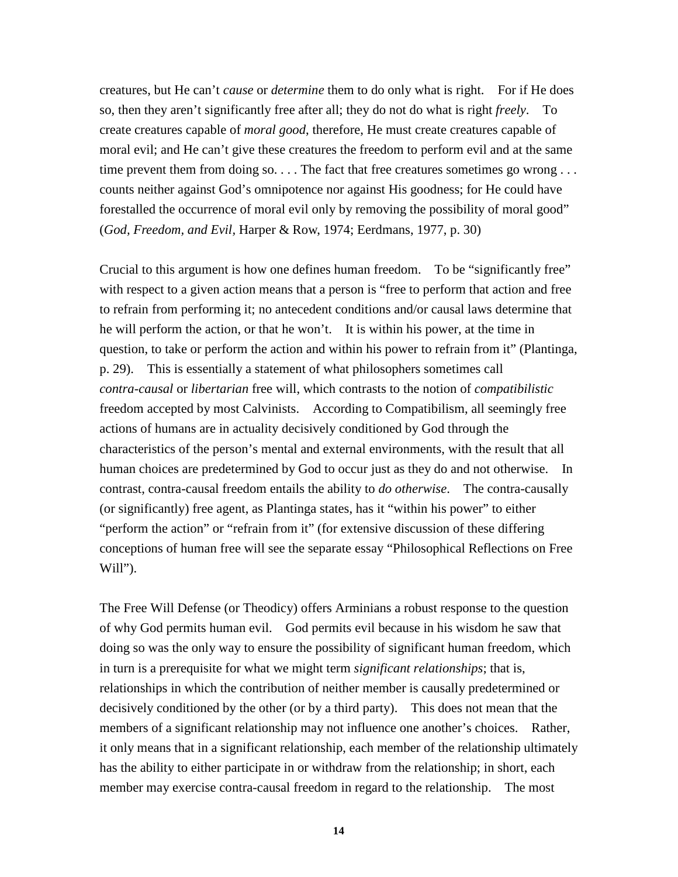creatures, but He can't *cause* or *determine* them to do only what is right. For if He does so, then they aren't significantly free after all; they do not do what is right *freely*. To create creatures capable of *moral good*, therefore, He must create creatures capable of moral evil; and He can't give these creatures the freedom to perform evil and at the same time prevent them from doing so. . . . The fact that free creatures sometimes go wrong . . . counts neither against God's omnipotence nor against His goodness; for He could have forestalled the occurrence of moral evil only by removing the possibility of moral good" (*God, Freedom, and Evil,* Harper & Row, 1974; Eerdmans, 1977, p. 30)

Crucial to this argument is how one defines human freedom. To be "significantly free" with respect to a given action means that a person is "free to perform that action and free to refrain from performing it; no antecedent conditions and/or causal laws determine that he will perform the action, or that he won't. It is within his power, at the time in question, to take or perform the action and within his power to refrain from it" (Plantinga, p. 29). This is essentially a statement of what philosophers sometimes call *contra-causal* or *libertarian* free will, which contrasts to the notion of *compatibilistic* freedom accepted by most Calvinists. According to Compatibilism, all seemingly free actions of humans are in actuality decisively conditioned by God through the characteristics of the person's mental and external environments, with the result that all human choices are predetermined by God to occur just as they do and not otherwise. In contrast, contra-causal freedom entails the ability to *do otherwise*. The contra-causally (or significantly) free agent, as Plantinga states, has it "within his power" to either "perform the action" or "refrain from it" (for extensive discussion of these differing conceptions of human free will see the separate essay "Philosophical Reflections on Free Will").

The Free Will Defense (or Theodicy) offers Arminians a robust response to the question of why God permits human evil. God permits evil because in his wisdom he saw that doing so was the only way to ensure the possibility of significant human freedom, which in turn is a prerequisite for what we might term *significant relationships*; that is, relationships in which the contribution of neither member is causally predetermined or decisively conditioned by the other (or by a third party). This does not mean that the members of a significant relationship may not influence one another's choices. Rather, it only means that in a significant relationship, each member of the relationship ultimately has the ability to either participate in or withdraw from the relationship; in short, each member may exercise contra-causal freedom in regard to the relationship. The most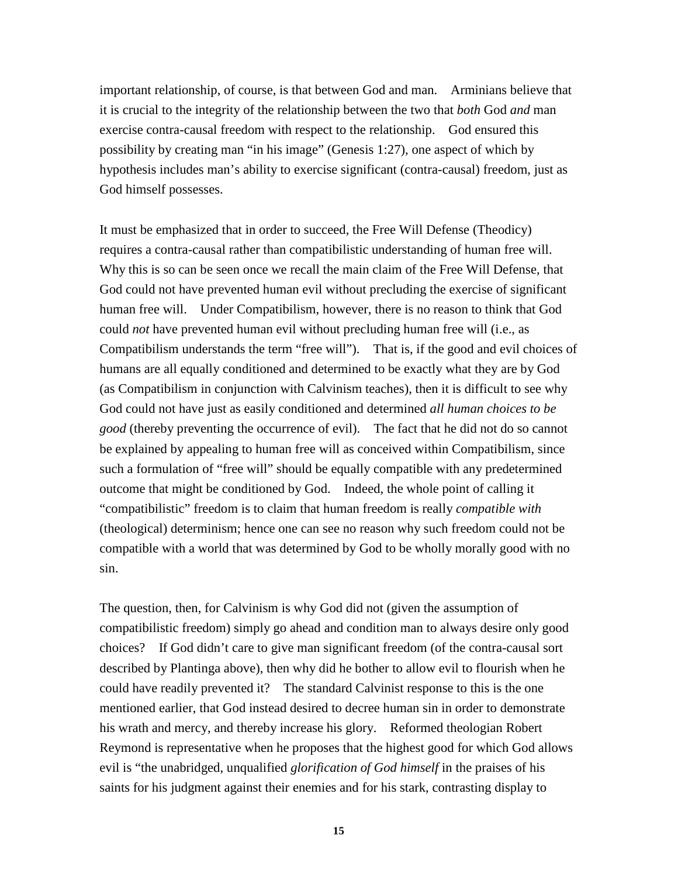important relationship, of course, is that between God and man. Arminians believe that it is crucial to the integrity of the relationship between the two that *both* God *and* man exercise contra-causal freedom with respect to the relationship. God ensured this possibility by creating man "in his image" (Genesis 1:27), one aspect of which by hypothesis includes man's ability to exercise significant (contra-causal) freedom, just as God himself possesses.

It must be emphasized that in order to succeed, the Free Will Defense (Theodicy) requires a contra-causal rather than compatibilistic understanding of human free will. Why this is so can be seen once we recall the main claim of the Free Will Defense, that God could not have prevented human evil without precluding the exercise of significant human free will. Under Compatibilism, however, there is no reason to think that God could *not* have prevented human evil without precluding human free will (i.e., as Compatibilism understands the term "free will"). That is, if the good and evil choices of humans are all equally conditioned and determined to be exactly what they are by God (as Compatibilism in conjunction with Calvinism teaches), then it is difficult to see why God could not have just as easily conditioned and determined *all human choices to be good* (thereby preventing the occurrence of evil). The fact that he did not do so cannot be explained by appealing to human free will as conceived within Compatibilism, since such a formulation of "free will" should be equally compatible with any predetermined outcome that might be conditioned by God. Indeed, the whole point of calling it "compatibilistic" freedom is to claim that human freedom is really *compatible with* (theological) determinism; hence one can see no reason why such freedom could not be compatible with a world that was determined by God to be wholly morally good with no sin.

The question, then, for Calvinism is why God did not (given the assumption of compatibilistic freedom) simply go ahead and condition man to always desire only good choices? If God didn't care to give man significant freedom (of the contra-causal sort described by Plantinga above), then why did he bother to allow evil to flourish when he could have readily prevented it? The standard Calvinist response to this is the one mentioned earlier, that God instead desired to decree human sin in order to demonstrate his wrath and mercy, and thereby increase his glory. Reformed theologian Robert Reymond is representative when he proposes that the highest good for which God allows evil is "the unabridged, unqualified *glorification of God himself* in the praises of his saints for his judgment against their enemies and for his stark, contrasting display to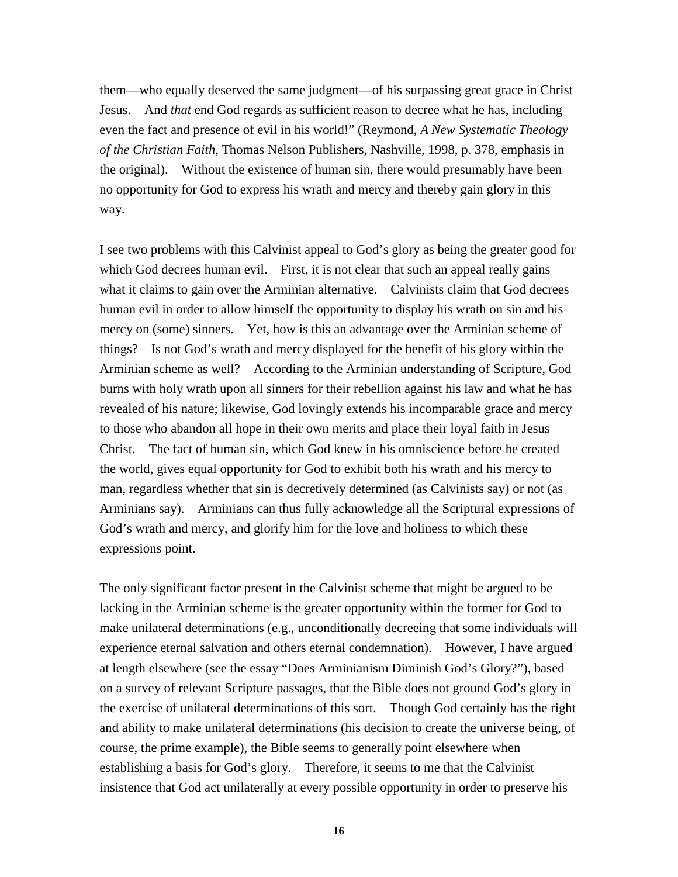them—who equally deserved the same judgment—of his surpassing great grace in Christ Jesus. And *that* end God regards as sufficient reason to decree what he has, including even the fact and presence of evil in his world!" (Reymond, *A New Systematic Theology of the Christian Faith*, Thomas Nelson Publishers, Nashville, 1998, p. 378, emphasis in the original). Without the existence of human sin, there would presumably have been no opportunity for God to express his wrath and mercy and thereby gain glory in this way.

I see two problems with this Calvinist appeal to God's glory as being the greater good for which God decrees human evil. First, it is not clear that such an appeal really gains what it claims to gain over the Arminian alternative. Calvinists claim that God decrees human evil in order to allow himself the opportunity to display his wrath on sin and his mercy on (some) sinners. Yet, how is this an advantage over the Arminian scheme of things? Is not God's wrath and mercy displayed for the benefit of his glory within the Arminian scheme as well? According to the Arminian understanding of Scripture, God burns with holy wrath upon all sinners for their rebellion against his law and what he has revealed of his nature; likewise, God lovingly extends his incomparable grace and mercy to those who abandon all hope in their own merits and place their loyal faith in Jesus Christ. The fact of human sin, which God knew in his omniscience before he created the world, gives equal opportunity for God to exhibit both his wrath and his mercy to man, regardless whether that sin is decretively determined (as Calvinists say) or not (as Arminians say). Arminians can thus fully acknowledge all the Scriptural expressions of God's wrath and mercy, and glorify him for the love and holiness to which these expressions point.

The only significant factor present in the Calvinist scheme that might be argued to be lacking in the Arminian scheme is the greater opportunity within the former for God to make unilateral determinations (e.g., unconditionally decreeing that some individuals will experience eternal salvation and others eternal condemnation). However, I have argued at length elsewhere (see the essay "Does Arminianism Diminish God's Glory?"), based on a survey of relevant Scripture passages, that the Bible does not ground God's glory in the exercise of unilateral determinations of this sort. Though God certainly has the right and ability to make unilateral determinations (his decision to create the universe being, of course, the prime example), the Bible seems to generally point elsewhere when establishing a basis for God's glory. Therefore, it seems to me that the Calvinist insistence that God act unilaterally at every possible opportunity in order to preserve his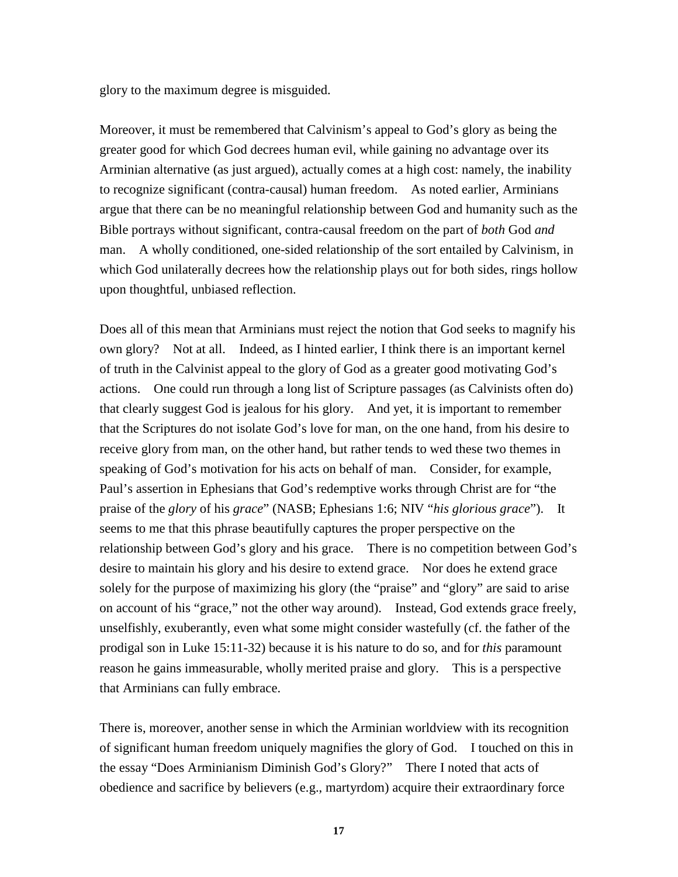glory to the maximum degree is misguided.

Moreover, it must be remembered that Calvinism's appeal to God's glory as being the greater good for which God decrees human evil, while gaining no advantage over its Arminian alternative (as just argued), actually comes at a high cost: namely, the inability to recognize significant (contra-causal) human freedom. As noted earlier, Arminians argue that there can be no meaningful relationship between God and humanity such as the Bible portrays without significant, contra-causal freedom on the part of *both* God *and* man. A wholly conditioned, one-sided relationship of the sort entailed by Calvinism, in which God unilaterally decrees how the relationship plays out for both sides, rings hollow upon thoughtful, unbiased reflection.

Does all of this mean that Arminians must reject the notion that God seeks to magnify his own glory? Not at all. Indeed, as I hinted earlier, I think there is an important kernel of truth in the Calvinist appeal to the glory of God as a greater good motivating God's actions. One could run through a long list of Scripture passages (as Calvinists often do) that clearly suggest God is jealous for his glory. And yet, it is important to remember that the Scriptures do not isolate God's love for man, on the one hand, from his desire to receive glory from man, on the other hand, but rather tends to wed these two themes in speaking of God's motivation for his acts on behalf of man. Consider, for example, Paul's assertion in Ephesians that God's redemptive works through Christ are for "the praise of the *glory* of his *grace*" (NASB; Ephesians 1:6; NIV "*his glorious grace*"). It seems to me that this phrase beautifully captures the proper perspective on the relationship between God's glory and his grace. There is no competition between God's desire to maintain his glory and his desire to extend grace. Nor does he extend grace solely for the purpose of maximizing his glory (the "praise" and "glory" are said to arise on account of his "grace," not the other way around). Instead, God extends grace freely, unselfishly, exuberantly, even what some might consider wastefully (cf. the father of the prodigal son in Luke 15:11-32) because it is his nature to do so, and for *this* paramount reason he gains immeasurable, wholly merited praise and glory. This is a perspective that Arminians can fully embrace.

There is, moreover, another sense in which the Arminian worldview with its recognition of significant human freedom uniquely magnifies the glory of God. I touched on this in the essay "Does Arminianism Diminish God's Glory?" There I noted that acts of obedience and sacrifice by believers (e.g., martyrdom) acquire their extraordinary force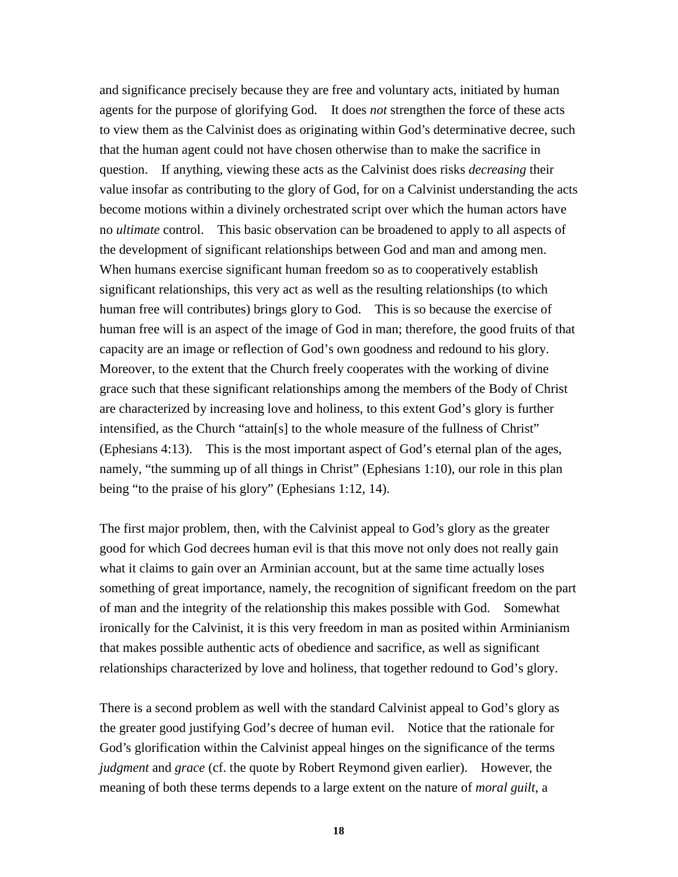and significance precisely because they are free and voluntary acts, initiated by human agents for the purpose of glorifying God. It does *not* strengthen the force of these acts to view them as the Calvinist does as originating within God's determinative decree, such that the human agent could not have chosen otherwise than to make the sacrifice in question. If anything, viewing these acts as the Calvinist does risks *decreasing* their value insofar as contributing to the glory of God, for on a Calvinist understanding the acts become motions within a divinely orchestrated script over which the human actors have no *ultimate* control. This basic observation can be broadened to apply to all aspects of the development of significant relationships between God and man and among men. When humans exercise significant human freedom so as to cooperatively establish significant relationships, this very act as well as the resulting relationships (to which human free will contributes) brings glory to God. This is so because the exercise of human free will is an aspect of the image of God in man; therefore, the good fruits of that capacity are an image or reflection of God's own goodness and redound to his glory. Moreover, to the extent that the Church freely cooperates with the working of divine grace such that these significant relationships among the members of the Body of Christ are characterized by increasing love and holiness, to this extent God's glory is further intensified, as the Church "attain[s] to the whole measure of the fullness of Christ" (Ephesians 4:13). This is the most important aspect of God's eternal plan of the ages, namely, "the summing up of all things in Christ" (Ephesians 1:10), our role in this plan being "to the praise of his glory" (Ephesians 1:12, 14).

The first major problem, then, with the Calvinist appeal to God's glory as the greater good for which God decrees human evil is that this move not only does not really gain what it claims to gain over an Arminian account, but at the same time actually loses something of great importance, namely, the recognition of significant freedom on the part of man and the integrity of the relationship this makes possible with God. Somewhat ironically for the Calvinist, it is this very freedom in man as posited within Arminianism that makes possible authentic acts of obedience and sacrifice, as well as significant relationships characterized by love and holiness, that together redound to God's glory.

There is a second problem as well with the standard Calvinist appeal to God's glory as the greater good justifying God's decree of human evil. Notice that the rationale for God's glorification within the Calvinist appeal hinges on the significance of the terms *judgment* and *grace* (cf. the quote by Robert Reymond given earlier). However, the meaning of both these terms depends to a large extent on the nature of *moral guilt*, a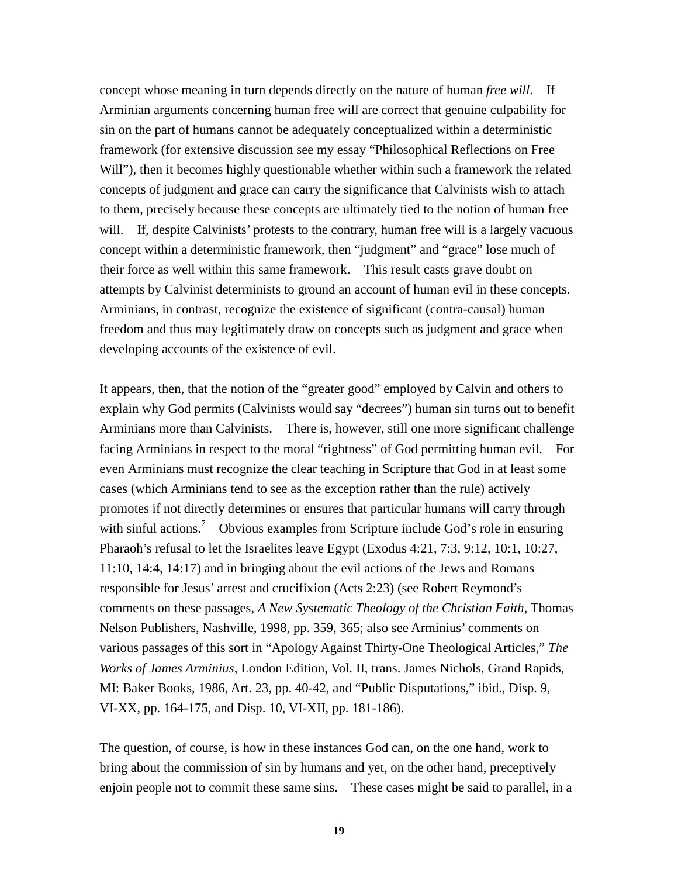concept whose meaning in turn depends directly on the nature of human *free will*. If Arminian arguments concerning human free will are correct that genuine culpability for sin on the part of humans cannot be adequately conceptualized within a deterministic framework (for extensive discussion see my essay "Philosophical Reflections on Free Will"), then it becomes highly questionable whether within such a framework the related concepts of judgment and grace can carry the significance that Calvinists wish to attach to them, precisely because these concepts are ultimately tied to the notion of human free will. If, despite Calvinists' protests to the contrary, human free will is a largely vacuous concept within a deterministic framework, then "judgment" and "grace" lose much of their force as well within this same framework. This result casts grave doubt on attempts by Calvinist determinists to ground an account of human evil in these concepts. Arminians, in contrast, recognize the existence of significant (contra-causal) human freedom and thus may legitimately draw on concepts such as judgment and grace when developing accounts of the existence of evil.

It appears, then, that the notion of the "greater good" employed by Calvin and others to explain why God permits (Calvinists would say "decrees") human sin turns out to benefit Arminians more than Calvinists. There is, however, still one more significant challenge facing Arminians in respect to the moral "rightness" of God permitting human evil. For even Arminians must recognize the clear teaching in Scripture that God in at least some cases (which Arminians tend to see as the exception rather than the rule) actively promotes if not directly determines or ensures that particular humans will carry through with sinful actions.<sup>7</sup> Obvious examples from Scripture include God's role in ensuring Pharaoh's refusal to let the Israelites leave Egypt (Exodus 4:21, 7:3, 9:12, 10:1, 10:27, 11:10, 14:4, 14:17) and in bringing about the evil actions of the Jews and Romans responsible for Jesus' arrest and crucifixion (Acts 2:23) (see Robert Reymond's comments on these passages, *A New Systematic Theology of the Christian Faith*, Thomas Nelson Publishers, Nashville, 1998, pp. 359, 365; also see Arminius' comments on various passages of this sort in "Apology Against Thirty-One Theological Articles," *The Works of James Arminius*, London Edition, Vol. II, trans. James Nichols, Grand Rapids, MI: Baker Books, 1986, Art. 23, pp. 40-42, and "Public Disputations," ibid., Disp. 9, VI-XX, pp. 164-175, and Disp. 10, VI-XII, pp. 181-186).

The question, of course, is how in these instances God can, on the one hand, work to bring about the commission of sin by humans and yet, on the other hand, preceptively enjoin people not to commit these same sins. These cases might be said to parallel, in a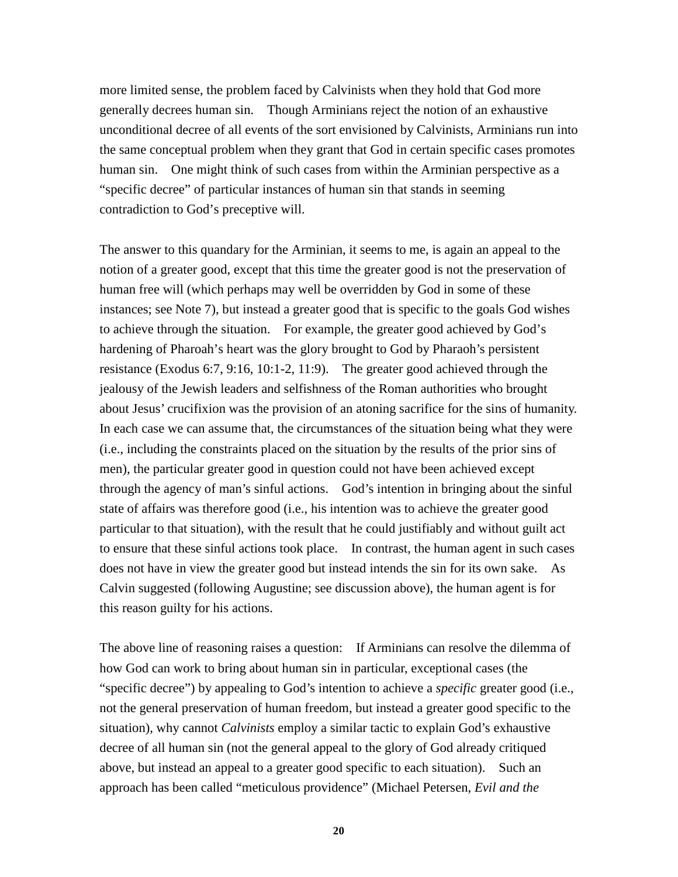more limited sense, the problem faced by Calvinists when they hold that God more generally decrees human sin. Though Arminians reject the notion of an exhaustive unconditional decree of all events of the sort envisioned by Calvinists, Arminians run into the same conceptual problem when they grant that God in certain specific cases promotes human sin. One might think of such cases from within the Arminian perspective as a "specific decree" of particular instances of human sin that stands in seeming contradiction to God's preceptive will.

The answer to this quandary for the Arminian, it seems to me, is again an appeal to the notion of a greater good, except that this time the greater good is not the preservation of human free will (which perhaps may well be overridden by God in some of these instances; see Note 7), but instead a greater good that is specific to the goals God wishes to achieve through the situation. For example, the greater good achieved by God's hardening of Pharoah's heart was the glory brought to God by Pharaoh's persistent resistance (Exodus 6:7, 9:16, 10:1-2, 11:9). The greater good achieved through the jealousy of the Jewish leaders and selfishness of the Roman authorities who brought about Jesus' crucifixion was the provision of an atoning sacrifice for the sins of humanity. In each case we can assume that, the circumstances of the situation being what they were (i.e., including the constraints placed on the situation by the results of the prior sins of men), the particular greater good in question could not have been achieved except through the agency of man's sinful actions. God's intention in bringing about the sinful state of affairs was therefore good (i.e., his intention was to achieve the greater good particular to that situation), with the result that he could justifiably and without guilt act to ensure that these sinful actions took place. In contrast, the human agent in such cases does not have in view the greater good but instead intends the sin for its own sake. As Calvin suggested (following Augustine; see discussion above), the human agent is for this reason guilty for his actions.

The above line of reasoning raises a question: If Arminians can resolve the dilemma of how God can work to bring about human sin in particular, exceptional cases (the "specific decree") by appealing to God's intention to achieve a *specific* greater good (i.e., not the general preservation of human freedom, but instead a greater good specific to the situation), why cannot *Calvinists* employ a similar tactic to explain God's exhaustive decree of all human sin (not the general appeal to the glory of God already critiqued above, but instead an appeal to a greater good specific to each situation). Such an approach has been called "meticulous providence" (Michael Petersen, *Evil and the* 

**20**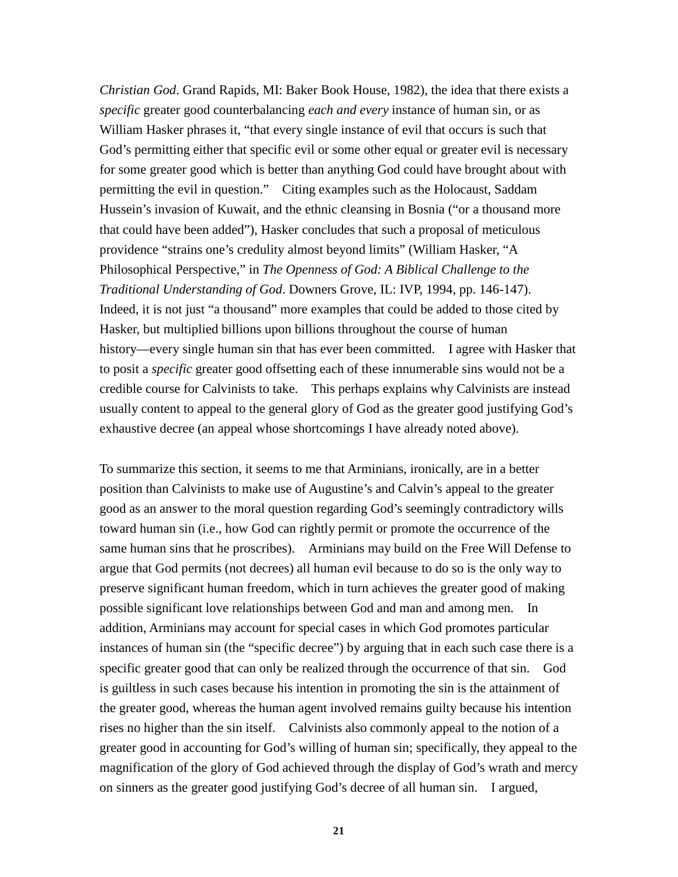*Christian God*. Grand Rapids, MI: Baker Book House, 1982), the idea that there exists a *specific* greater good counterbalancing *each and every* instance of human sin, or as William Hasker phrases it, "that every single instance of evil that occurs is such that God's permitting either that specific evil or some other equal or greater evil is necessary for some greater good which is better than anything God could have brought about with permitting the evil in question." Citing examples such as the Holocaust, Saddam Hussein's invasion of Kuwait, and the ethnic cleansing in Bosnia ("or a thousand more that could have been added"), Hasker concludes that such a proposal of meticulous providence "strains one's credulity almost beyond limits" (William Hasker, "A Philosophical Perspective," in *The Openness of God: A Biblical Challenge to the Traditional Understanding of God*. Downers Grove, IL: IVP, 1994, pp. 146-147). Indeed, it is not just "a thousand" more examples that could be added to those cited by Hasker, but multiplied billions upon billions throughout the course of human history—every single human sin that has ever been committed. I agree with Hasker that to posit a *specific* greater good offsetting each of these innumerable sins would not be a credible course for Calvinists to take. This perhaps explains why Calvinists are instead usually content to appeal to the general glory of God as the greater good justifying God's exhaustive decree (an appeal whose shortcomings I have already noted above).

To summarize this section, it seems to me that Arminians, ironically, are in a better position than Calvinists to make use of Augustine's and Calvin's appeal to the greater good as an answer to the moral question regarding God's seemingly contradictory wills toward human sin (i.e., how God can rightly permit or promote the occurrence of the same human sins that he proscribes). Arminians may build on the Free Will Defense to argue that God permits (not decrees) all human evil because to do so is the only way to preserve significant human freedom, which in turn achieves the greater good of making possible significant love relationships between God and man and among men. In addition, Arminians may account for special cases in which God promotes particular instances of human sin (the "specific decree") by arguing that in each such case there is a specific greater good that can only be realized through the occurrence of that sin. God is guiltless in such cases because his intention in promoting the sin is the attainment of the greater good, whereas the human agent involved remains guilty because his intention rises no higher than the sin itself. Calvinists also commonly appeal to the notion of a greater good in accounting for God's willing of human sin; specifically, they appeal to the magnification of the glory of God achieved through the display of God's wrath and mercy on sinners as the greater good justifying God's decree of all human sin. I argued,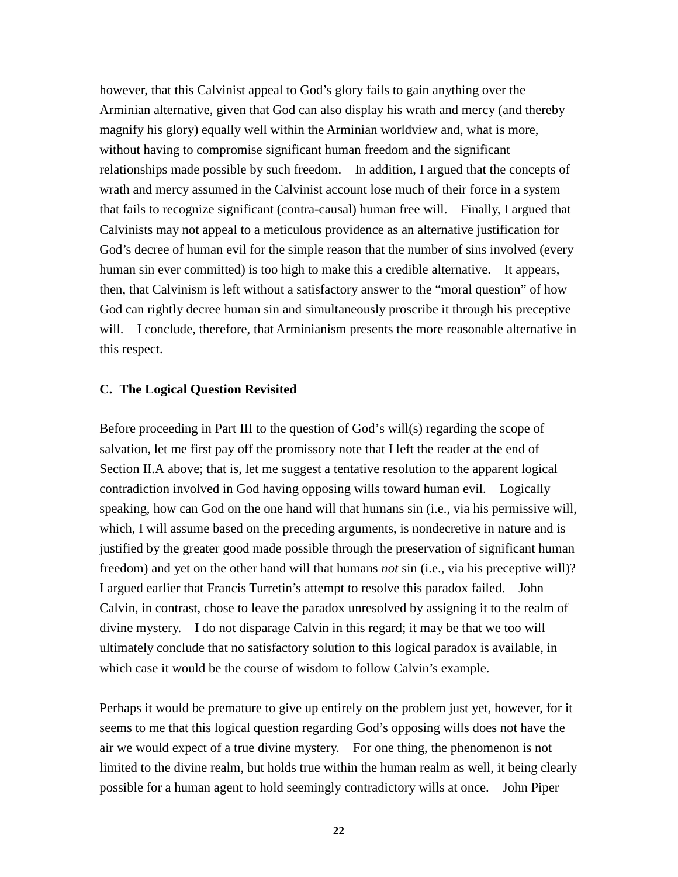however, that this Calvinist appeal to God's glory fails to gain anything over the Arminian alternative, given that God can also display his wrath and mercy (and thereby magnify his glory) equally well within the Arminian worldview and, what is more, without having to compromise significant human freedom and the significant relationships made possible by such freedom. In addition, I argued that the concepts of wrath and mercy assumed in the Calvinist account lose much of their force in a system that fails to recognize significant (contra-causal) human free will. Finally, I argued that Calvinists may not appeal to a meticulous providence as an alternative justification for God's decree of human evil for the simple reason that the number of sins involved (every human sin ever committed) is too high to make this a credible alternative. It appears, then, that Calvinism is left without a satisfactory answer to the "moral question" of how God can rightly decree human sin and simultaneously proscribe it through his preceptive will. I conclude, therefore, that Arminianism presents the more reasonable alternative in this respect.

### **C. The Logical Question Revisited**

Before proceeding in Part III to the question of God's will(s) regarding the scope of salvation, let me first pay off the promissory note that I left the reader at the end of Section II.A above; that is, let me suggest a tentative resolution to the apparent logical contradiction involved in God having opposing wills toward human evil. Logically speaking, how can God on the one hand will that humans sin (i.e., via his permissive will, which, I will assume based on the preceding arguments, is nondecretive in nature and is justified by the greater good made possible through the preservation of significant human freedom) and yet on the other hand will that humans *not* sin (i.e., via his preceptive will)? I argued earlier that Francis Turretin's attempt to resolve this paradox failed. John Calvin, in contrast, chose to leave the paradox unresolved by assigning it to the realm of divine mystery. I do not disparage Calvin in this regard; it may be that we too will ultimately conclude that no satisfactory solution to this logical paradox is available, in which case it would be the course of wisdom to follow Calvin's example.

Perhaps it would be premature to give up entirely on the problem just yet, however, for it seems to me that this logical question regarding God's opposing wills does not have the air we would expect of a true divine mystery. For one thing, the phenomenon is not limited to the divine realm, but holds true within the human realm as well, it being clearly possible for a human agent to hold seemingly contradictory wills at once. John Piper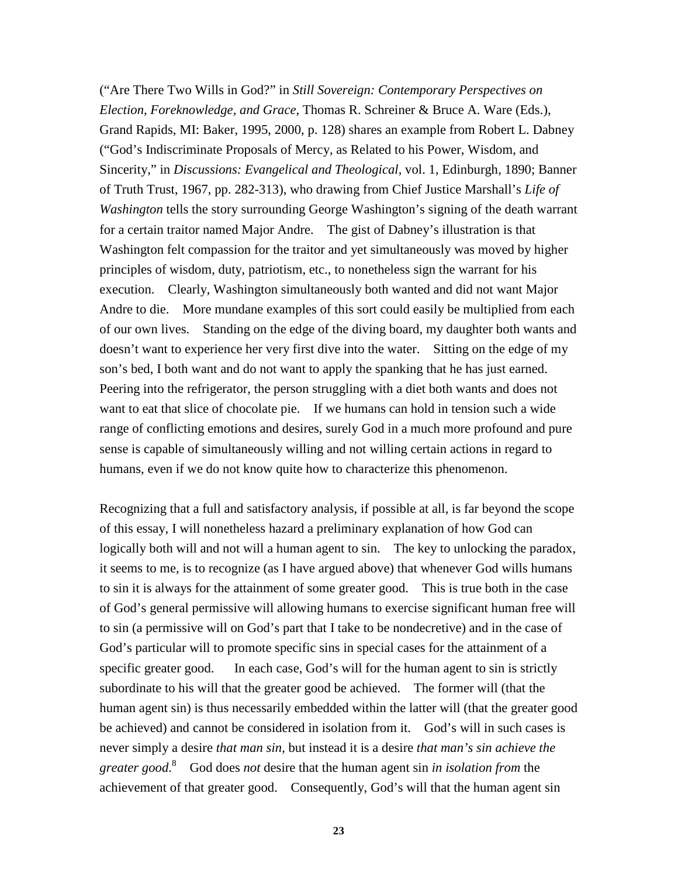("Are There Two Wills in God?" in *Still Sovereign: Contemporary Perspectives on Election, Foreknowledge, and Grace*, Thomas R. Schreiner & Bruce A. Ware (Eds.), Grand Rapids, MI: Baker, 1995, 2000, p. 128) shares an example from Robert L. Dabney ("God's Indiscriminate Proposals of Mercy, as Related to his Power, Wisdom, and Sincerity," in *Discussions: Evangelical and Theological,* vol. 1, Edinburgh, 1890; Banner of Truth Trust, 1967, pp. 282-313), who drawing from Chief Justice Marshall's *Life of Washington* tells the story surrounding George Washington's signing of the death warrant for a certain traitor named Major Andre. The gist of Dabney's illustration is that Washington felt compassion for the traitor and yet simultaneously was moved by higher principles of wisdom, duty, patriotism, etc., to nonetheless sign the warrant for his execution. Clearly, Washington simultaneously both wanted and did not want Major Andre to die. More mundane examples of this sort could easily be multiplied from each of our own lives. Standing on the edge of the diving board, my daughter both wants and doesn't want to experience her very first dive into the water. Sitting on the edge of my son's bed, I both want and do not want to apply the spanking that he has just earned. Peering into the refrigerator, the person struggling with a diet both wants and does not want to eat that slice of chocolate pie. If we humans can hold in tension such a wide range of conflicting emotions and desires, surely God in a much more profound and pure sense is capable of simultaneously willing and not willing certain actions in regard to humans, even if we do not know quite how to characterize this phenomenon.

Recognizing that a full and satisfactory analysis, if possible at all, is far beyond the scope of this essay, I will nonetheless hazard a preliminary explanation of how God can logically both will and not will a human agent to sin. The key to unlocking the paradox, it seems to me, is to recognize (as I have argued above) that whenever God wills humans to sin it is always for the attainment of some greater good. This is true both in the case of God's general permissive will allowing humans to exercise significant human free will to sin (a permissive will on God's part that I take to be nondecretive) and in the case of God's particular will to promote specific sins in special cases for the attainment of a specific greater good. In each case, God's will for the human agent to sin is strictly subordinate to his will that the greater good be achieved. The former will (that the human agent sin) is thus necessarily embedded within the latter will (that the greater good be achieved) and cannot be considered in isolation from it. God's will in such cases is never simply a desire *that man sin,* but instead it is a desire *that man's sin achieve the greater good*. 8 God does *not* desire that the human agent sin *in isolation from* the achievement of that greater good. Consequently, God's will that the human agent sin

**23**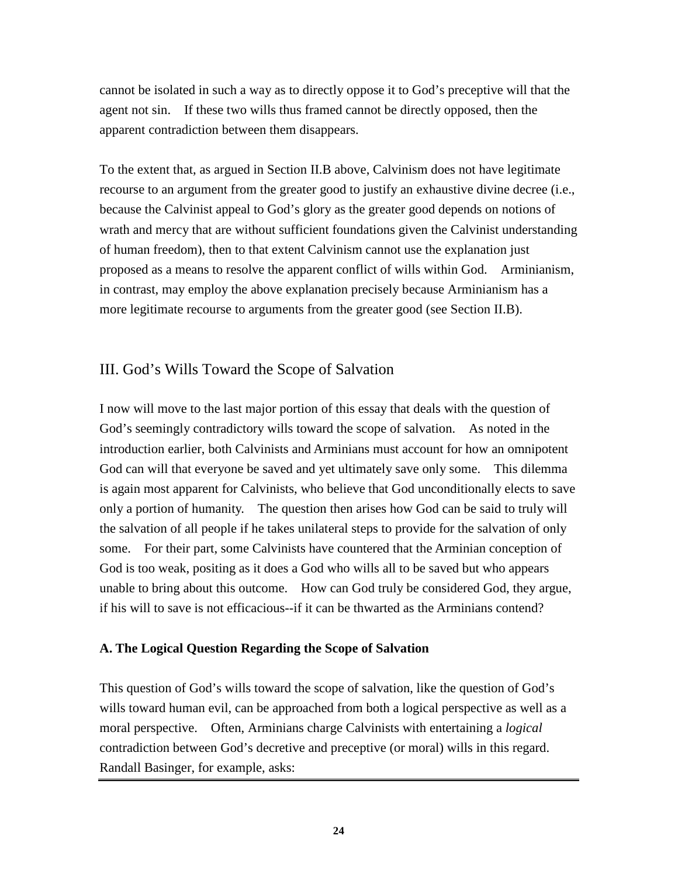cannot be isolated in such a way as to directly oppose it to God's preceptive will that the agent not sin. If these two wills thus framed cannot be directly opposed, then the apparent contradiction between them disappears.

To the extent that, as argued in Section II.B above, Calvinism does not have legitimate recourse to an argument from the greater good to justify an exhaustive divine decree (i.e., because the Calvinist appeal to God's glory as the greater good depends on notions of wrath and mercy that are without sufficient foundations given the Calvinist understanding of human freedom), then to that extent Calvinism cannot use the explanation just proposed as a means to resolve the apparent conflict of wills within God. Arminianism, in contrast, may employ the above explanation precisely because Arminianism has a more legitimate recourse to arguments from the greater good (see Section II.B).

## III. God's Wills Toward the Scope of Salvation

I now will move to the last major portion of this essay that deals with the question of God's seemingly contradictory wills toward the scope of salvation. As noted in the introduction earlier, both Calvinists and Arminians must account for how an omnipotent God can will that everyone be saved and yet ultimately save only some. This dilemma is again most apparent for Calvinists, who believe that God unconditionally elects to save only a portion of humanity. The question then arises how God can be said to truly will the salvation of all people if he takes unilateral steps to provide for the salvation of only some. For their part, some Calvinists have countered that the Arminian conception of God is too weak, positing as it does a God who wills all to be saved but who appears unable to bring about this outcome. How can God truly be considered God, they argue, if his will to save is not efficacious--if it can be thwarted as the Arminians contend?

## **A. The Logical Question Regarding the Scope of Salvation**

This question of God's wills toward the scope of salvation, like the question of God's wills toward human evil, can be approached from both a logical perspective as well as a moral perspective. Often, Arminians charge Calvinists with entertaining a *logical* contradiction between God's decretive and preceptive (or moral) wills in this regard. Randall Basinger, for example, asks: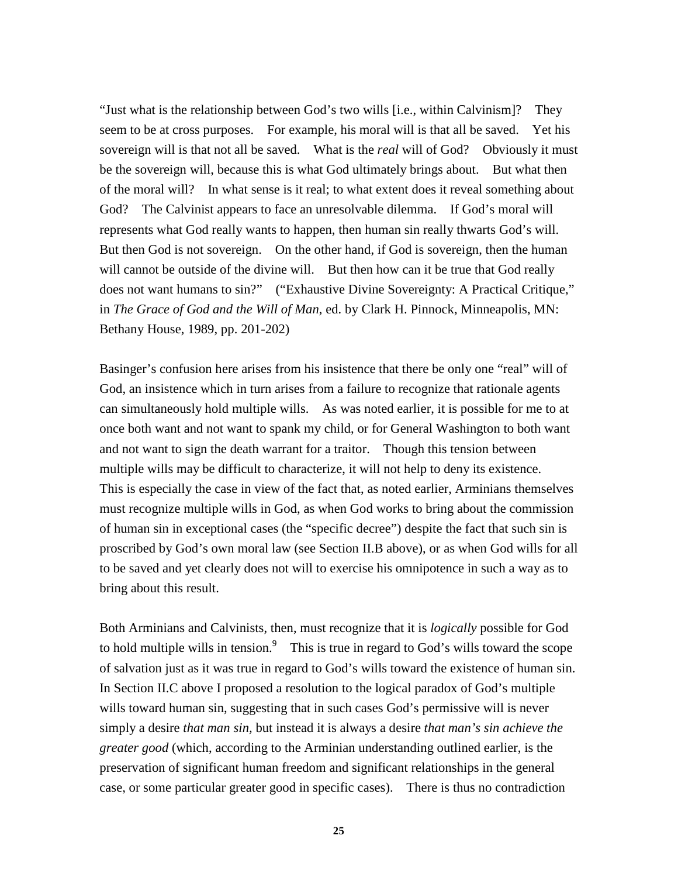"Just what is the relationship between God's two wills [i.e., within Calvinism]? They seem to be at cross purposes. For example, his moral will is that all be saved. Yet his sovereign will is that not all be saved. What is the *real* will of God? Obviously it must be the sovereign will, because this is what God ultimately brings about. But what then of the moral will? In what sense is it real; to what extent does it reveal something about God? The Calvinist appears to face an unresolvable dilemma. If God's moral will represents what God really wants to happen, then human sin really thwarts God's will. But then God is not sovereign. On the other hand, if God is sovereign, then the human will cannot be outside of the divine will. But then how can it be true that God really does not want humans to sin?" ("Exhaustive Divine Sovereignty: A Practical Critique," in *The Grace of God and the Will of Man*, ed. by Clark H. Pinnock, Minneapolis, MN: Bethany House, 1989, pp. 201-202)

Basinger's confusion here arises from his insistence that there be only one "real" will of God, an insistence which in turn arises from a failure to recognize that rationale agents can simultaneously hold multiple wills. As was noted earlier, it is possible for me to at once both want and not want to spank my child, or for General Washington to both want and not want to sign the death warrant for a traitor. Though this tension between multiple wills may be difficult to characterize, it will not help to deny its existence. This is especially the case in view of the fact that, as noted earlier, Arminians themselves must recognize multiple wills in God, as when God works to bring about the commission of human sin in exceptional cases (the "specific decree") despite the fact that such sin is proscribed by God's own moral law (see Section II.B above), or as when God wills for all to be saved and yet clearly does not will to exercise his omnipotence in such a way as to bring about this result.

Both Arminians and Calvinists, then, must recognize that it is *logically* possible for God to hold multiple wills in tension.<sup>9</sup> This is true in regard to God's wills toward the scope of salvation just as it was true in regard to God's wills toward the existence of human sin. In Section II.C above I proposed a resolution to the logical paradox of God's multiple wills toward human sin, suggesting that in such cases God's permissive will is never simply a desire *that man sin,* but instead it is always a desire *that man's sin achieve the greater good* (which, according to the Arminian understanding outlined earlier, is the preservation of significant human freedom and significant relationships in the general case, or some particular greater good in specific cases). There is thus no contradiction

**25**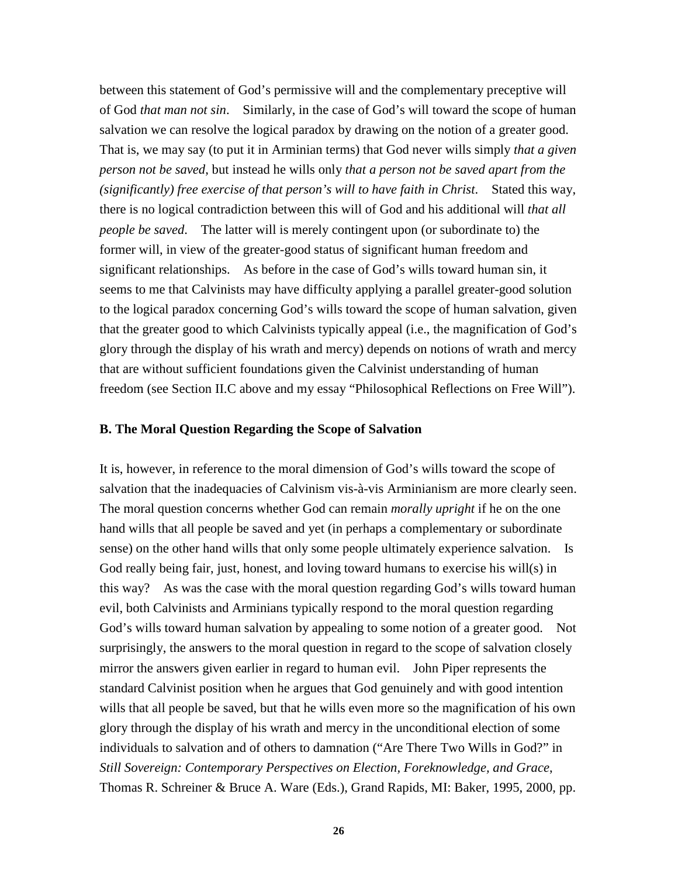between this statement of God's permissive will and the complementary preceptive will of God *that man not sin*. Similarly, in the case of God's will toward the scope of human salvation we can resolve the logical paradox by drawing on the notion of a greater good. That is, we may say (to put it in Arminian terms) that God never wills simply *that a given person not be saved*, but instead he wills only *that a person not be saved apart from the (significantly) free exercise of that person's will to have faith in Christ*. Stated this way, there is no logical contradiction between this will of God and his additional will *that all people be saved*. The latter will is merely contingent upon (or subordinate to) the former will, in view of the greater-good status of significant human freedom and significant relationships. As before in the case of God's wills toward human sin, it seems to me that Calvinists may have difficulty applying a parallel greater-good solution to the logical paradox concerning God's wills toward the scope of human salvation, given that the greater good to which Calvinists typically appeal (i.e., the magnification of God's glory through the display of his wrath and mercy) depends on notions of wrath and mercy that are without sufficient foundations given the Calvinist understanding of human freedom (see Section II.C above and my essay "Philosophical Reflections on Free Will").

#### **B. The Moral Question Regarding the Scope of Salvation**

It is, however, in reference to the moral dimension of God's wills toward the scope of salvation that the inadequacies of Calvinism vis-à-vis Arminianism are more clearly seen. The moral question concerns whether God can remain *morally upright* if he on the one hand wills that all people be saved and yet (in perhaps a complementary or subordinate sense) on the other hand wills that only some people ultimately experience salvation. Is God really being fair, just, honest, and loving toward humans to exercise his will(s) in this way? As was the case with the moral question regarding God's wills toward human evil, both Calvinists and Arminians typically respond to the moral question regarding God's wills toward human salvation by appealing to some notion of a greater good. Not surprisingly, the answers to the moral question in regard to the scope of salvation closely mirror the answers given earlier in regard to human evil. John Piper represents the standard Calvinist position when he argues that God genuinely and with good intention wills that all people be saved, but that he wills even more so the magnification of his own glory through the display of his wrath and mercy in the unconditional election of some individuals to salvation and of others to damnation ("Are There Two Wills in God?" in *Still Sovereign: Contemporary Perspectives on Election, Foreknowledge, and Grace*, Thomas R. Schreiner & Bruce A. Ware (Eds.), Grand Rapids, MI: Baker, 1995, 2000, pp.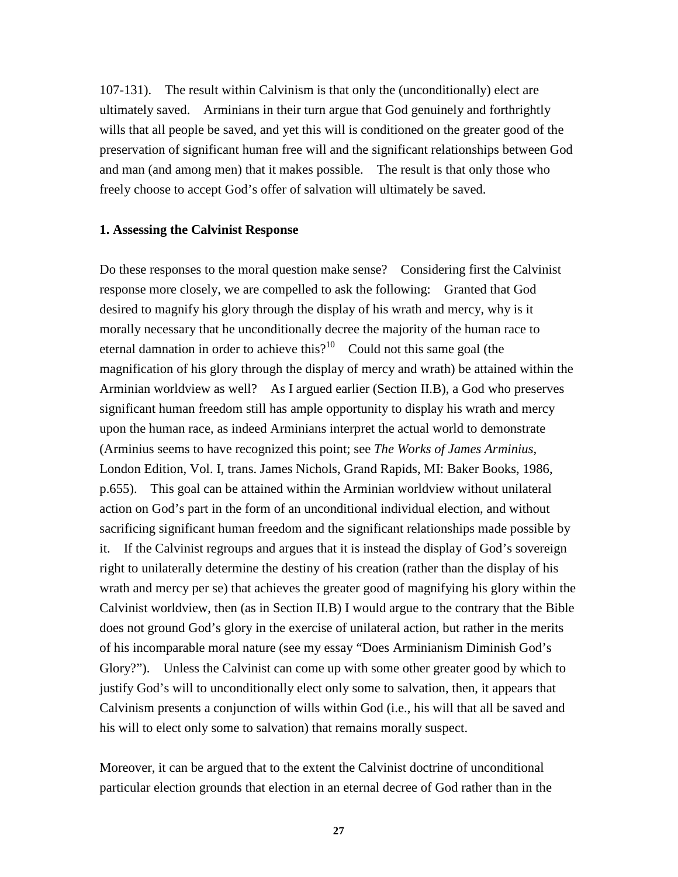107-131). The result within Calvinism is that only the (unconditionally) elect are ultimately saved. Arminians in their turn argue that God genuinely and forthrightly wills that all people be saved, and yet this will is conditioned on the greater good of the preservation of significant human free will and the significant relationships between God and man (and among men) that it makes possible. The result is that only those who freely choose to accept God's offer of salvation will ultimately be saved.

#### **1. Assessing the Calvinist Response**

Do these responses to the moral question make sense? Considering first the Calvinist response more closely, we are compelled to ask the following: Granted that God desired to magnify his glory through the display of his wrath and mercy, why is it morally necessary that he unconditionally decree the majority of the human race to eternal damnation in order to achieve this?<sup>10</sup> Could not this same goal (the magnification of his glory through the display of mercy and wrath) be attained within the Arminian worldview as well? As I argued earlier (Section II.B), a God who preserves significant human freedom still has ample opportunity to display his wrath and mercy upon the human race, as indeed Arminians interpret the actual world to demonstrate (Arminius seems to have recognized this point; see *The Works of James Arminius*, London Edition, Vol. I, trans. James Nichols, Grand Rapids, MI: Baker Books, 1986, p.655). This goal can be attained within the Arminian worldview without unilateral action on God's part in the form of an unconditional individual election, and without sacrificing significant human freedom and the significant relationships made possible by it. If the Calvinist regroups and argues that it is instead the display of God's sovereign right to unilaterally determine the destiny of his creation (rather than the display of his wrath and mercy per se) that achieves the greater good of magnifying his glory within the Calvinist worldview, then (as in Section II.B) I would argue to the contrary that the Bible does not ground God's glory in the exercise of unilateral action, but rather in the merits of his incomparable moral nature (see my essay "Does Arminianism Diminish God's Glory?"). Unless the Calvinist can come up with some other greater good by which to justify God's will to unconditionally elect only some to salvation, then, it appears that Calvinism presents a conjunction of wills within God (i.e., his will that all be saved and his will to elect only some to salvation) that remains morally suspect.

Moreover, it can be argued that to the extent the Calvinist doctrine of unconditional particular election grounds that election in an eternal decree of God rather than in the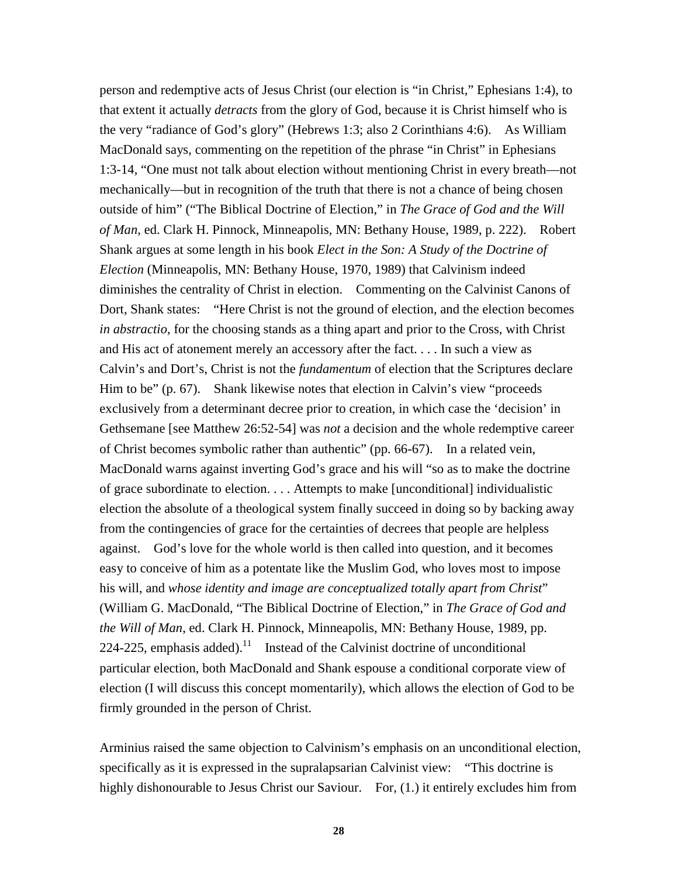person and redemptive acts of Jesus Christ (our election is "in Christ," Ephesians 1:4), to that extent it actually *detracts* from the glory of God, because it is Christ himself who is the very "radiance of God's glory" (Hebrews 1:3; also 2 Corinthians 4:6). As William MacDonald says, commenting on the repetition of the phrase "in Christ" in Ephesians 1:3-14, "One must not talk about election without mentioning Christ in every breath—not mechanically—but in recognition of the truth that there is not a chance of being chosen outside of him" ("The Biblical Doctrine of Election," in *The Grace of God and the Will of Man*, ed. Clark H. Pinnock, Minneapolis, MN: Bethany House, 1989, p. 222). Robert Shank argues at some length in his book *Elect in the Son: A Study of the Doctrine of Election* (Minneapolis, MN: Bethany House, 1970, 1989) that Calvinism indeed diminishes the centrality of Christ in election. Commenting on the Calvinist Canons of Dort, Shank states: "Here Christ is not the ground of election, and the election becomes *in abstractio*, for the choosing stands as a thing apart and prior to the Cross, with Christ and His act of atonement merely an accessory after the fact. . . . In such a view as Calvin's and Dort's, Christ is not the *fundamentum* of election that the Scriptures declare Him to be" (p. 67). Shank likewise notes that election in Calvin's view "proceeds" exclusively from a determinant decree prior to creation, in which case the 'decision' in Gethsemane [see Matthew 26:52-54] was *not* a decision and the whole redemptive career of Christ becomes symbolic rather than authentic" (pp. 66-67). In a related vein, MacDonald warns against inverting God's grace and his will "so as to make the doctrine of grace subordinate to election. . . . Attempts to make [unconditional] individualistic election the absolute of a theological system finally succeed in doing so by backing away from the contingencies of grace for the certainties of decrees that people are helpless against. God's love for the whole world is then called into question, and it becomes easy to conceive of him as a potentate like the Muslim God, who loves most to impose his will, and *whose identity and image are conceptualized totally apart from Christ*" (William G. MacDonald, "The Biblical Doctrine of Election," in *The Grace of God and the Will of Man*, ed. Clark H. Pinnock, Minneapolis, MN: Bethany House, 1989, pp. 224-225, emphasis added).<sup>11</sup> Instead of the Calvinist doctrine of unconditional particular election, both MacDonald and Shank espouse a conditional corporate view of election (I will discuss this concept momentarily), which allows the election of God to be firmly grounded in the person of Christ.

Arminius raised the same objection to Calvinism's emphasis on an unconditional election, specifically as it is expressed in the supralapsarian Calvinist view: "This doctrine is highly dishonourable to Jesus Christ our Saviour. For, (1.) it entirely excludes him from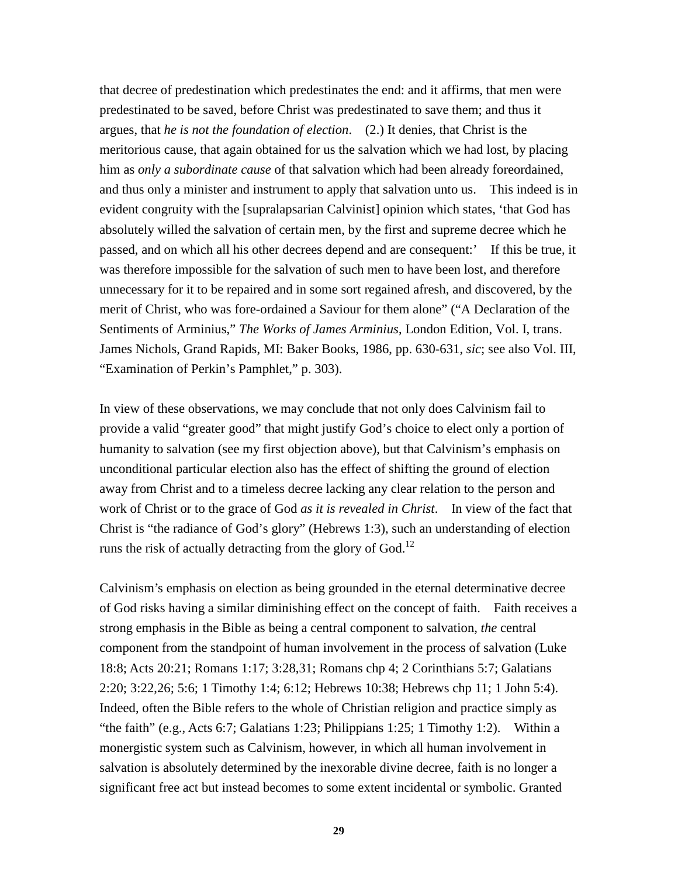that decree of predestination which predestinates the end: and it affirms, that men were predestinated to be saved, before Christ was predestinated to save them; and thus it argues, that *he is not the foundation of election*. (2.) It denies, that Christ is the meritorious cause, that again obtained for us the salvation which we had lost, by placing him as *only a subordinate cause* of that salvation which had been already foreordained, and thus only a minister and instrument to apply that salvation unto us. This indeed is in evident congruity with the [supralapsarian Calvinist] opinion which states, 'that God has absolutely willed the salvation of certain men, by the first and supreme decree which he passed, and on which all his other decrees depend and are consequent:' If this be true, it was therefore impossible for the salvation of such men to have been lost, and therefore unnecessary for it to be repaired and in some sort regained afresh, and discovered, by the merit of Christ, who was fore-ordained a Saviour for them alone" ("A Declaration of the Sentiments of Arminius," *The Works of James Arminius*, London Edition, Vol. I, trans. James Nichols, Grand Rapids, MI: Baker Books, 1986, pp. 630-631, *sic*; see also Vol. III, "Examination of Perkin's Pamphlet," p. 303).

In view of these observations, we may conclude that not only does Calvinism fail to provide a valid "greater good" that might justify God's choice to elect only a portion of humanity to salvation (see my first objection above), but that Calvinism's emphasis on unconditional particular election also has the effect of shifting the ground of election away from Christ and to a timeless decree lacking any clear relation to the person and work of Christ or to the grace of God *as it is revealed in Christ*. In view of the fact that Christ is "the radiance of God's glory" (Hebrews 1:3), such an understanding of election runs the risk of actually detracting from the glory of God.<sup>12</sup>

Calvinism's emphasis on election as being grounded in the eternal determinative decree of God risks having a similar diminishing effect on the concept of faith. Faith receives a strong emphasis in the Bible as being a central component to salvation, *the* central component from the standpoint of human involvement in the process of salvation (Luke 18:8; Acts 20:21; Romans 1:17; 3:28,31; Romans chp 4; 2 Corinthians 5:7; Galatians 2:20; 3:22,26; 5:6; 1 Timothy 1:4; 6:12; Hebrews 10:38; Hebrews chp 11; 1 John 5:4). Indeed, often the Bible refers to the whole of Christian religion and practice simply as "the faith" (e.g., Acts 6:7; Galatians 1:23; Philippians 1:25; 1 Timothy 1:2). Within a monergistic system such as Calvinism, however, in which all human involvement in salvation is absolutely determined by the inexorable divine decree, faith is no longer a significant free act but instead becomes to some extent incidental or symbolic. Granted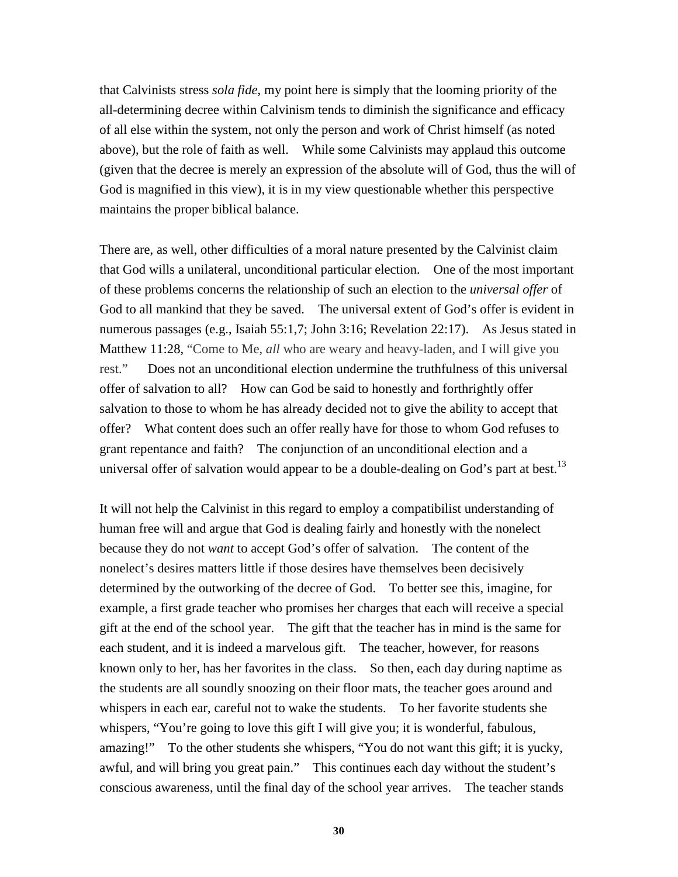that Calvinists stress *sola fide*, my point here is simply that the looming priority of the all-determining decree within Calvinism tends to diminish the significance and efficacy of all else within the system, not only the person and work of Christ himself (as noted above), but the role of faith as well. While some Calvinists may applaud this outcome (given that the decree is merely an expression of the absolute will of God, thus the will of God is magnified in this view), it is in my view questionable whether this perspective maintains the proper biblical balance.

There are, as well, other difficulties of a moral nature presented by the Calvinist claim that God wills a unilateral, unconditional particular election. One of the most important of these problems concerns the relationship of such an election to the *universal offer* of God to all mankind that they be saved. The universal extent of God's offer is evident in numerous passages (e.g., Isaiah 55:1,7; John 3:16; Revelation 22:17). As Jesus stated in Matthew 11:28, "Come to Me, *all* who are weary and heavy-laden, and I will give you rest." Does not an unconditional election undermine the truthfulness of this universal offer of salvation to all? How can God be said to honestly and forthrightly offer salvation to those to whom he has already decided not to give the ability to accept that offer? What content does such an offer really have for those to whom God refuses to grant repentance and faith? The conjunction of an unconditional election and a universal offer of salvation would appear to be a double-dealing on God's part at best.<sup>13</sup>

It will not help the Calvinist in this regard to employ a compatibilist understanding of human free will and argue that God is dealing fairly and honestly with the nonelect because they do not *want* to accept God's offer of salvation. The content of the nonelect's desires matters little if those desires have themselves been decisively determined by the outworking of the decree of God. To better see this, imagine, for example, a first grade teacher who promises her charges that each will receive a special gift at the end of the school year. The gift that the teacher has in mind is the same for each student, and it is indeed a marvelous gift. The teacher, however, for reasons known only to her, has her favorites in the class. So then, each day during naptime as the students are all soundly snoozing on their floor mats, the teacher goes around and whispers in each ear, careful not to wake the students. To her favorite students she whispers, "You're going to love this gift I will give you; it is wonderful, fabulous, amazing!" To the other students she whispers, "You do not want this gift; it is yucky, awful, and will bring you great pain." This continues each day without the student's conscious awareness, until the final day of the school year arrives. The teacher stands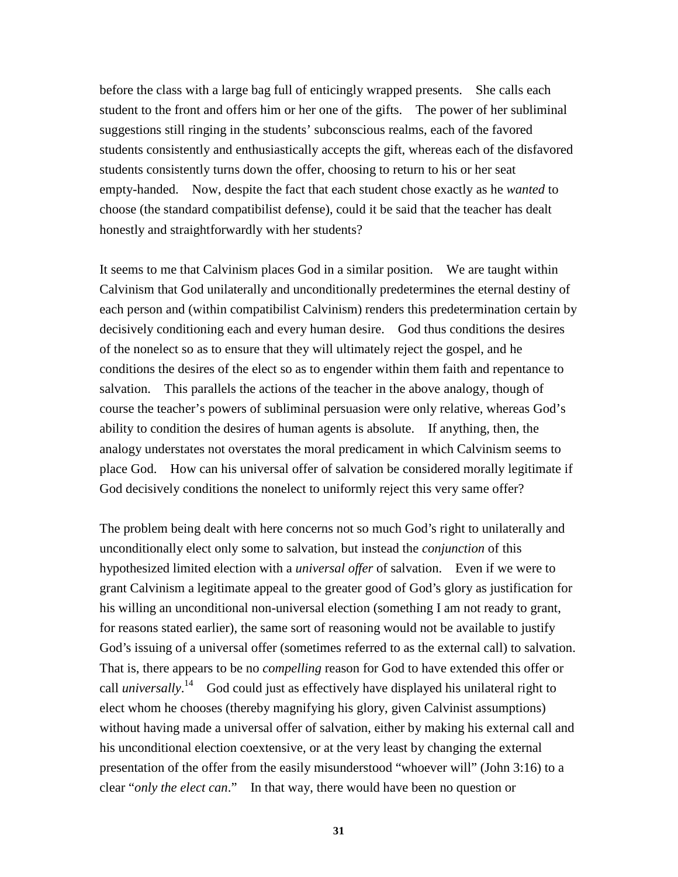before the class with a large bag full of enticingly wrapped presents. She calls each student to the front and offers him or her one of the gifts. The power of her subliminal suggestions still ringing in the students' subconscious realms, each of the favored students consistently and enthusiastically accepts the gift, whereas each of the disfavored students consistently turns down the offer, choosing to return to his or her seat empty-handed. Now, despite the fact that each student chose exactly as he *wanted* to choose (the standard compatibilist defense), could it be said that the teacher has dealt honestly and straightforwardly with her students?

It seems to me that Calvinism places God in a similar position. We are taught within Calvinism that God unilaterally and unconditionally predetermines the eternal destiny of each person and (within compatibilist Calvinism) renders this predetermination certain by decisively conditioning each and every human desire. God thus conditions the desires of the nonelect so as to ensure that they will ultimately reject the gospel, and he conditions the desires of the elect so as to engender within them faith and repentance to salvation. This parallels the actions of the teacher in the above analogy, though of course the teacher's powers of subliminal persuasion were only relative, whereas God's ability to condition the desires of human agents is absolute. If anything, then, the analogy understates not overstates the moral predicament in which Calvinism seems to place God. How can his universal offer of salvation be considered morally legitimate if God decisively conditions the nonelect to uniformly reject this very same offer?

The problem being dealt with here concerns not so much God's right to unilaterally and unconditionally elect only some to salvation, but instead the *conjunction* of this hypothesized limited election with a *universal offer* of salvation. Even if we were to grant Calvinism a legitimate appeal to the greater good of God's glory as justification for his willing an unconditional non-universal election (something I am not ready to grant, for reasons stated earlier), the same sort of reasoning would not be available to justify God's issuing of a universal offer (sometimes referred to as the external call) to salvation. That is, there appears to be no *compelling* reason for God to have extended this offer or call *universally*.<sup>14</sup> God could just as effectively have displayed his unilateral right to elect whom he chooses (thereby magnifying his glory, given Calvinist assumptions) without having made a universal offer of salvation, either by making his external call and his unconditional election coextensive, or at the very least by changing the external presentation of the offer from the easily misunderstood "whoever will" (John 3:16) to a clear "*only the elect can*." In that way, there would have been no question or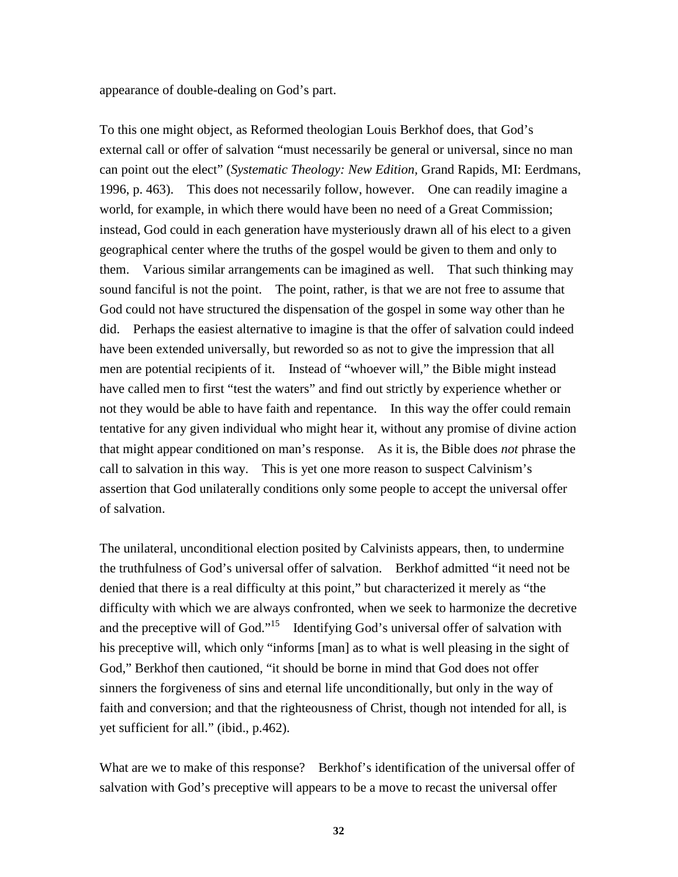appearance of double-dealing on God's part.

To this one might object, as Reformed theologian Louis Berkhof does, that God's external call or offer of salvation "must necessarily be general or universal, since no man can point out the elect" (*Systematic Theology: New Edition,* Grand Rapids, MI: Eerdmans, 1996, p. 463). This does not necessarily follow, however. One can readily imagine a world, for example, in which there would have been no need of a Great Commission; instead, God could in each generation have mysteriously drawn all of his elect to a given geographical center where the truths of the gospel would be given to them and only to them. Various similar arrangements can be imagined as well. That such thinking may sound fanciful is not the point. The point, rather, is that we are not free to assume that God could not have structured the dispensation of the gospel in some way other than he did. Perhaps the easiest alternative to imagine is that the offer of salvation could indeed have been extended universally, but reworded so as not to give the impression that all men are potential recipients of it. Instead of "whoever will," the Bible might instead have called men to first "test the waters" and find out strictly by experience whether or not they would be able to have faith and repentance. In this way the offer could remain tentative for any given individual who might hear it, without any promise of divine action that might appear conditioned on man's response. As it is, the Bible does *not* phrase the call to salvation in this way. This is yet one more reason to suspect Calvinism's assertion that God unilaterally conditions only some people to accept the universal offer of salvation.

The unilateral, unconditional election posited by Calvinists appears, then, to undermine the truthfulness of God's universal offer of salvation. Berkhof admitted "it need not be denied that there is a real difficulty at this point," but characterized it merely as "the difficulty with which we are always confronted, when we seek to harmonize the decretive and the preceptive will of God."<sup>15</sup> Identifying God's universal offer of salvation with his preceptive will, which only "informs [man] as to what is well pleasing in the sight of God," Berkhof then cautioned, "it should be borne in mind that God does not offer sinners the forgiveness of sins and eternal life unconditionally, but only in the way of faith and conversion; and that the righteousness of Christ, though not intended for all, is yet sufficient for all." (ibid., p.462).

What are we to make of this response? Berkhof's identification of the universal offer of salvation with God's preceptive will appears to be a move to recast the universal offer

**32**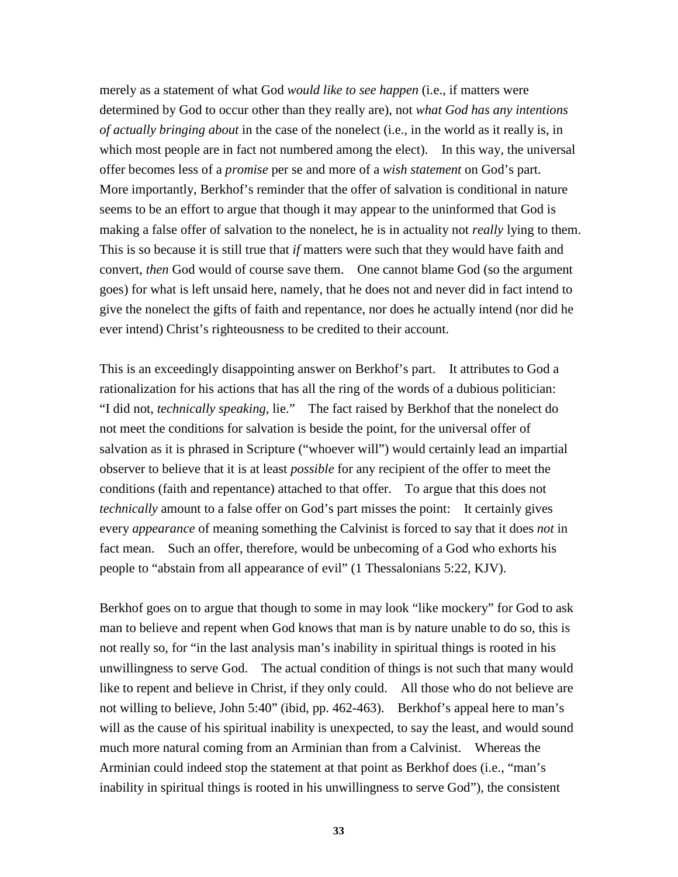merely as a statement of what God *would like to see happen* (i.e., if matters were determined by God to occur other than they really are), not *what God has any intentions of actually bringing about* in the case of the nonelect (i.e., in the world as it really is, in which most people are in fact not numbered among the elect). In this way, the universal offer becomes less of a *promise* per se and more of a *wish statement* on God's part. More importantly, Berkhof's reminder that the offer of salvation is conditional in nature seems to be an effort to argue that though it may appear to the uninformed that God is making a false offer of salvation to the nonelect, he is in actuality not *really* lying to them. This is so because it is still true that *if* matters were such that they would have faith and convert, *then* God would of course save them. One cannot blame God (so the argument goes) for what is left unsaid here, namely, that he does not and never did in fact intend to give the nonelect the gifts of faith and repentance, nor does he actually intend (nor did he ever intend) Christ's righteousness to be credited to their account.

This is an exceedingly disappointing answer on Berkhof's part. It attributes to God a rationalization for his actions that has all the ring of the words of a dubious politician: "I did not, *technically speaking*, lie." The fact raised by Berkhof that the nonelect do not meet the conditions for salvation is beside the point, for the universal offer of salvation as it is phrased in Scripture ("whoever will") would certainly lead an impartial observer to believe that it is at least *possible* for any recipient of the offer to meet the conditions (faith and repentance) attached to that offer. To argue that this does not *technically* amount to a false offer on God's part misses the point: It certainly gives every *appearance* of meaning something the Calvinist is forced to say that it does *not* in fact mean. Such an offer, therefore, would be unbecoming of a God who exhorts his people to "abstain from all appearance of evil" (1 Thessalonians 5:22, KJV).

Berkhof goes on to argue that though to some in may look "like mockery" for God to ask man to believe and repent when God knows that man is by nature unable to do so, this is not really so, for "in the last analysis man's inability in spiritual things is rooted in his unwillingness to serve God. The actual condition of things is not such that many would like to repent and believe in Christ, if they only could. All those who do not believe are not willing to believe, John 5:40" (ibid, pp. 462-463). Berkhof's appeal here to man's will as the cause of his spiritual inability is unexpected, to say the least, and would sound much more natural coming from an Arminian than from a Calvinist. Whereas the Arminian could indeed stop the statement at that point as Berkhof does (i.e., "man's inability in spiritual things is rooted in his unwillingness to serve God"), the consistent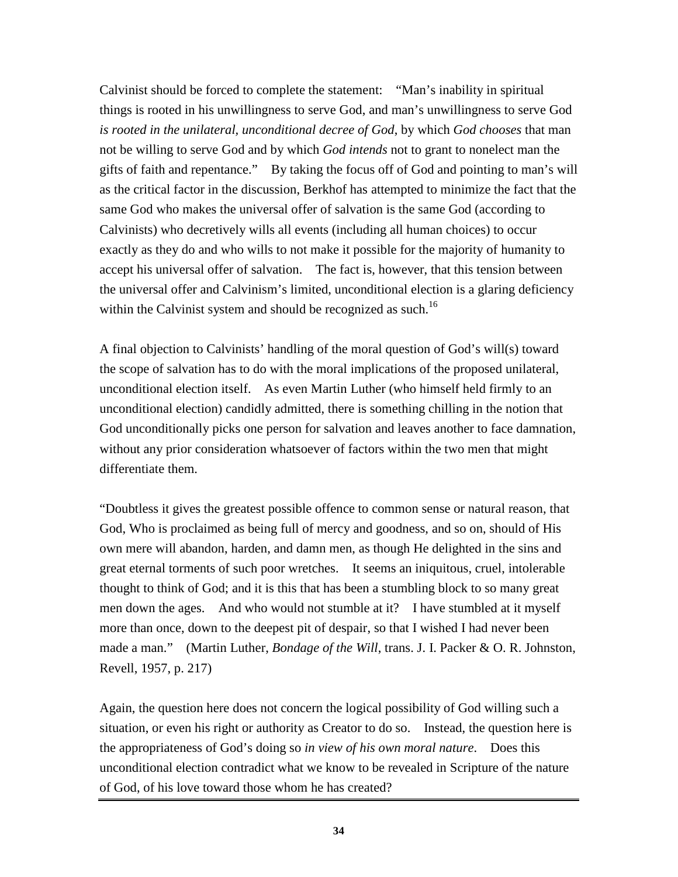Calvinist should be forced to complete the statement: "Man's inability in spiritual things is rooted in his unwillingness to serve God, and man's unwillingness to serve God *is rooted in the unilateral, unconditional decree of God*, by which *God chooses* that man not be willing to serve God and by which *God intends* not to grant to nonelect man the gifts of faith and repentance." By taking the focus off of God and pointing to man's will as the critical factor in the discussion, Berkhof has attempted to minimize the fact that the same God who makes the universal offer of salvation is the same God (according to Calvinists) who decretively wills all events (including all human choices) to occur exactly as they do and who wills to not make it possible for the majority of humanity to accept his universal offer of salvation. The fact is, however, that this tension between the universal offer and Calvinism's limited, unconditional election is a glaring deficiency within the Calvinist system and should be recognized as such.<sup>16</sup>

A final objection to Calvinists' handling of the moral question of God's will(s) toward the scope of salvation has to do with the moral implications of the proposed unilateral, unconditional election itself. As even Martin Luther (who himself held firmly to an unconditional election) candidly admitted, there is something chilling in the notion that God unconditionally picks one person for salvation and leaves another to face damnation, without any prior consideration whatsoever of factors within the two men that might differentiate them.

"Doubtless it gives the greatest possible offence to common sense or natural reason, that God, Who is proclaimed as being full of mercy and goodness, and so on, should of His own mere will abandon, harden, and damn men, as though He delighted in the sins and great eternal torments of such poor wretches. It seems an iniquitous, cruel, intolerable thought to think of God; and it is this that has been a stumbling block to so many great men down the ages. And who would not stumble at it? I have stumbled at it myself more than once, down to the deepest pit of despair, so that I wished I had never been made a man." (Martin Luther, *Bondage of the Will*, trans. J. I. Packer & O. R. Johnston, Revell, 1957, p. 217)

Again, the question here does not concern the logical possibility of God willing such a situation, or even his right or authority as Creator to do so. Instead, the question here is the appropriateness of God's doing so *in view of his own moral nature*. Does this unconditional election contradict what we know to be revealed in Scripture of the nature of God, of his love toward those whom he has created?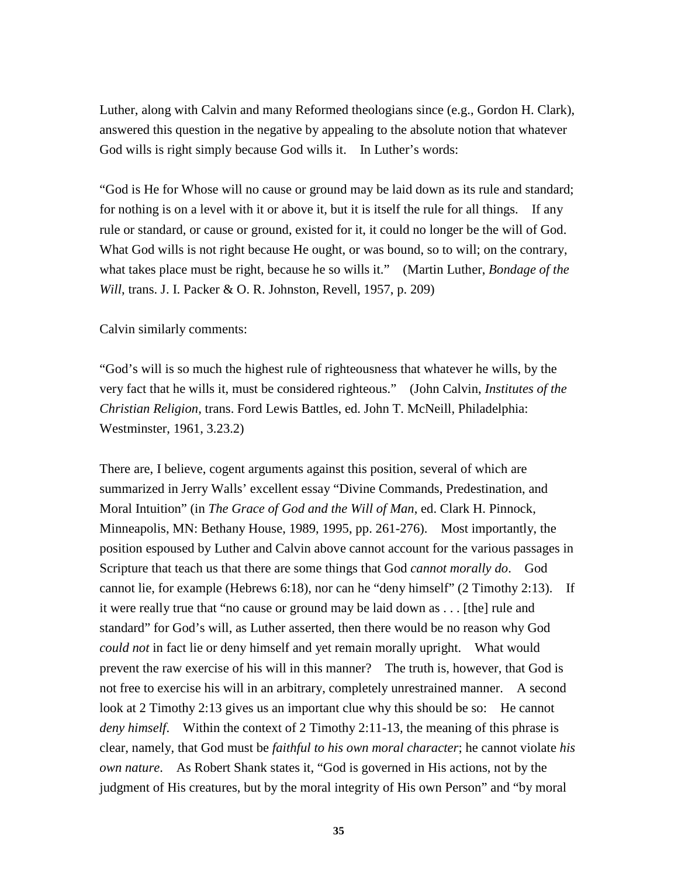Luther, along with Calvin and many Reformed theologians since (e.g., Gordon H. Clark), answered this question in the negative by appealing to the absolute notion that whatever God wills is right simply because God wills it. In Luther's words:

"God is He for Whose will no cause or ground may be laid down as its rule and standard; for nothing is on a level with it or above it, but it is itself the rule for all things. If any rule or standard, or cause or ground, existed for it, it could no longer be the will of God. What God wills is not right because He ought, or was bound, so to will; on the contrary, what takes place must be right, because he so wills it." (Martin Luther, *Bondage of the Will*, trans. J. I. Packer & O. R. Johnston, Revell, 1957, p. 209)

Calvin similarly comments:

"God's will is so much the highest rule of righteousness that whatever he wills, by the very fact that he wills it, must be considered righteous." (John Calvin, *Institutes of the Christian Religion*, trans. Ford Lewis Battles, ed. John T. McNeill, Philadelphia: Westminster, 1961, 3.23.2)

There are, I believe, cogent arguments against this position, several of which are summarized in Jerry Walls' excellent essay "Divine Commands, Predestination, and Moral Intuition" (in *The Grace of God and the Will of Man*, ed. Clark H. Pinnock, Minneapolis, MN: Bethany House, 1989, 1995, pp. 261-276). Most importantly, the position espoused by Luther and Calvin above cannot account for the various passages in Scripture that teach us that there are some things that God *cannot morally do*. God cannot lie, for example (Hebrews 6:18), nor can he "deny himself" (2 Timothy 2:13). If it were really true that "no cause or ground may be laid down as . . . [the] rule and standard" for God's will, as Luther asserted, then there would be no reason why God *could not* in fact lie or deny himself and yet remain morally upright. What would prevent the raw exercise of his will in this manner? The truth is, however, that God is not free to exercise his will in an arbitrary, completely unrestrained manner. A second look at 2 Timothy 2:13 gives us an important clue why this should be so: He cannot *deny himself*. Within the context of 2 Timothy 2:11-13, the meaning of this phrase is clear, namely, that God must be *faithful to his own moral character*; he cannot violate *his own nature*. As Robert Shank states it, "God is governed in His actions, not by the judgment of His creatures, but by the moral integrity of His own Person" and "by moral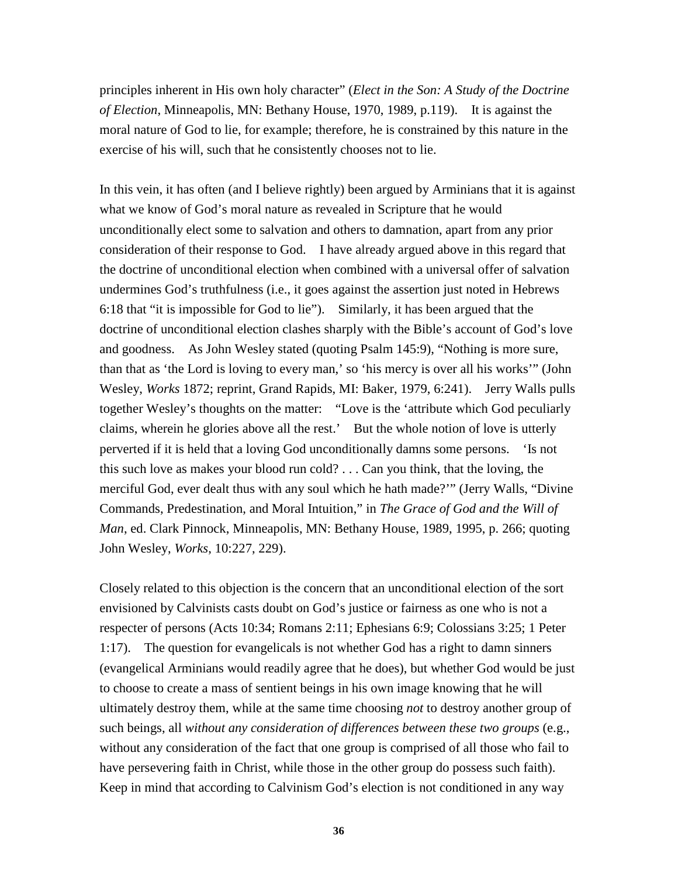principles inherent in His own holy character" (*Elect in the Son: A Study of the Doctrine of Election*, Minneapolis, MN: Bethany House, 1970, 1989, p.119). It is against the moral nature of God to lie, for example; therefore, he is constrained by this nature in the exercise of his will, such that he consistently chooses not to lie.

In this vein, it has often (and I believe rightly) been argued by Arminians that it is against what we know of God's moral nature as revealed in Scripture that he would unconditionally elect some to salvation and others to damnation, apart from any prior consideration of their response to God. I have already argued above in this regard that the doctrine of unconditional election when combined with a universal offer of salvation undermines God's truthfulness (i.e., it goes against the assertion just noted in Hebrews 6:18 that "it is impossible for God to lie"). Similarly, it has been argued that the doctrine of unconditional election clashes sharply with the Bible's account of God's love and goodness. As John Wesley stated (quoting Psalm 145:9), "Nothing is more sure, than that as 'the Lord is loving to every man,' so 'his mercy is over all his works'" (John Wesley, *Works* 1872; reprint, Grand Rapids, MI: Baker, 1979, 6:241). Jerry Walls pulls together Wesley's thoughts on the matter: "Love is the 'attribute which God peculiarly claims, wherein he glories above all the rest.' But the whole notion of love is utterly perverted if it is held that a loving God unconditionally damns some persons. 'Is not this such love as makes your blood run cold? . . . Can you think, that the loving, the merciful God, ever dealt thus with any soul which he hath made?'" (Jerry Walls, "Divine Commands, Predestination, and Moral Intuition," in *The Grace of God and the Will of Man*, ed. Clark Pinnock, Minneapolis, MN: Bethany House, 1989, 1995, p. 266; quoting John Wesley, *Works*, 10:227, 229).

Closely related to this objection is the concern that an unconditional election of the sort envisioned by Calvinists casts doubt on God's justice or fairness as one who is not a respecter of persons (Acts 10:34; Romans 2:11; Ephesians 6:9; Colossians 3:25; 1 Peter 1:17). The question for evangelicals is not whether God has a right to damn sinners (evangelical Arminians would readily agree that he does), but whether God would be just to choose to create a mass of sentient beings in his own image knowing that he will ultimately destroy them, while at the same time choosing *not* to destroy another group of such beings, all *without any consideration of differences between these two groups* (e.g., without any consideration of the fact that one group is comprised of all those who fail to have persevering faith in Christ, while those in the other group do possess such faith). Keep in mind that according to Calvinism God's election is not conditioned in any way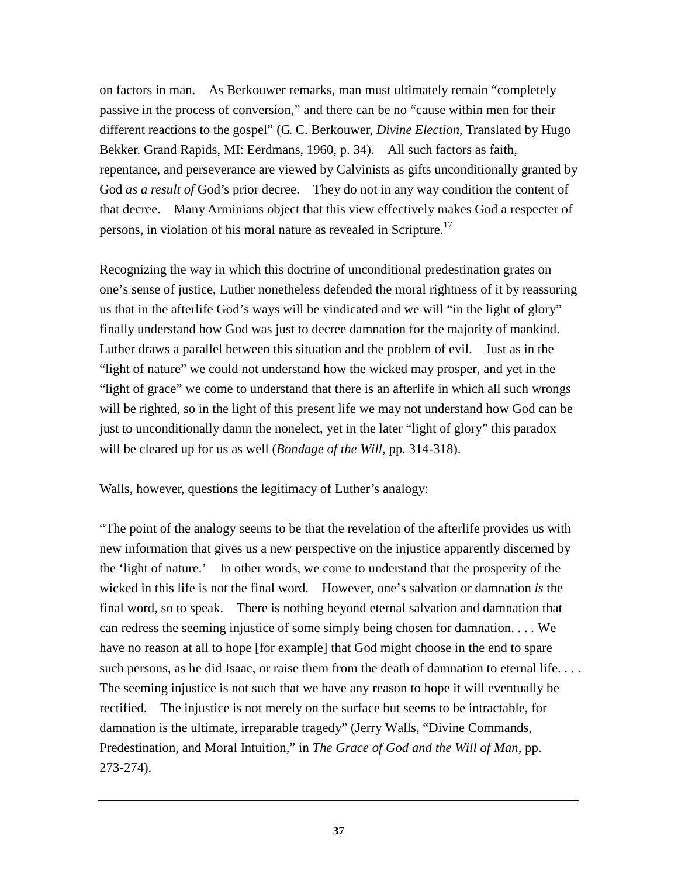on factors in man. As Berkouwer remarks, man must ultimately remain "completely passive in the process of conversion," and there can be no "cause within men for their different reactions to the gospel" (G. C. Berkouwer, *Divine Election*, Translated by Hugo Bekker. Grand Rapids, MI: Eerdmans, 1960, p. 34). All such factors as faith, repentance, and perseverance are viewed by Calvinists as gifts unconditionally granted by God *as a result of* God's prior decree. They do not in any way condition the content of that decree. Many Arminians object that this view effectively makes God a respecter of persons, in violation of his moral nature as revealed in Scripture.<sup>17</sup>

Recognizing the way in which this doctrine of unconditional predestination grates on one's sense of justice, Luther nonetheless defended the moral rightness of it by reassuring us that in the afterlife God's ways will be vindicated and we will "in the light of glory" finally understand how God was just to decree damnation for the majority of mankind. Luther draws a parallel between this situation and the problem of evil. Just as in the "light of nature" we could not understand how the wicked may prosper, and yet in the "light of grace" we come to understand that there is an afterlife in which all such wrongs will be righted, so in the light of this present life we may not understand how God can be just to unconditionally damn the nonelect, yet in the later "light of glory" this paradox will be cleared up for us as well (*Bondage of the Will*, pp. 314-318).

Walls, however, questions the legitimacy of Luther's analogy:

"The point of the analogy seems to be that the revelation of the afterlife provides us with new information that gives us a new perspective on the injustice apparently discerned by the 'light of nature.' In other words, we come to understand that the prosperity of the wicked in this life is not the final word. However, one's salvation or damnation *is* the final word, so to speak. There is nothing beyond eternal salvation and damnation that can redress the seeming injustice of some simply being chosen for damnation. . . . We have no reason at all to hope [for example] that God might choose in the end to spare such persons, as he did Isaac, or raise them from the death of damnation to eternal life.... The seeming injustice is not such that we have any reason to hope it will eventually be rectified. The injustice is not merely on the surface but seems to be intractable, for damnation is the ultimate, irreparable tragedy" (Jerry Walls, "Divine Commands, Predestination, and Moral Intuition," in *The Grace of God and the Will of Man,* pp. 273-274).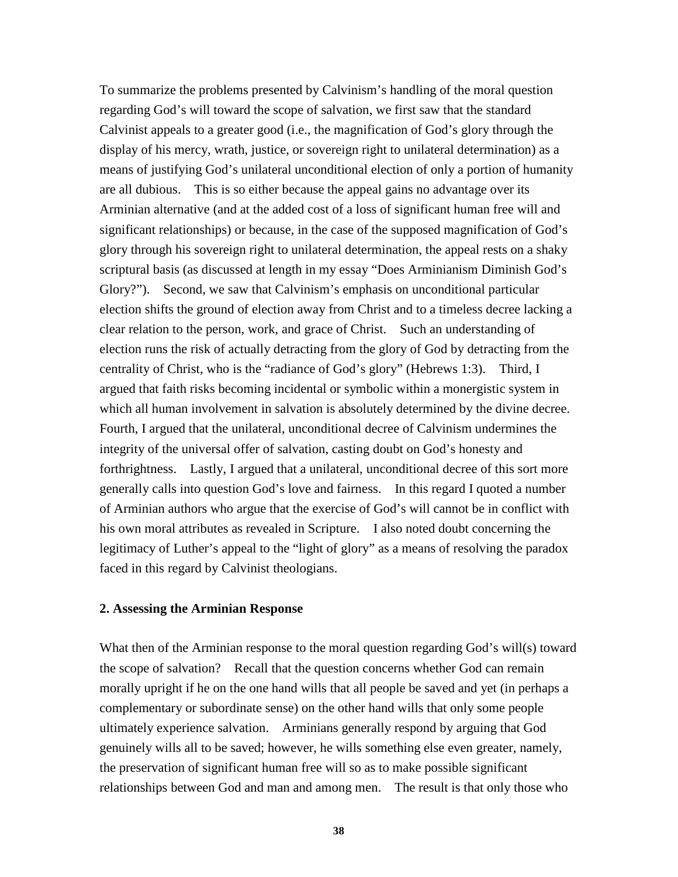To summarize the problems presented by Calvinism's handling of the moral question regarding God's will toward the scope of salvation, we first saw that the standard Calvinist appeals to a greater good (i.e., the magnification of God's glory through the display of his mercy, wrath, justice, or sovereign right to unilateral determination) as a means of justifying God's unilateral unconditional election of only a portion of humanity are all dubious. This is so either because the appeal gains no advantage over its Arminian alternative (and at the added cost of a loss of significant human free will and significant relationships) or because, in the case of the supposed magnification of God's glory through his sovereign right to unilateral determination, the appeal rests on a shaky scriptural basis (as discussed at length in my essay "Does Arminianism Diminish God's Glory?"). Second, we saw that Calvinism's emphasis on unconditional particular election shifts the ground of election away from Christ and to a timeless decree lacking a clear relation to the person, work, and grace of Christ. Such an understanding of election runs the risk of actually detracting from the glory of God by detracting from the centrality of Christ, who is the "radiance of God's glory" (Hebrews 1:3). Third, I argued that faith risks becoming incidental or symbolic within a monergistic system in which all human involvement in salvation is absolutely determined by the divine decree. Fourth, I argued that the unilateral, unconditional decree of Calvinism undermines the integrity of the universal offer of salvation, casting doubt on God's honesty and forthrightness. Lastly, I argued that a unilateral, unconditional decree of this sort more generally calls into question God's love and fairness. In this regard I quoted a number of Arminian authors who argue that the exercise of God's will cannot be in conflict with his own moral attributes as revealed in Scripture. I also noted doubt concerning the legitimacy of Luther's appeal to the "light of glory" as a means of resolving the paradox faced in this regard by Calvinist theologians.

### **2. Assessing the Arminian Response**

What then of the Arminian response to the moral question regarding God's will(s) toward the scope of salvation? Recall that the question concerns whether God can remain morally upright if he on the one hand wills that all people be saved and yet (in perhaps a complementary or subordinate sense) on the other hand wills that only some people ultimately experience salvation. Arminians generally respond by arguing that God genuinely wills all to be saved; however, he wills something else even greater, namely, the preservation of significant human free will so as to make possible significant relationships between God and man and among men. The result is that only those who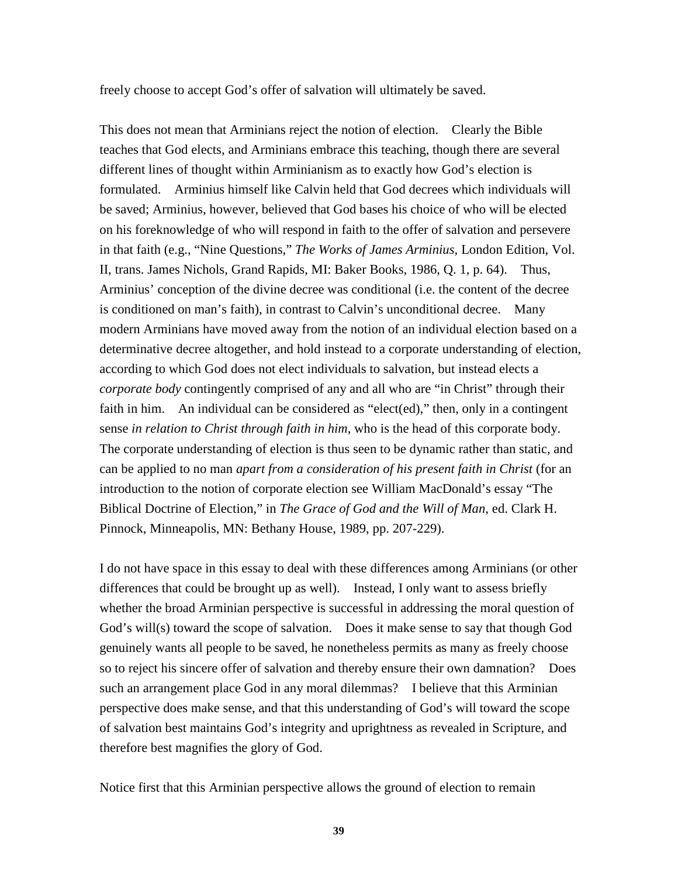freely choose to accept God's offer of salvation will ultimately be saved.

This does not mean that Arminians reject the notion of election. Clearly the Bible teaches that God elects, and Arminians embrace this teaching, though there are several different lines of thought within Arminianism as to exactly how God's election is formulated. Arminius himself like Calvin held that God decrees which individuals will be saved; Arminius, however, believed that God bases his choice of who will be elected on his foreknowledge of who will respond in faith to the offer of salvation and persevere in that faith (e.g., "Nine Questions," *The Works of James Arminius*, London Edition, Vol. II, trans. James Nichols, Grand Rapids, MI: Baker Books, 1986, Q. 1, p. 64). Thus, Arminius' conception of the divine decree was conditional (i.e. the content of the decree is conditioned on man's faith), in contrast to Calvin's unconditional decree. Many modern Arminians have moved away from the notion of an individual election based on a determinative decree altogether, and hold instead to a corporate understanding of election, according to which God does not elect individuals to salvation, but instead elects a *corporate body* contingently comprised of any and all who are "in Christ" through their faith in him. An individual can be considered as "elect(ed)," then, only in a contingent sense *in relation to Christ through faith in him*, who is the head of this corporate body. The corporate understanding of election is thus seen to be dynamic rather than static, and can be applied to no man *apart from a consideration of his present faith in Christ* (for an introduction to the notion of corporate election see William MacDonald's essay "The Biblical Doctrine of Election," in *The Grace of God and the Will of Man*, ed. Clark H. Pinnock, Minneapolis, MN: Bethany House, 1989, pp. 207-229).

I do not have space in this essay to deal with these differences among Arminians (or other differences that could be brought up as well). Instead, I only want to assess briefly whether the broad Arminian perspective is successful in addressing the moral question of God's will(s) toward the scope of salvation. Does it make sense to say that though God genuinely wants all people to be saved, he nonetheless permits as many as freely choose so to reject his sincere offer of salvation and thereby ensure their own damnation? Does such an arrangement place God in any moral dilemmas? I believe that this Arminian perspective does make sense, and that this understanding of God's will toward the scope of salvation best maintains God's integrity and uprightness as revealed in Scripture, and therefore best magnifies the glory of God.

Notice first that this Arminian perspective allows the ground of election to remain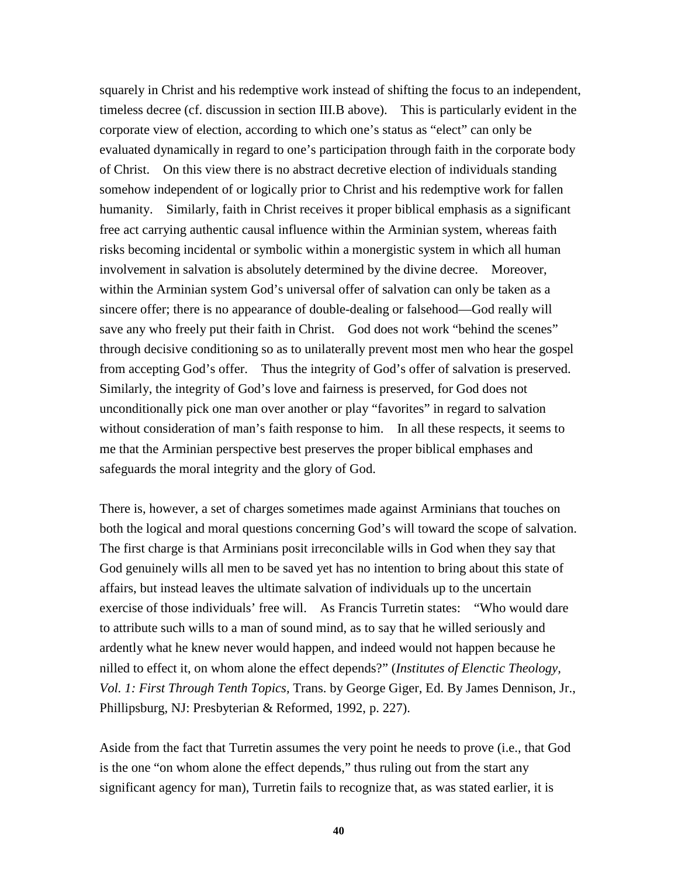squarely in Christ and his redemptive work instead of shifting the focus to an independent, timeless decree (cf. discussion in section III.B above). This is particularly evident in the corporate view of election, according to which one's status as "elect" can only be evaluated dynamically in regard to one's participation through faith in the corporate body of Christ. On this view there is no abstract decretive election of individuals standing somehow independent of or logically prior to Christ and his redemptive work for fallen humanity. Similarly, faith in Christ receives it proper biblical emphasis as a significant free act carrying authentic causal influence within the Arminian system, whereas faith risks becoming incidental or symbolic within a monergistic system in which all human involvement in salvation is absolutely determined by the divine decree. Moreover, within the Arminian system God's universal offer of salvation can only be taken as a sincere offer; there is no appearance of double-dealing or falsehood—God really will save any who freely put their faith in Christ. God does not work "behind the scenes" through decisive conditioning so as to unilaterally prevent most men who hear the gospel from accepting God's offer. Thus the integrity of God's offer of salvation is preserved. Similarly, the integrity of God's love and fairness is preserved, for God does not unconditionally pick one man over another or play "favorites" in regard to salvation without consideration of man's faith response to him. In all these respects, it seems to me that the Arminian perspective best preserves the proper biblical emphases and safeguards the moral integrity and the glory of God.

There is, however, a set of charges sometimes made against Arminians that touches on both the logical and moral questions concerning God's will toward the scope of salvation. The first charge is that Arminians posit irreconcilable wills in God when they say that God genuinely wills all men to be saved yet has no intention to bring about this state of affairs, but instead leaves the ultimate salvation of individuals up to the uncertain exercise of those individuals' free will. As Francis Turretin states: "Who would dare to attribute such wills to a man of sound mind, as to say that he willed seriously and ardently what he knew never would happen, and indeed would not happen because he nilled to effect it, on whom alone the effect depends?" (*Institutes of Elenctic Theology, Vol. 1: First Through Tenth Topics,* Trans. by George Giger, Ed. By James Dennison, Jr., Phillipsburg, NJ: Presbyterian & Reformed, 1992, p. 227).

Aside from the fact that Turretin assumes the very point he needs to prove (i.e., that God is the one "on whom alone the effect depends," thus ruling out from the start any significant agency for man), Turretin fails to recognize that, as was stated earlier, it is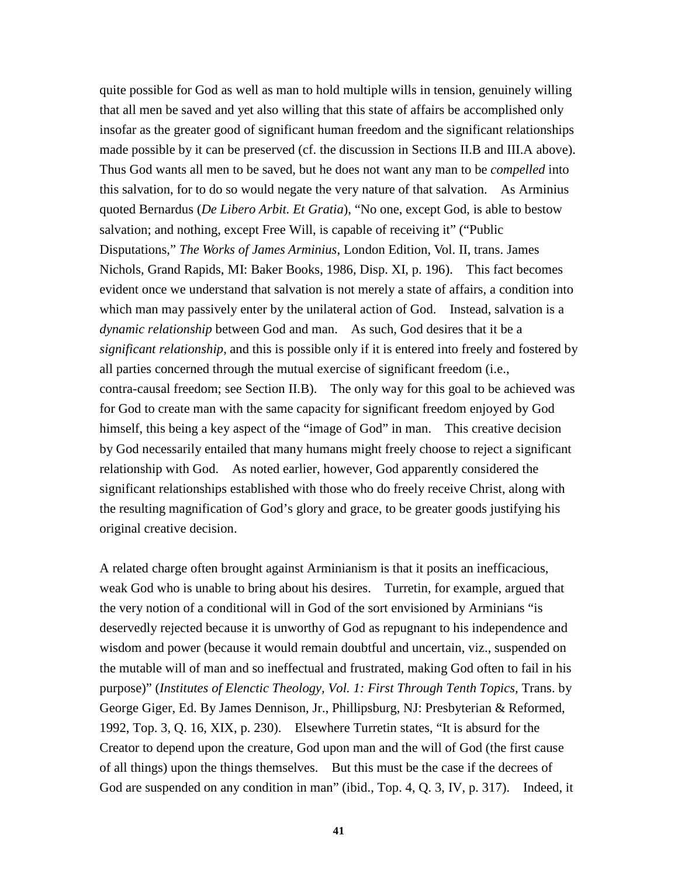quite possible for God as well as man to hold multiple wills in tension, genuinely willing that all men be saved and yet also willing that this state of affairs be accomplished only insofar as the greater good of significant human freedom and the significant relationships made possible by it can be preserved (cf. the discussion in Sections II.B and III.A above). Thus God wants all men to be saved, but he does not want any man to be *compelled* into this salvation, for to do so would negate the very nature of that salvation. As Arminius quoted Bernardus (*De Libero Arbit. Et Gratia*), "No one, except God, is able to bestow salvation; and nothing, except Free Will, is capable of receiving it" ("Public Disputations," *The Works of James Arminius*, London Edition, Vol. II, trans. James Nichols, Grand Rapids, MI: Baker Books, 1986, Disp. XI, p. 196). This fact becomes evident once we understand that salvation is not merely a state of affairs, a condition into which man may passively enter by the unilateral action of God. Instead, salvation is a *dynamic relationship* between God and man. As such, God desires that it be a *significant relationship*, and this is possible only if it is entered into freely and fostered by all parties concerned through the mutual exercise of significant freedom (i.e., contra-causal freedom; see Section II.B). The only way for this goal to be achieved was for God to create man with the same capacity for significant freedom enjoyed by God himself, this being a key aspect of the "image of God" in man. This creative decision by God necessarily entailed that many humans might freely choose to reject a significant relationship with God. As noted earlier, however, God apparently considered the significant relationships established with those who do freely receive Christ, along with the resulting magnification of God's glory and grace, to be greater goods justifying his original creative decision.

A related charge often brought against Arminianism is that it posits an inefficacious, weak God who is unable to bring about his desires. Turretin, for example, argued that the very notion of a conditional will in God of the sort envisioned by Arminians "is deservedly rejected because it is unworthy of God as repugnant to his independence and wisdom and power (because it would remain doubtful and uncertain, viz., suspended on the mutable will of man and so ineffectual and frustrated, making God often to fail in his purpose)" (*Institutes of Elenctic Theology, Vol. 1: First Through Tenth Topics,* Trans. by George Giger, Ed. By James Dennison, Jr., Phillipsburg, NJ: Presbyterian & Reformed, 1992, Top. 3, Q. 16, XIX, p. 230). Elsewhere Turretin states, "It is absurd for the Creator to depend upon the creature, God upon man and the will of God (the first cause of all things) upon the things themselves. But this must be the case if the decrees of God are suspended on any condition in man" (ibid., Top. 4, Q. 3, IV, p. 317). Indeed, it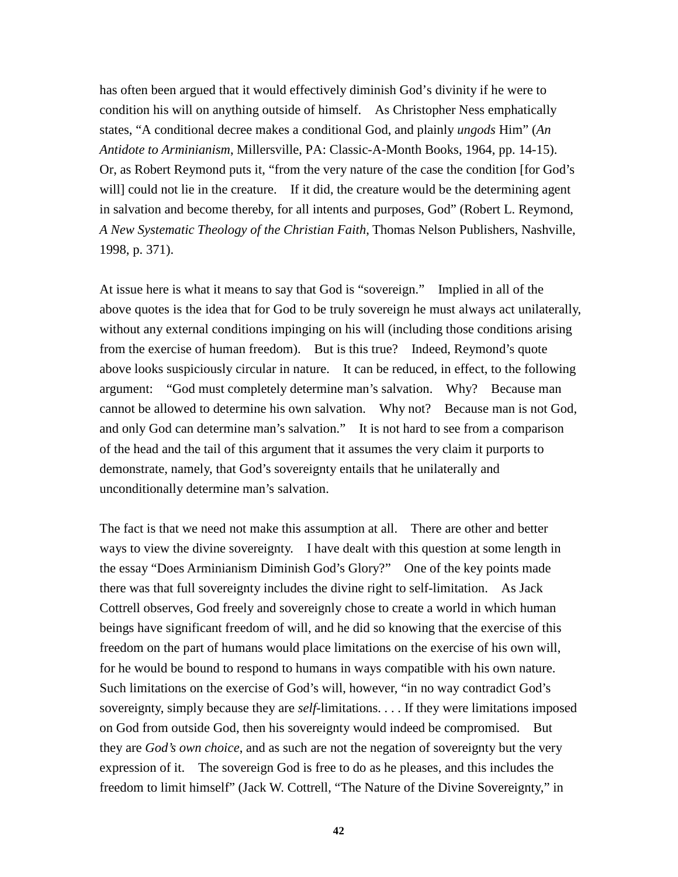has often been argued that it would effectively diminish God's divinity if he were to condition his will on anything outside of himself. As Christopher Ness emphatically states, "A conditional decree makes a conditional God, and plainly *ungods* Him" (*An Antidote to Arminianism*, Millersville, PA: Classic-A-Month Books, 1964, pp. 14-15). Or, as Robert Reymond puts it, "from the very nature of the case the condition [for God's will] could not lie in the creature. If it did, the creature would be the determining agent in salvation and become thereby, for all intents and purposes, God" (Robert L. Reymond, *A New Systematic Theology of the Christian Faith*, Thomas Nelson Publishers, Nashville, 1998, p. 371).

At issue here is what it means to say that God is "sovereign." Implied in all of the above quotes is the idea that for God to be truly sovereign he must always act unilaterally, without any external conditions impinging on his will (including those conditions arising from the exercise of human freedom). But is this true? Indeed, Reymond's quote above looks suspiciously circular in nature. It can be reduced, in effect, to the following argument: "God must completely determine man's salvation. Why? Because man cannot be allowed to determine his own salvation. Why not? Because man is not God, and only God can determine man's salvation." It is not hard to see from a comparison of the head and the tail of this argument that it assumes the very claim it purports to demonstrate, namely, that God's sovereignty entails that he unilaterally and unconditionally determine man's salvation.

The fact is that we need not make this assumption at all. There are other and better ways to view the divine sovereignty. I have dealt with this question at some length in the essay "Does Arminianism Diminish God's Glory?" One of the key points made there was that full sovereignty includes the divine right to self-limitation. As Jack Cottrell observes, God freely and sovereignly chose to create a world in which human beings have significant freedom of will, and he did so knowing that the exercise of this freedom on the part of humans would place limitations on the exercise of his own will, for he would be bound to respond to humans in ways compatible with his own nature. Such limitations on the exercise of God's will, however, "in no way contradict God's sovereignty, simply because they are *self*-limitations. . . . If they were limitations imposed on God from outside God, then his sovereignty would indeed be compromised. But they are *God's own choice*, and as such are not the negation of sovereignty but the very expression of it. The sovereign God is free to do as he pleases, and this includes the freedom to limit himself" (Jack W. Cottrell, "The Nature of the Divine Sovereignty," in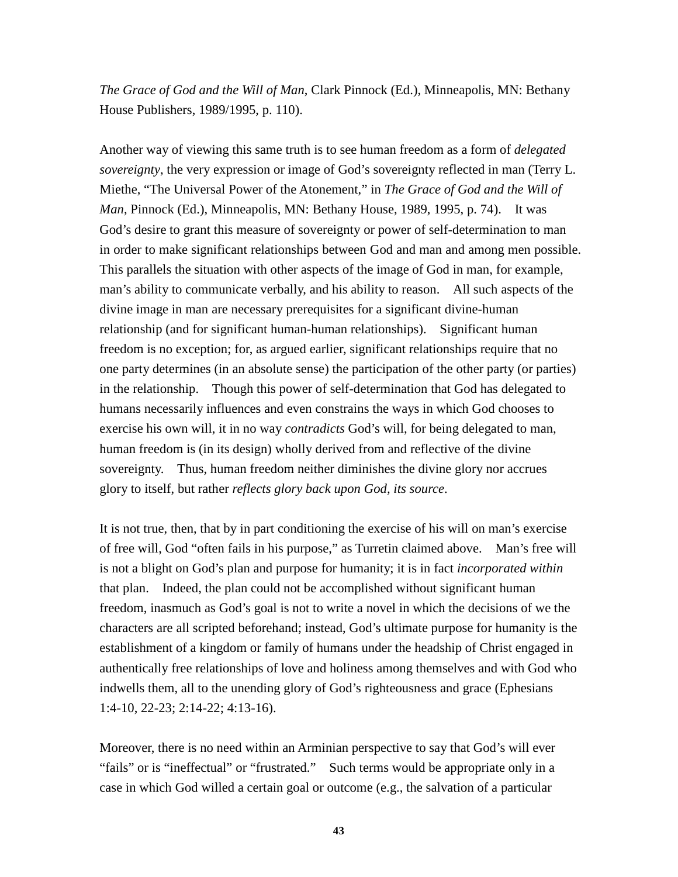*The Grace of God and the Will of Man*, Clark Pinnock (Ed.), Minneapolis, MN: Bethany House Publishers, 1989/1995, p. 110).

Another way of viewing this same truth is to see human freedom as a form of *delegated sovereignty*, the very expression or image of God's sovereignty reflected in man (Terry L. Miethe, "The Universal Power of the Atonement," in *The Grace of God and the Will of Man*, Pinnock (Ed.), Minneapolis, MN: Bethany House, 1989, 1995, p. 74). It was God's desire to grant this measure of sovereignty or power of self-determination to man in order to make significant relationships between God and man and among men possible. This parallels the situation with other aspects of the image of God in man, for example, man's ability to communicate verbally, and his ability to reason. All such aspects of the divine image in man are necessary prerequisites for a significant divine-human relationship (and for significant human-human relationships). Significant human freedom is no exception; for, as argued earlier, significant relationships require that no one party determines (in an absolute sense) the participation of the other party (or parties) in the relationship. Though this power of self-determination that God has delegated to humans necessarily influences and even constrains the ways in which God chooses to exercise his own will, it in no way *contradicts* God's will, for being delegated to man, human freedom is (in its design) wholly derived from and reflective of the divine sovereignty. Thus, human freedom neither diminishes the divine glory nor accrues glory to itself, but rather *reflects glory back upon God, its source*.

It is not true, then, that by in part conditioning the exercise of his will on man's exercise of free will, God "often fails in his purpose," as Turretin claimed above. Man's free will is not a blight on God's plan and purpose for humanity; it is in fact *incorporated within* that plan. Indeed, the plan could not be accomplished without significant human freedom, inasmuch as God's goal is not to write a novel in which the decisions of we the characters are all scripted beforehand; instead, God's ultimate purpose for humanity is the establishment of a kingdom or family of humans under the headship of Christ engaged in authentically free relationships of love and holiness among themselves and with God who indwells them, all to the unending glory of God's righteousness and grace (Ephesians 1:4-10, 22-23; 2:14-22; 4:13-16).

Moreover, there is no need within an Arminian perspective to say that God's will ever "fails" or is "ineffectual" or "frustrated." Such terms would be appropriate only in a case in which God willed a certain goal or outcome (e.g., the salvation of a particular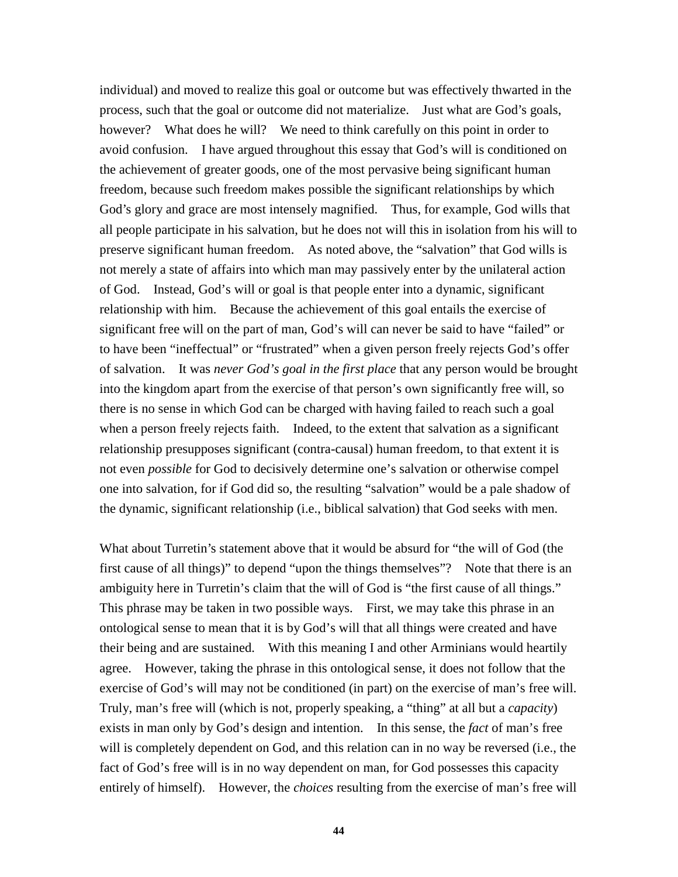individual) and moved to realize this goal or outcome but was effectively thwarted in the process, such that the goal or outcome did not materialize. Just what are God's goals, however? What does he will? We need to think carefully on this point in order to avoid confusion. I have argued throughout this essay that God's will is conditioned on the achievement of greater goods, one of the most pervasive being significant human freedom, because such freedom makes possible the significant relationships by which God's glory and grace are most intensely magnified. Thus, for example, God wills that all people participate in his salvation, but he does not will this in isolation from his will to preserve significant human freedom. As noted above, the "salvation" that God wills is not merely a state of affairs into which man may passively enter by the unilateral action of God. Instead, God's will or goal is that people enter into a dynamic, significant relationship with him. Because the achievement of this goal entails the exercise of significant free will on the part of man, God's will can never be said to have "failed" or to have been "ineffectual" or "frustrated" when a given person freely rejects God's offer of salvation. It was *never God's goal in the first place* that any person would be brought into the kingdom apart from the exercise of that person's own significantly free will, so there is no sense in which God can be charged with having failed to reach such a goal when a person freely rejects faith. Indeed, to the extent that salvation as a significant relationship presupposes significant (contra-causal) human freedom, to that extent it is not even *possible* for God to decisively determine one's salvation or otherwise compel one into salvation, for if God did so, the resulting "salvation" would be a pale shadow of the dynamic, significant relationship (i.e., biblical salvation) that God seeks with men.

What about Turretin's statement above that it would be absurd for "the will of God (the first cause of all things)" to depend "upon the things themselves"? Note that there is an ambiguity here in Turretin's claim that the will of God is "the first cause of all things." This phrase may be taken in two possible ways. First, we may take this phrase in an ontological sense to mean that it is by God's will that all things were created and have their being and are sustained. With this meaning I and other Arminians would heartily agree. However, taking the phrase in this ontological sense, it does not follow that the exercise of God's will may not be conditioned (in part) on the exercise of man's free will. Truly, man's free will (which is not, properly speaking, a "thing" at all but a *capacity*) exists in man only by God's design and intention. In this sense, the *fact* of man's free will is completely dependent on God, and this relation can in no way be reversed (i.e., the fact of God's free will is in no way dependent on man, for God possesses this capacity entirely of himself). However, the *choices* resulting from the exercise of man's free will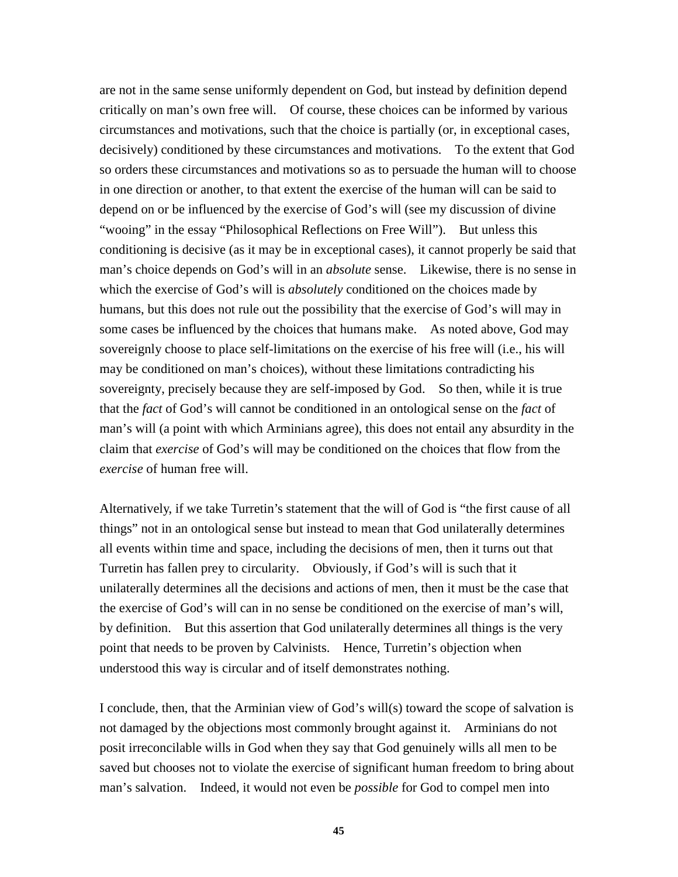are not in the same sense uniformly dependent on God, but instead by definition depend critically on man's own free will. Of course, these choices can be informed by various circumstances and motivations, such that the choice is partially (or, in exceptional cases, decisively) conditioned by these circumstances and motivations. To the extent that God so orders these circumstances and motivations so as to persuade the human will to choose in one direction or another, to that extent the exercise of the human will can be said to depend on or be influenced by the exercise of God's will (see my discussion of divine "wooing" in the essay "Philosophical Reflections on Free Will"). But unless this conditioning is decisive (as it may be in exceptional cases), it cannot properly be said that man's choice depends on God's will in an *absolute* sense. Likewise, there is no sense in which the exercise of God's will is *absolutely* conditioned on the choices made by humans, but this does not rule out the possibility that the exercise of God's will may in some cases be influenced by the choices that humans make. As noted above, God may sovereignly choose to place self-limitations on the exercise of his free will (i.e., his will may be conditioned on man's choices), without these limitations contradicting his sovereignty, precisely because they are self-imposed by God. So then, while it is true that the *fact* of God's will cannot be conditioned in an ontological sense on the *fact* of man's will (a point with which Arminians agree), this does not entail any absurdity in the claim that *exercise* of God's will may be conditioned on the choices that flow from the *exercise* of human free will.

Alternatively, if we take Turretin's statement that the will of God is "the first cause of all things" not in an ontological sense but instead to mean that God unilaterally determines all events within time and space, including the decisions of men, then it turns out that Turretin has fallen prey to circularity. Obviously, if God's will is such that it unilaterally determines all the decisions and actions of men, then it must be the case that the exercise of God's will can in no sense be conditioned on the exercise of man's will, by definition. But this assertion that God unilaterally determines all things is the very point that needs to be proven by Calvinists. Hence, Turretin's objection when understood this way is circular and of itself demonstrates nothing.

I conclude, then, that the Arminian view of God's will(s) toward the scope of salvation is not damaged by the objections most commonly brought against it. Arminians do not posit irreconcilable wills in God when they say that God genuinely wills all men to be saved but chooses not to violate the exercise of significant human freedom to bring about man's salvation. Indeed, it would not even be *possible* for God to compel men into

**45**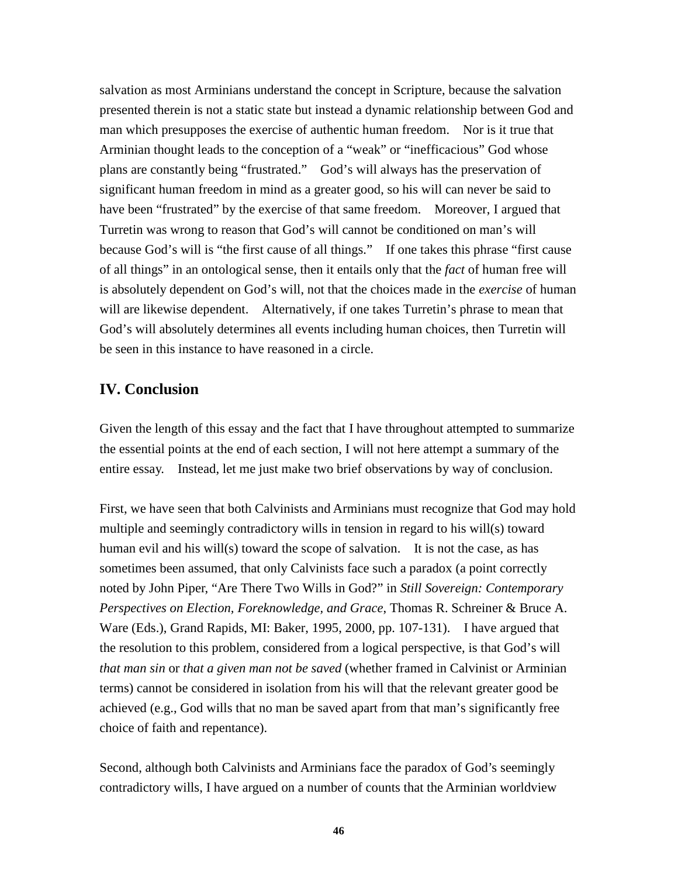salvation as most Arminians understand the concept in Scripture, because the salvation presented therein is not a static state but instead a dynamic relationship between God and man which presupposes the exercise of authentic human freedom. Nor is it true that Arminian thought leads to the conception of a "weak" or "inefficacious" God whose plans are constantly being "frustrated." God's will always has the preservation of significant human freedom in mind as a greater good, so his will can never be said to have been "frustrated" by the exercise of that same freedom. Moreover, I argued that Turretin was wrong to reason that God's will cannot be conditioned on man's will because God's will is "the first cause of all things." If one takes this phrase "first cause of all things" in an ontological sense, then it entails only that the *fact* of human free will is absolutely dependent on God's will, not that the choices made in the *exercise* of human will are likewise dependent. Alternatively, if one takes Turretin's phrase to mean that God's will absolutely determines all events including human choices, then Turretin will be seen in this instance to have reasoned in a circle.

## **IV. Conclusion**

Given the length of this essay and the fact that I have throughout attempted to summarize the essential points at the end of each section, I will not here attempt a summary of the entire essay. Instead, let me just make two brief observations by way of conclusion.

First, we have seen that both Calvinists and Arminians must recognize that God may hold multiple and seemingly contradictory wills in tension in regard to his will(s) toward human evil and his will(s) toward the scope of salvation. It is not the case, as has sometimes been assumed, that only Calvinists face such a paradox (a point correctly noted by John Piper, "Are There Two Wills in God?" in *Still Sovereign: Contemporary Perspectives on Election, Foreknowledge, and Grace*, Thomas R. Schreiner & Bruce A. Ware (Eds.), Grand Rapids, MI: Baker, 1995, 2000, pp. 107-131). I have argued that the resolution to this problem, considered from a logical perspective, is that God's will *that man sin* or *that a given man not be saved* (whether framed in Calvinist or Arminian terms) cannot be considered in isolation from his will that the relevant greater good be achieved (e.g., God wills that no man be saved apart from that man's significantly free choice of faith and repentance).

Second, although both Calvinists and Arminians face the paradox of God's seemingly contradictory wills, I have argued on a number of counts that the Arminian worldview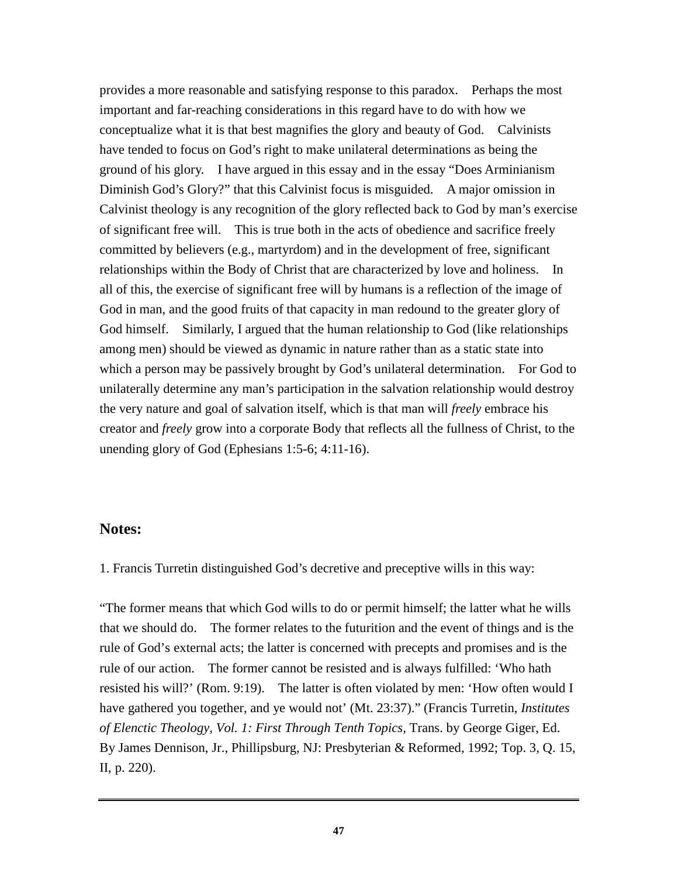provides a more reasonable and satisfying response to this paradox. Perhaps the most important and far-reaching considerations in this regard have to do with how we conceptualize what it is that best magnifies the glory and beauty of God. Calvinists have tended to focus on God's right to make unilateral determinations as being the ground of his glory. I have argued in this essay and in the essay "Does Arminianism Diminish God's Glory?" that this Calvinist focus is misguided. A major omission in Calvinist theology is any recognition of the glory reflected back to God by man's exercise of significant free will. This is true both in the acts of obedience and sacrifice freely committed by believers (e.g., martyrdom) and in the development of free, significant relationships within the Body of Christ that are characterized by love and holiness. In all of this, the exercise of significant free will by humans is a reflection of the image of God in man, and the good fruits of that capacity in man redound to the greater glory of God himself. Similarly, I argued that the human relationship to God (like relationships among men) should be viewed as dynamic in nature rather than as a static state into which a person may be passively brought by God's unilateral determination. For God to unilaterally determine any man's participation in the salvation relationship would destroy the very nature and goal of salvation itself, which is that man will *freely* embrace his creator and *freely* grow into a corporate Body that reflects all the fullness of Christ, to the unending glory of God (Ephesians 1:5-6; 4:11-16).

## **Notes:**

1. Francis Turretin distinguished God's decretive and preceptive wills in this way:

"The former means that which God wills to do or permit himself; the latter what he wills that we should do. The former relates to the futurition and the event of things and is the rule of God's external acts; the latter is concerned with precepts and promises and is the rule of our action. The former cannot be resisted and is always fulfilled: 'Who hath resisted his will?' (Rom. 9:19). The latter is often violated by men: 'How often would I have gathered you together, and ye would not' (Mt. 23:37)." (Francis Turretin, *Institutes of Elenctic Theology, Vol. 1: First Through Tenth Topics,* Trans. by George Giger, Ed. By James Dennison, Jr., Phillipsburg, NJ: Presbyterian & Reformed, 1992; Top. 3, Q. 15, II, p. 220).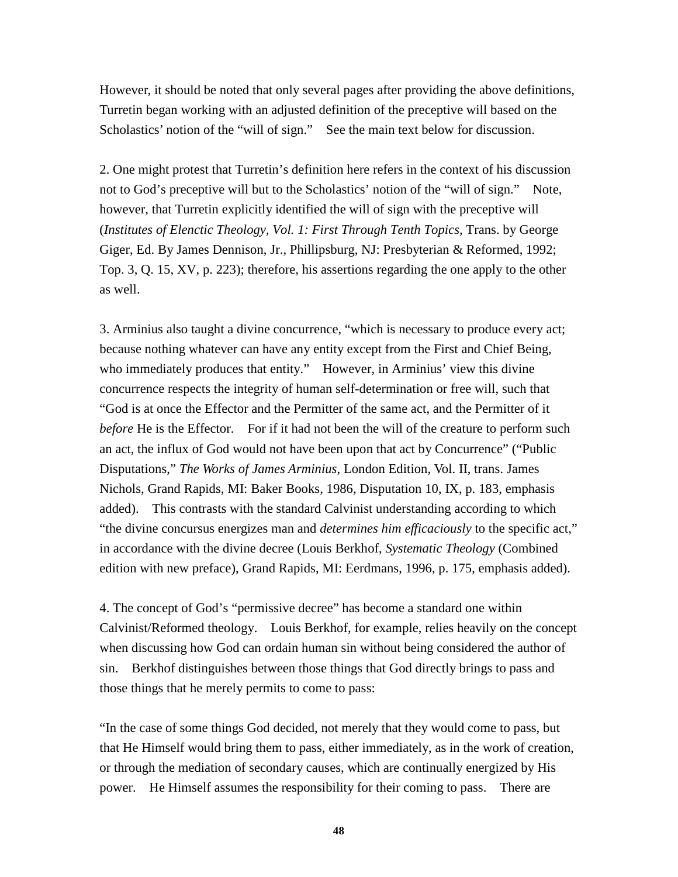However, it should be noted that only several pages after providing the above definitions, Turretin began working with an adjusted definition of the preceptive will based on the Scholastics' notion of the "will of sign." See the main text below for discussion.

2. One might protest that Turretin's definition here refers in the context of his discussion not to God's preceptive will but to the Scholastics' notion of the "will of sign." Note, however, that Turretin explicitly identified the will of sign with the preceptive will (*Institutes of Elenctic Theology, Vol. 1: First Through Tenth Topics,* Trans. by George Giger, Ed. By James Dennison, Jr., Phillipsburg, NJ: Presbyterian & Reformed, 1992; Top. 3, Q. 15, XV, p. 223); therefore, his assertions regarding the one apply to the other as well.

3. Arminius also taught a divine concurrence, "which is necessary to produce every act; because nothing whatever can have any entity except from the First and Chief Being, who immediately produces that entity." However, in Arminius' view this divine concurrence respects the integrity of human self-determination or free will, such that "God is at once the Effector and the Permitter of the same act, and the Permitter of it *before* He is the Effector. For if it had not been the will of the creature to perform such an act, the influx of God would not have been upon that act by Concurrence" ("Public Disputations," *The Works of James Arminius*, London Edition, Vol. II, trans. James Nichols, Grand Rapids, MI: Baker Books, 1986, Disputation 10, IX, p. 183, emphasis added). This contrasts with the standard Calvinist understanding according to which "the divine concursus energizes man and *determines him efficaciously* to the specific act," in accordance with the divine decree (Louis Berkhof, *Systematic Theology* (Combined edition with new preface), Grand Rapids, MI: Eerdmans, 1996, p. 175, emphasis added).

4. The concept of God's "permissive decree" has become a standard one within Calvinist/Reformed theology. Louis Berkhof, for example, relies heavily on the concept when discussing how God can ordain human sin without being considered the author of sin. Berkhof distinguishes between those things that God directly brings to pass and those things that he merely permits to come to pass:

"In the case of some things God decided, not merely that they would come to pass, but that He Himself would bring them to pass, either immediately, as in the work of creation, or through the mediation of secondary causes, which are continually energized by His power. He Himself assumes the responsibility for their coming to pass. There are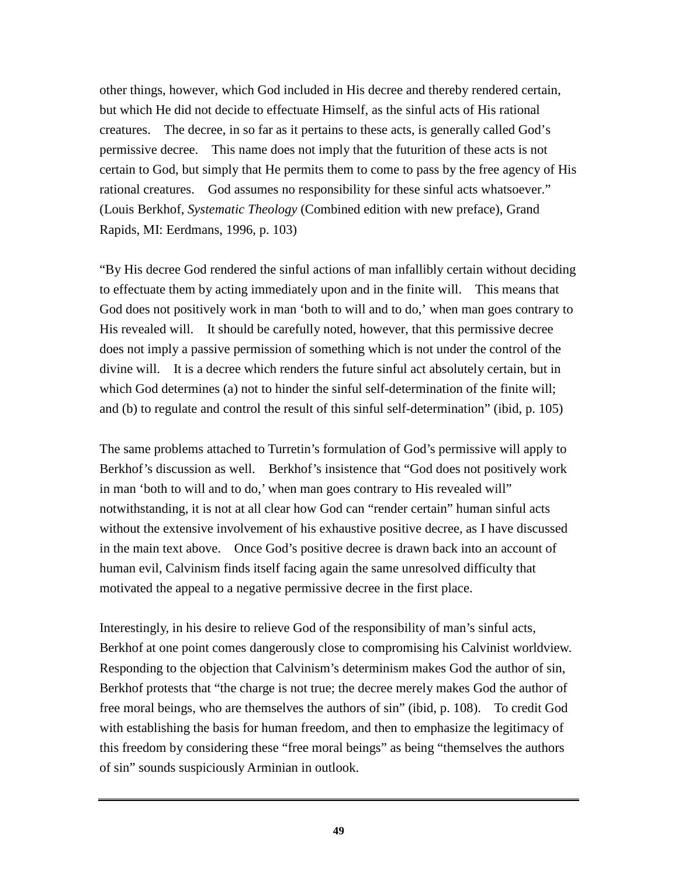other things, however, which God included in His decree and thereby rendered certain, but which He did not decide to effectuate Himself, as the sinful acts of His rational creatures. The decree, in so far as it pertains to these acts, is generally called God's permissive decree. This name does not imply that the futurition of these acts is not certain to God, but simply that He permits them to come to pass by the free agency of His rational creatures. God assumes no responsibility for these sinful acts whatsoever." (Louis Berkhof, *Systematic Theology* (Combined edition with new preface), Grand Rapids, MI: Eerdmans, 1996, p. 103)

"By His decree God rendered the sinful actions of man infallibly certain without deciding to effectuate them by acting immediately upon and in the finite will. This means that God does not positively work in man 'both to will and to do,' when man goes contrary to His revealed will. It should be carefully noted, however, that this permissive decree does not imply a passive permission of something which is not under the control of the divine will. It is a decree which renders the future sinful act absolutely certain, but in which God determines (a) not to hinder the sinful self-determination of the finite will; and (b) to regulate and control the result of this sinful self-determination" (ibid, p. 105)

The same problems attached to Turretin's formulation of God's permissive will apply to Berkhof's discussion as well. Berkhof's insistence that "God does not positively work in man 'both to will and to do,' when man goes contrary to His revealed will" notwithstanding, it is not at all clear how God can "render certain" human sinful acts without the extensive involvement of his exhaustive positive decree, as I have discussed in the main text above. Once God's positive decree is drawn back into an account of human evil, Calvinism finds itself facing again the same unresolved difficulty that motivated the appeal to a negative permissive decree in the first place.

Interestingly, in his desire to relieve God of the responsibility of man's sinful acts, Berkhof at one point comes dangerously close to compromising his Calvinist worldview. Responding to the objection that Calvinism's determinism makes God the author of sin, Berkhof protests that "the charge is not true; the decree merely makes God the author of free moral beings, who are themselves the authors of sin" (ibid, p. 108). To credit God with establishing the basis for human freedom, and then to emphasize the legitimacy of this freedom by considering these "free moral beings" as being "themselves the authors of sin" sounds suspiciously Arminian in outlook.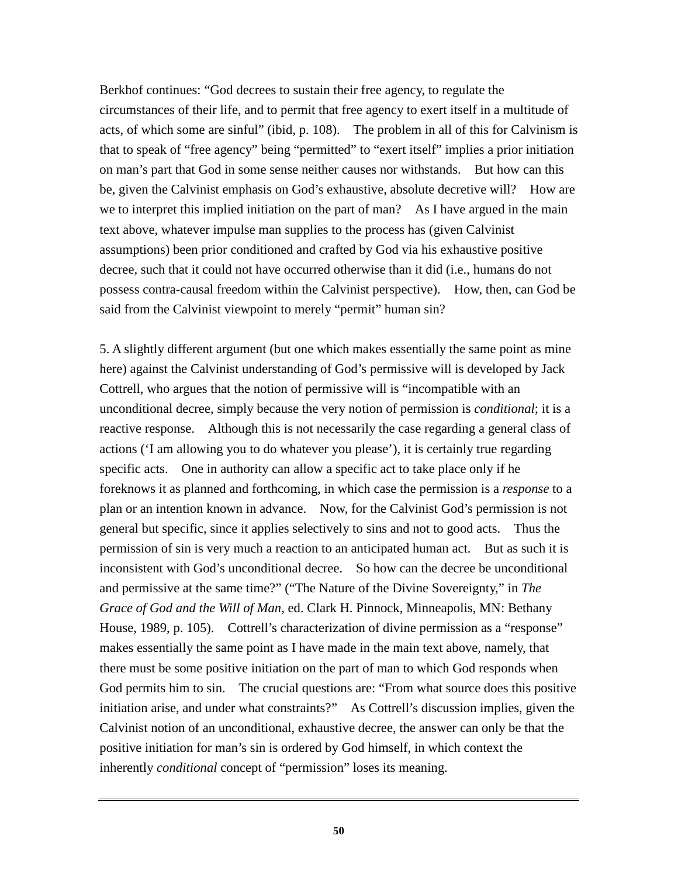Berkhof continues: "God decrees to sustain their free agency, to regulate the circumstances of their life, and to permit that free agency to exert itself in a multitude of acts, of which some are sinful" (ibid, p. 108). The problem in all of this for Calvinism is that to speak of "free agency" being "permitted" to "exert itself" implies a prior initiation on man's part that God in some sense neither causes nor withstands. But how can this be, given the Calvinist emphasis on God's exhaustive, absolute decretive will? How are we to interpret this implied initiation on the part of man? As I have argued in the main text above, whatever impulse man supplies to the process has (given Calvinist assumptions) been prior conditioned and crafted by God via his exhaustive positive decree, such that it could not have occurred otherwise than it did (i.e., humans do not possess contra-causal freedom within the Calvinist perspective). How, then, can God be said from the Calvinist viewpoint to merely "permit" human sin?

5. A slightly different argument (but one which makes essentially the same point as mine here) against the Calvinist understanding of God's permissive will is developed by Jack Cottrell, who argues that the notion of permissive will is "incompatible with an unconditional decree, simply because the very notion of permission is *conditional*; it is a reactive response. Although this is not necessarily the case regarding a general class of actions ('I am allowing you to do whatever you please'), it is certainly true regarding specific acts. One in authority can allow a specific act to take place only if he foreknows it as planned and forthcoming, in which case the permission is a *response* to a plan or an intention known in advance. Now, for the Calvinist God's permission is not general but specific, since it applies selectively to sins and not to good acts. Thus the permission of sin is very much a reaction to an anticipated human act. But as such it is inconsistent with God's unconditional decree. So how can the decree be unconditional and permissive at the same time?" ("The Nature of the Divine Sovereignty," in *The Grace of God and the Will of Man*, ed. Clark H. Pinnock, Minneapolis, MN: Bethany House, 1989, p. 105). Cottrell's characterization of divine permission as a "response" makes essentially the same point as I have made in the main text above, namely, that there must be some positive initiation on the part of man to which God responds when God permits him to sin. The crucial questions are: "From what source does this positive initiation arise, and under what constraints?" As Cottrell's discussion implies, given the Calvinist notion of an unconditional, exhaustive decree, the answer can only be that the positive initiation for man's sin is ordered by God himself, in which context the inherently *conditional* concept of "permission" loses its meaning.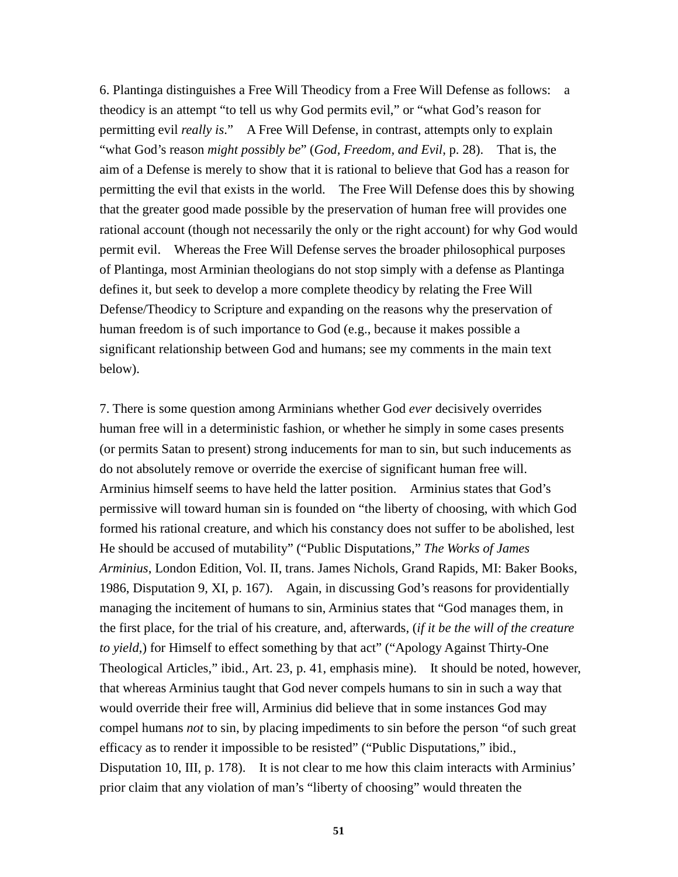6. Plantinga distinguishes a Free Will Theodicy from a Free Will Defense as follows: a theodicy is an attempt "to tell us why God permits evil," or "what God's reason for permitting evil *really is*." A Free Will Defense, in contrast, attempts only to explain "what God's reason *might possibly be*" (*God, Freedom, and Evil*, p. 28). That is, the aim of a Defense is merely to show that it is rational to believe that God has a reason for permitting the evil that exists in the world. The Free Will Defense does this by showing that the greater good made possible by the preservation of human free will provides one rational account (though not necessarily the only or the right account) for why God would permit evil. Whereas the Free Will Defense serves the broader philosophical purposes of Plantinga, most Arminian theologians do not stop simply with a defense as Plantinga defines it, but seek to develop a more complete theodicy by relating the Free Will Defense/Theodicy to Scripture and expanding on the reasons why the preservation of human freedom is of such importance to God (e.g., because it makes possible a significant relationship between God and humans; see my comments in the main text below).

7. There is some question among Arminians whether God *ever* decisively overrides human free will in a deterministic fashion, or whether he simply in some cases presents (or permits Satan to present) strong inducements for man to sin, but such inducements as do not absolutely remove or override the exercise of significant human free will. Arminius himself seems to have held the latter position. Arminius states that God's permissive will toward human sin is founded on "the liberty of choosing, with which God formed his rational creature, and which his constancy does not suffer to be abolished, lest He should be accused of mutability" ("Public Disputations," *The Works of James Arminius*, London Edition, Vol. II, trans. James Nichols, Grand Rapids, MI: Baker Books, 1986, Disputation 9, XI, p. 167). Again, in discussing God's reasons for providentially managing the incitement of humans to sin, Arminius states that "God manages them, in the first place, for the trial of his creature, and, afterwards, (*if it be the will of the creature to yield*,) for Himself to effect something by that act" ("Apology Against Thirty-One Theological Articles," ibid., Art. 23, p. 41, emphasis mine). It should be noted, however, that whereas Arminius taught that God never compels humans to sin in such a way that would override their free will, Arminius did believe that in some instances God may compel humans *not* to sin, by placing impediments to sin before the person "of such great efficacy as to render it impossible to be resisted" ("Public Disputations," ibid., Disputation 10, III, p. 178). It is not clear to me how this claim interacts with Arminius' prior claim that any violation of man's "liberty of choosing" would threaten the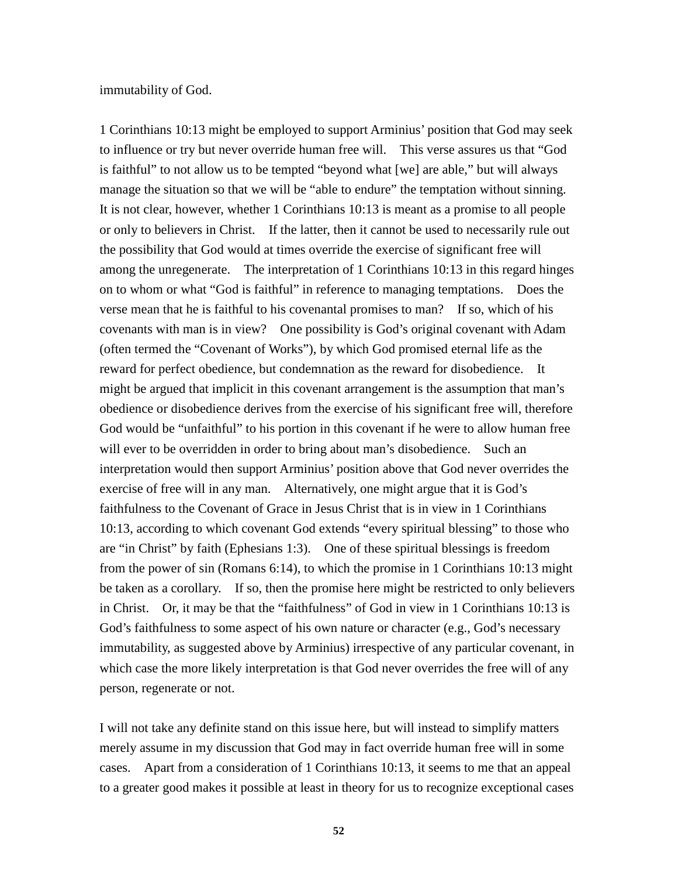immutability of God.

1 Corinthians 10:13 might be employed to support Arminius' position that God may seek to influence or try but never override human free will. This verse assures us that "God is faithful" to not allow us to be tempted "beyond what [we] are able," but will always manage the situation so that we will be "able to endure" the temptation without sinning. It is not clear, however, whether 1 Corinthians 10:13 is meant as a promise to all people or only to believers in Christ. If the latter, then it cannot be used to necessarily rule out the possibility that God would at times override the exercise of significant free will among the unregenerate. The interpretation of 1 Corinthians 10:13 in this regard hinges on to whom or what "God is faithful" in reference to managing temptations. Does the verse mean that he is faithful to his covenantal promises to man? If so, which of his covenants with man is in view? One possibility is God's original covenant with Adam (often termed the "Covenant of Works"), by which God promised eternal life as the reward for perfect obedience, but condemnation as the reward for disobedience. It might be argued that implicit in this covenant arrangement is the assumption that man's obedience or disobedience derives from the exercise of his significant free will, therefore God would be "unfaithful" to his portion in this covenant if he were to allow human free will ever to be overridden in order to bring about man's disobedience. Such an interpretation would then support Arminius' position above that God never overrides the exercise of free will in any man. Alternatively, one might argue that it is God's faithfulness to the Covenant of Grace in Jesus Christ that is in view in 1 Corinthians 10:13, according to which covenant God extends "every spiritual blessing" to those who are "in Christ" by faith (Ephesians 1:3). One of these spiritual blessings is freedom from the power of sin (Romans 6:14), to which the promise in 1 Corinthians 10:13 might be taken as a corollary. If so, then the promise here might be restricted to only believers in Christ. Or, it may be that the "faithfulness" of God in view in 1 Corinthians 10:13 is God's faithfulness to some aspect of his own nature or character (e.g., God's necessary immutability, as suggested above by Arminius) irrespective of any particular covenant, in which case the more likely interpretation is that God never overrides the free will of any person, regenerate or not.

I will not take any definite stand on this issue here, but will instead to simplify matters merely assume in my discussion that God may in fact override human free will in some cases. Apart from a consideration of 1 Corinthians 10:13, it seems to me that an appeal to a greater good makes it possible at least in theory for us to recognize exceptional cases

**52**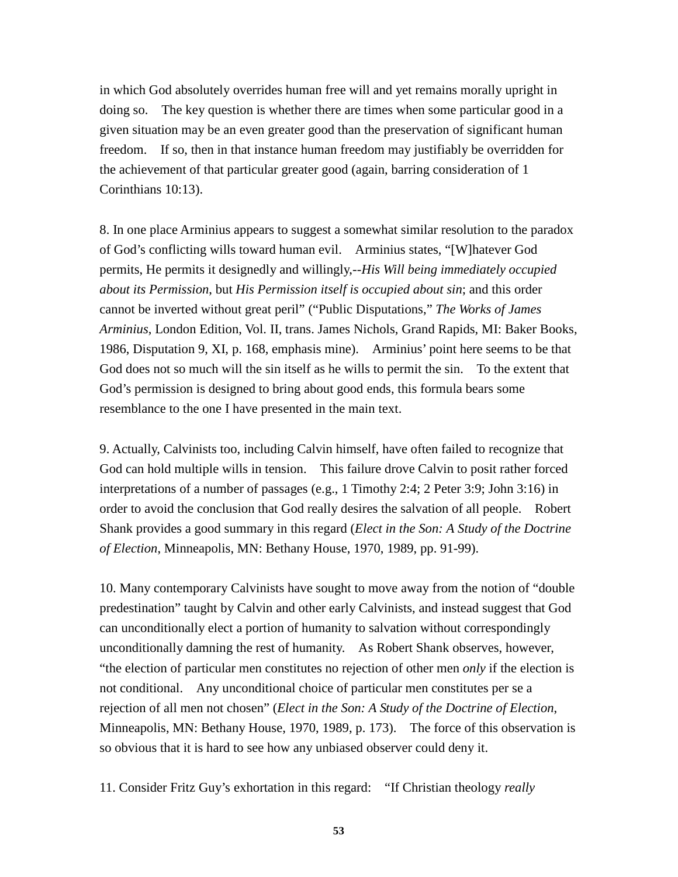in which God absolutely overrides human free will and yet remains morally upright in doing so. The key question is whether there are times when some particular good in a given situation may be an even greater good than the preservation of significant human freedom. If so, then in that instance human freedom may justifiably be overridden for the achievement of that particular greater good (again, barring consideration of 1 Corinthians 10:13).

8. In one place Arminius appears to suggest a somewhat similar resolution to the paradox of God's conflicting wills toward human evil. Arminius states, "[W]hatever God permits, He permits it designedly and willingly,--*His Will being immediately occupied about its Permission*, but *His Permission itself is occupied about sin*; and this order cannot be inverted without great peril" ("Public Disputations," *The Works of James Arminius*, London Edition, Vol. II, trans. James Nichols, Grand Rapids, MI: Baker Books, 1986, Disputation 9, XI, p. 168, emphasis mine). Arminius' point here seems to be that God does not so much will the sin itself as he wills to permit the sin. To the extent that God's permission is designed to bring about good ends, this formula bears some resemblance to the one I have presented in the main text.

9. Actually, Calvinists too, including Calvin himself, have often failed to recognize that God can hold multiple wills in tension. This failure drove Calvin to posit rather forced interpretations of a number of passages (e.g., 1 Timothy 2:4; 2 Peter 3:9; John 3:16) in order to avoid the conclusion that God really desires the salvation of all people. Robert Shank provides a good summary in this regard (*Elect in the Son: A Study of the Doctrine of Election*, Minneapolis, MN: Bethany House, 1970, 1989, pp. 91-99).

10. Many contemporary Calvinists have sought to move away from the notion of "double predestination" taught by Calvin and other early Calvinists, and instead suggest that God can unconditionally elect a portion of humanity to salvation without correspondingly unconditionally damning the rest of humanity. As Robert Shank observes, however, "the election of particular men constitutes no rejection of other men *only* if the election is not conditional. Any unconditional choice of particular men constitutes per se a rejection of all men not chosen" (*Elect in the Son: A Study of the Doctrine of Election*, Minneapolis, MN: Bethany House, 1970, 1989, p. 173). The force of this observation is so obvious that it is hard to see how any unbiased observer could deny it.

11. Consider Fritz Guy's exhortation in this regard: "If Christian theology *really*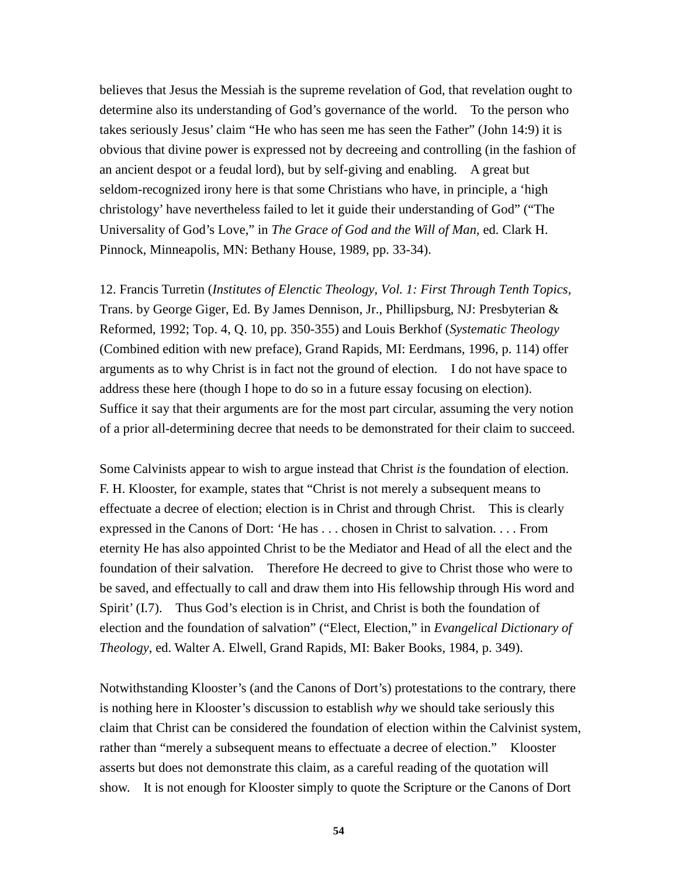believes that Jesus the Messiah is the supreme revelation of God, that revelation ought to determine also its understanding of God's governance of the world. To the person who takes seriously Jesus' claim "He who has seen me has seen the Father" (John 14:9) it is obvious that divine power is expressed not by decreeing and controlling (in the fashion of an ancient despot or a feudal lord), but by self-giving and enabling. A great but seldom-recognized irony here is that some Christians who have, in principle, a 'high christology' have nevertheless failed to let it guide their understanding of God" ("The Universality of God's Love," in *The Grace of God and the Will of Man*, ed. Clark H. Pinnock, Minneapolis, MN: Bethany House, 1989, pp. 33-34).

12. Francis Turretin (*Institutes of Elenctic Theology, Vol. 1: First Through Tenth Topics,* Trans. by George Giger, Ed. By James Dennison, Jr., Phillipsburg, NJ: Presbyterian & Reformed, 1992; Top. 4, Q. 10, pp. 350-355) and Louis Berkhof (*Systematic Theology* (Combined edition with new preface), Grand Rapids, MI: Eerdmans, 1996, p. 114) offer arguments as to why Christ is in fact not the ground of election. I do not have space to address these here (though I hope to do so in a future essay focusing on election). Suffice it say that their arguments are for the most part circular, assuming the very notion of a prior all-determining decree that needs to be demonstrated for their claim to succeed.

Some Calvinists appear to wish to argue instead that Christ *is* the foundation of election. F. H. Klooster, for example, states that "Christ is not merely a subsequent means to effectuate a decree of election; election is in Christ and through Christ. This is clearly expressed in the Canons of Dort: 'He has . . . chosen in Christ to salvation. . . . From eternity He has also appointed Christ to be the Mediator and Head of all the elect and the foundation of their salvation. Therefore He decreed to give to Christ those who were to be saved, and effectually to call and draw them into His fellowship through His word and Spirit' (I.7). Thus God's election is in Christ, and Christ is both the foundation of election and the foundation of salvation" ("Elect, Election," in *Evangelical Dictionary of Theology*, ed. Walter A. Elwell, Grand Rapids, MI: Baker Books, 1984, p. 349).

Notwithstanding Klooster's (and the Canons of Dort's) protestations to the contrary, there is nothing here in Klooster's discussion to establish *why* we should take seriously this claim that Christ can be considered the foundation of election within the Calvinist system, rather than "merely a subsequent means to effectuate a decree of election." Klooster asserts but does not demonstrate this claim, as a careful reading of the quotation will show. It is not enough for Klooster simply to quote the Scripture or the Canons of Dort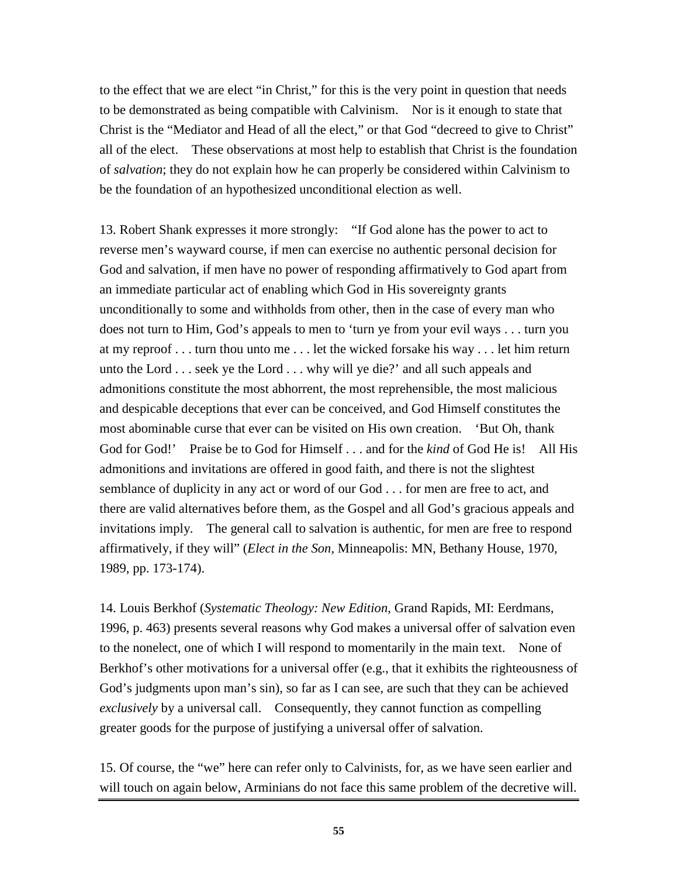to the effect that we are elect "in Christ," for this is the very point in question that needs to be demonstrated as being compatible with Calvinism. Nor is it enough to state that Christ is the "Mediator and Head of all the elect," or that God "decreed to give to Christ" all of the elect. These observations at most help to establish that Christ is the foundation of *salvation*; they do not explain how he can properly be considered within Calvinism to be the foundation of an hypothesized unconditional election as well.

13. Robert Shank expresses it more strongly: "If God alone has the power to act to reverse men's wayward course, if men can exercise no authentic personal decision for God and salvation, if men have no power of responding affirmatively to God apart from an immediate particular act of enabling which God in His sovereignty grants unconditionally to some and withholds from other, then in the case of every man who does not turn to Him, God's appeals to men to 'turn ye from your evil ways . . . turn you at my reproof . . . turn thou unto me . . . let the wicked forsake his way . . . let him return unto the Lord . . . seek ye the Lord . . . why will ye die?' and all such appeals and admonitions constitute the most abhorrent, the most reprehensible, the most malicious and despicable deceptions that ever can be conceived, and God Himself constitutes the most abominable curse that ever can be visited on His own creation. 'But Oh, thank God for God!' Praise be to God for Himself . . . and for the *kind* of God He is! All His admonitions and invitations are offered in good faith, and there is not the slightest semblance of duplicity in any act or word of our God . . . for men are free to act, and there are valid alternatives before them, as the Gospel and all God's gracious appeals and invitations imply. The general call to salvation is authentic, for men are free to respond affirmatively, if they will" (*Elect in the Son,* Minneapolis: MN, Bethany House, 1970, 1989, pp. 173-174).

14. Louis Berkhof (*Systematic Theology: New Edition,* Grand Rapids, MI: Eerdmans, 1996, p. 463) presents several reasons why God makes a universal offer of salvation even to the nonelect, one of which I will respond to momentarily in the main text. None of Berkhof's other motivations for a universal offer (e.g., that it exhibits the righteousness of God's judgments upon man's sin), so far as I can see, are such that they can be achieved *exclusively* by a universal call. Consequently, they cannot function as compelling greater goods for the purpose of justifying a universal offer of salvation.

15. Of course, the "we" here can refer only to Calvinists, for, as we have seen earlier and will touch on again below, Arminians do not face this same problem of the decretive will.